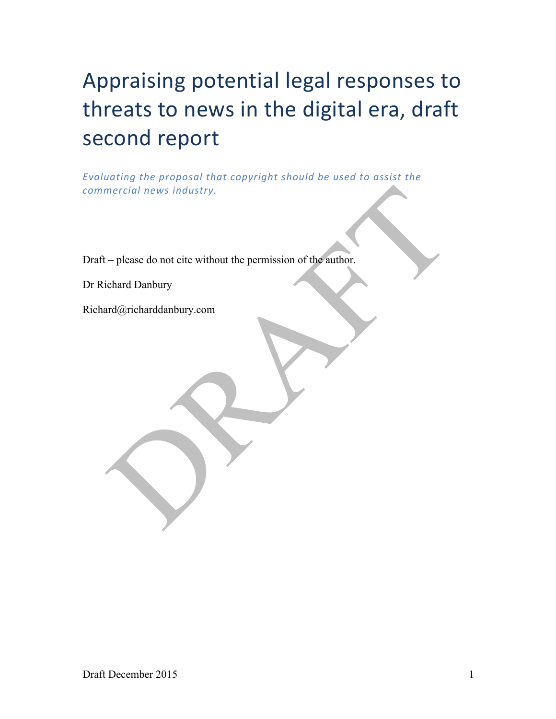# Appraising potential legal responses to threats to news in the digital era, draft second report

*Evaluating* the proposal *that copyright* should be used to assist the *commercial news industry.*

Draft – please do not cite without the permission of the author.

Dr Richard Danbury

Richard@richarddanbury.com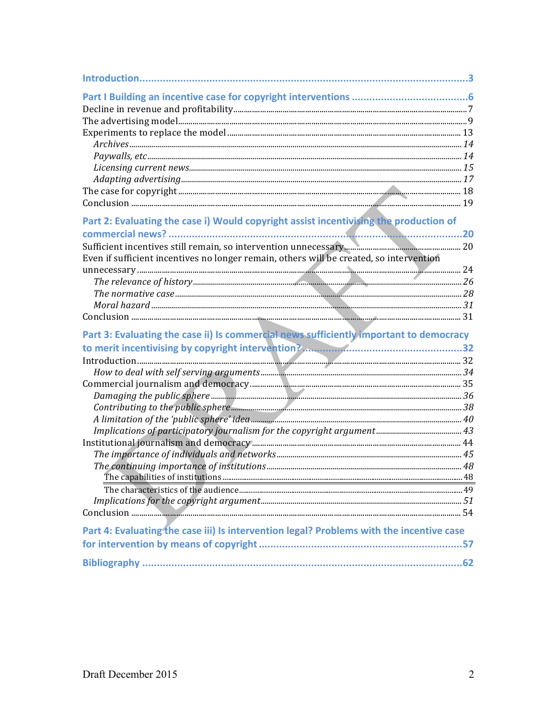| Part 2: Evaluating the case i) Would copyright assist incentivising the production of    |  |
|------------------------------------------------------------------------------------------|--|
|                                                                                          |  |
|                                                                                          |  |
| Even if sufficient incentives no longer remain, others will be created, so intervention  |  |
|                                                                                          |  |
|                                                                                          |  |
|                                                                                          |  |
|                                                                                          |  |
|                                                                                          |  |
| Part 3: Evaluating the case ii) Is commercial news sufficiently important to democracy   |  |
|                                                                                          |  |
|                                                                                          |  |
|                                                                                          |  |
|                                                                                          |  |
|                                                                                          |  |
|                                                                                          |  |
|                                                                                          |  |
|                                                                                          |  |
|                                                                                          |  |
|                                                                                          |  |
|                                                                                          |  |
|                                                                                          |  |
|                                                                                          |  |
|                                                                                          |  |
|                                                                                          |  |
| Part 4: Evaluating the case iii) Is intervention legal? Problems with the incentive case |  |
|                                                                                          |  |
|                                                                                          |  |
|                                                                                          |  |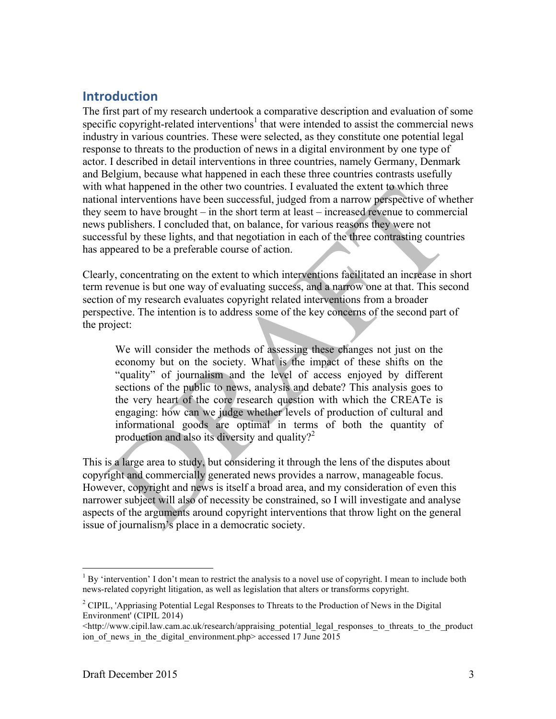# **Introduction**

The first part of my research undertook a comparative description and evaluation of some specific copyright-related interventions<sup>1</sup> that were intended to assist the commercial news industry in various countries. These were selected, as they constitute one potential legal response to threats to the production of news in a digital environment by one type of actor. I described in detail interventions in three countries, namely Germany, Denmark and Belgium, because what happened in each these three countries contrasts usefully with what happened in the other two countries. I evaluated the extent to which three national interventions have been successful, judged from a narrow perspective of whether they seem to have brought – in the short term at least – increased revenue to commercial news publishers. I concluded that, on balance, for various reasons they were not successful by these lights, and that negotiation in each of the three contrasting countries has appeared to be a preferable course of action.

Clearly, concentrating on the extent to which interventions facilitated an increase in short term revenue is but one way of evaluating success, and a narrow one at that. This second section of my research evaluates copyright related interventions from a broader perspective. The intention is to address some of the key concerns of the second part of the project:

We will consider the methods of assessing these changes not just on the economy but on the society. What is the impact of these shifts on the "quality" of journalism and the level of access enjoyed by different sections of the public to news, analysis and debate? This analysis goes to the very heart of the core research question with which the CREATe is engaging: how can we judge whether levels of production of cultural and informational goods are optimal in terms of both the quantity of production and also its diversity and quality?<sup>2</sup>

This is a large area to study, but considering it through the lens of the disputes about copyright and commercially generated news provides a narrow, manageable focus. However, copyright and news is itself a broad area, and my consideration of even this narrower subject will also of necessity be constrained, so I will investigate and analyse aspects of the arguments around copyright interventions that throw light on the general issue of journalism's place in a democratic society.

 $1$  By 'intervention' I don't mean to restrict the analysis to a novel use of copyright. I mean to include both news-related copyright litigation, as well as legislation that alters or transforms copyright.

<sup>2</sup> CIPIL, 'Appriasing Potential Legal Responses to Threats to the Production of News in the Digital Environment' (CIPIL 2014)

 $\text{th}(x)$ /www.cipil.law.cam.ac.uk/research/appraising\_potential\_legal\_responses\_to\_threats\_to\_the\_product ion of news in the digital environment.php> accessed 17 June 2015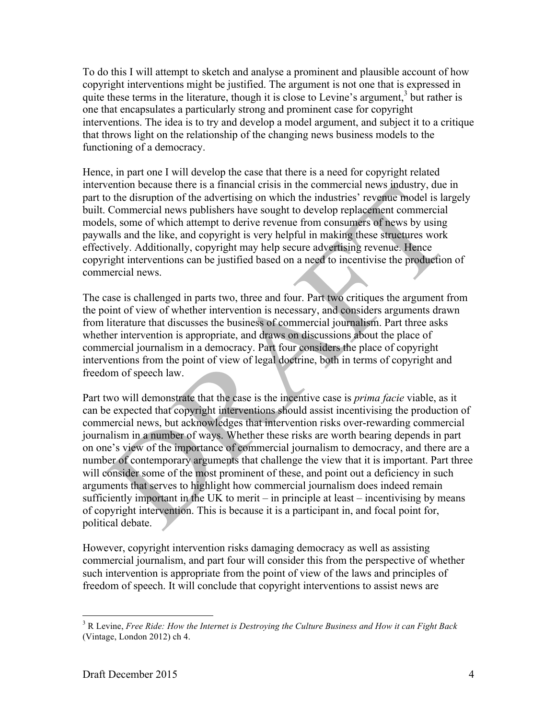To do this I will attempt to sketch and analyse a prominent and plausible account of how copyright interventions might be justified. The argument is not one that is expressed in quite these terms in the literature, though it is close to Levine's argument, $3$  but rather is one that encapsulates a particularly strong and prominent case for copyright interventions. The idea is to try and develop a model argument, and subject it to a critique that throws light on the relationship of the changing news business models to the functioning of a democracy.

Hence, in part one I will develop the case that there is a need for copyright related intervention because there is a financial crisis in the commercial news industry, due in part to the disruption of the advertising on which the industries' revenue model is largely built. Commercial news publishers have sought to develop replacement commercial models, some of which attempt to derive revenue from consumers of news by using paywalls and the like, and copyright is very helpful in making these structures work effectively. Additionally, copyright may help secure advertising revenue. Hence copyright interventions can be justified based on a need to incentivise the production of commercial news.

The case is challenged in parts two, three and four. Part two critiques the argument from the point of view of whether intervention is necessary, and considers arguments drawn from literature that discusses the business of commercial journalism. Part three asks whether intervention is appropriate, and draws on discussions about the place of commercial journalism in a democracy. Part four considers the place of copyright interventions from the point of view of legal doctrine, both in terms of copyright and freedom of speech law.

Part two will demonstrate that the case is the incentive case is *prima facie* viable, as it can be expected that copyright interventions should assist incentivising the production of commercial news, but acknowledges that intervention risks over-rewarding commercial journalism in a number of ways. Whether these risks are worth bearing depends in part on one's view of the importance of commercial journalism to democracy, and there are a number of contemporary arguments that challenge the view that it is important. Part three will consider some of the most prominent of these, and point out a deficiency in such arguments that serves to highlight how commercial journalism does indeed remain sufficiently important in the UK to merit – in principle at least – incentivising by means of copyright intervention. This is because it is a participant in, and focal point for, political debate.

However, copyright intervention risks damaging democracy as well as assisting commercial journalism, and part four will consider this from the perspective of whether such intervention is appropriate from the point of view of the laws and principles of freedom of speech. It will conclude that copyright interventions to assist news are

 <sup>3</sup> R Levine, *Free Ride: How the Internet is Destroying the Culture Business and How it can Fight Back* (Vintage, London 2012) ch 4.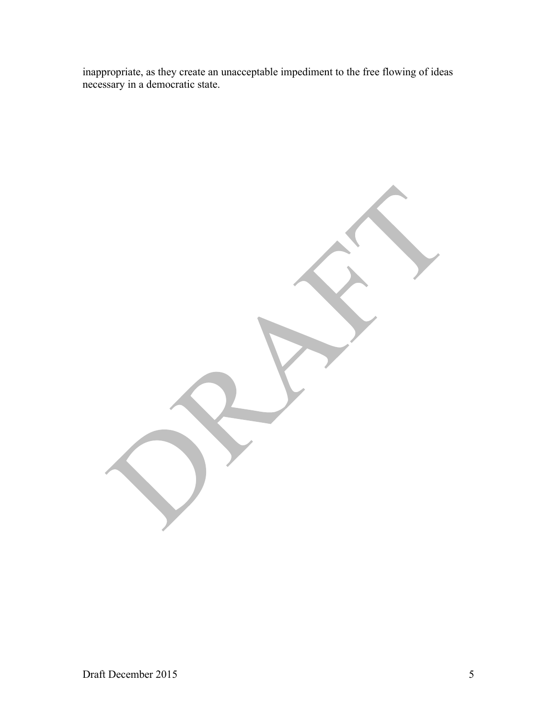inappropriate, as they create an unacceptable impediment to the free flowing of ideas necessary in a democratic state.

Draft December 2015 5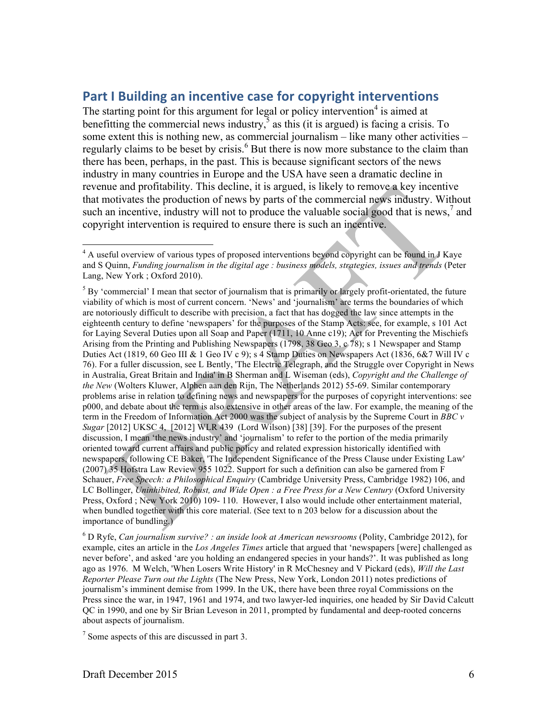# **Part I Building an incentive case for copyright interventions**

The starting point for this argument for legal or policy intervention<sup>4</sup> is aimed at benefitting the commercial news industry, $\overline{5}$  as this (it is argued) is facing a crisis. To some extent this is nothing new, as commercial journalism – like many other activities – regularly claims to be beset by crisis.<sup>6</sup> But there is now more substance to the claim than there has been, perhaps, in the past. This is because significant sectors of the news industry in many countries in Europe and the USA have seen a dramatic decline in revenue and profitability. This decline, it is argued, is likely to remove a key incentive that motivates the production of news by parts of the commercial news industry. Without such an incentive, industry will not to produce the valuable social good that is news,<sup>7</sup> and copyright intervention is required to ensure there is such an incentive.

 <sup>4</sup> A useful overview of various types of proposed interventions beyond copyright can be found in J Kaye and S Quinn, *Funding journalism in the digital age : business models, strategies, issues and trends* (Peter Lang, New York ; Oxford 2010).

 $<sup>5</sup>$  By 'commercial' I mean that sector of journalism that is primarily or largely profit-orientated, the future</sup> viability of which is most of current concern. 'News' and 'journalism' are terms the boundaries of which are notoriously difficult to describe with precision, a fact that has dogged the law since attempts in the eighteenth century to define 'newspapers' for the purposes of the Stamp Acts: see, for example, s 101 Act for Laying Several Duties upon all Soap and Paper (1711, 10 Anne c19); Act for Preventing the Mischiefs Arising from the Printing and Publishing Newspapers (1798, 38 Geo 3, c 78); s 1 Newspaper and Stamp Duties Act (1819, 60 Geo III & 1 Geo IV c 9); s 4 Stamp Duties on Newspapers Act (1836, 6&7 Will IV c 76). For a fuller discussion, see L Bently, 'The Electric Telegraph, and the Struggle over Copyright in News in Australia, Great Britain and India' in B Sherman and L Wiseman (eds), *Copyright and the Challenge of the New* (Wolters Kluwer, Alphen aan den Rijn, The Netherlands 2012) 55-69. Similar contemporary problems arise in relation to defining news and newspapers for the purposes of copyright interventions: see p000, and debate about the term is also extensive in other areas of the law. For example, the meaning of the term in the Freedom of Information Act 2000 was the subject of analysis by the Supreme Court in *BBC v Sugar* [2012] UKSC 4, [2012] WLR 439 (Lord Wilson) [38] [39]. For the purposes of the present discussion, I mean 'the news industry' and 'journalism' to refer to the portion of the media primarily oriented toward current affairs and public policy and related expression historically identified with newspapers, following CE Baker, 'The Independent Significance of the Press Clause under Existing Law' (2007) 35 Hofstra Law Review 955 1022. Support for such a definition can also be garnered from F Schauer, *Free Speech: a Philosophical Enquiry* (Cambridge University Press, Cambridge 1982) 106, and LC Bollinger, *Uninhibited, Robust, and Wide Open : a Free Press for a New Century* (Oxford University Press, Oxford ; New York 2010) 109- 110. However, I also would include other entertainment material, when bundled together with this core material. (See text to n 203 below for a discussion about the importance of bundling.)

<sup>6</sup> D Ryfe, *Can journalism survive? : an inside look at American newsrooms* (Polity, Cambridge 2012), for example, cites an article in the *Los Angeles Times* article that argued that 'newspapers [were] challenged as never before', and asked 'are you holding an endangered species in your hands?'. It was published as long ago as 1976. M Welch, 'When Losers Write History' in R McChesney and V Pickard (eds), *Will the Last Reporter Please Turn out the Lights* (The New Press, New York, London 2011) notes predictions of journalism's imminent demise from 1999. In the UK, there have been three royal Commissions on the Press since the war, in 1947, 1961 and 1974, and two lawyer-led inquiries, one headed by Sir David Calcutt QC in 1990, and one by Sir Brian Leveson in 2011, prompted by fundamental and deep-rooted concerns about aspects of journalism.

<sup>7</sup> Some aspects of this are discussed in part 3.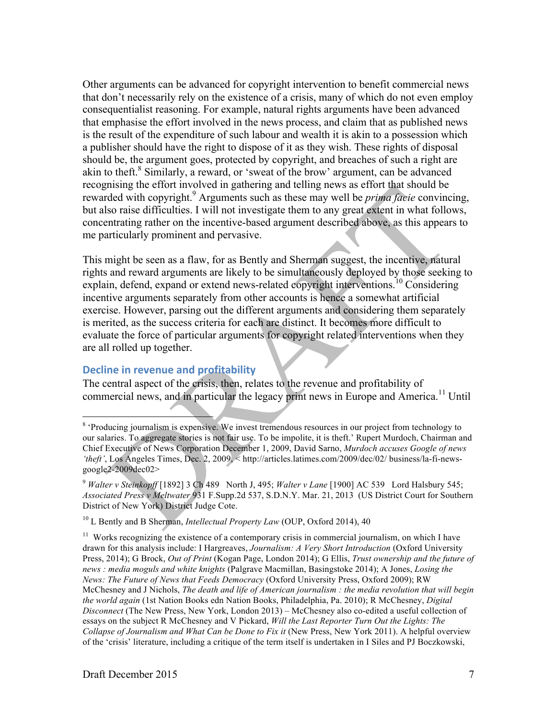Other arguments can be advanced for copyright intervention to benefit commercial news that don't necessarily rely on the existence of a crisis, many of which do not even employ consequentialist reasoning. For example, natural rights arguments have been advanced that emphasise the effort involved in the news process, and claim that as published news is the result of the expenditure of such labour and wealth it is akin to a possession which a publisher should have the right to dispose of it as they wish. These rights of disposal should be, the argument goes, protected by copyright, and breaches of such a right are akin to theft.<sup>8</sup> Similarly, a reward, or 'sweat of the brow' argument, can be advanced recognising the effort involved in gathering and telling news as effort that should be rewarded with copyright.<sup>9</sup> Arguments such as these may well be *prima facie* convincing, but also raise difficulties. I will not investigate them to any great extent in what follows, concentrating rather on the incentive-based argument described above, as this appears to me particularly prominent and pervasive.

This might be seen as a flaw, for as Bently and Sherman suggest, the incentive, natural rights and reward arguments are likely to be simultaneously deployed by those seeking to explain, defend, expand or extend news-related copyright interventions.<sup>10</sup> Considering incentive arguments separately from other accounts is hence a somewhat artificial exercise. However, parsing out the different arguments and considering them separately is merited, as the success criteria for each are distinct. It becomes more difficult to evaluate the force of particular arguments for copyright related interventions when they are all rolled up together.

## **Decline in revenue and profitability**

The central aspect of the crisis, then, relates to the revenue and profitability of commercial news, and in particular the legacy print news in Europe and America.<sup>11</sup> Until

<sup>&</sup>lt;sup>8</sup> 'Producing journalism is expensive. We invest tremendous resources in our project from technology to our salaries. To aggregate stories is not fair use. To be impolite, it is theft.' Rupert Murdoch, Chairman and Chief Executive of News Corporation December 1, 2009, David Sarno, *Murdoch accuses Google of news 'theft'*, Los Angeles Times, Dec. 2, 2009, < http://articles.latimes.com/2009/dec/02/ business/la-fi-newsgoogle2-2009dec02>

<sup>9</sup> *Walter v Steinkopff* [1892] 3 Ch 489 North J, 495; *Walter v Lane* [1900] AC 539 Lord Halsbury 545; *Associated Press v Meltwater* 931 F.Supp.2d 537, S.D.N.Y. Mar. 21, 2013 (US District Court for Southern District of New York) District Judge Cote.

<sup>10</sup> L Bently and B Sherman, *Intellectual Property Law* (OUP, Oxford 2014), 40

 $11$  Works recognizing the existence of a contemporary crisis in commercial journalism, on which I have drawn for this analysis include: I Hargreaves, *Journalism: A Very Short Introduction* (Oxford University Press, 2014); G Brock, *Out of Print* (Kogan Page, London 2014); G Ellis, *Trust ownership and the future of news : media moguls and white knights* (Palgrave Macmillan, Basingstoke 2014); A Jones, *Losing the News: The Future of News that Feeds Democracy* (Oxford University Press, Oxford 2009); RW McChesney and J Nichols, *The death and life of American journalism : the media revolution that will begin the world again* (1st Nation Books edn Nation Books, Philadelphia, Pa. 2010); R McChesney, *Digital Disconnect* (The New Press, New York, London 2013) – McChesney also co-edited a useful collection of essays on the subject R McChesney and V Pickard, *Will the Last Reporter Turn Out the Lights: The Collapse of Journalism and What Can be Done to Fix it* (New Press, New York 2011). A helpful overview of the 'crisis' literature, including a critique of the term itself is undertaken in I Siles and PJ Boczkowski,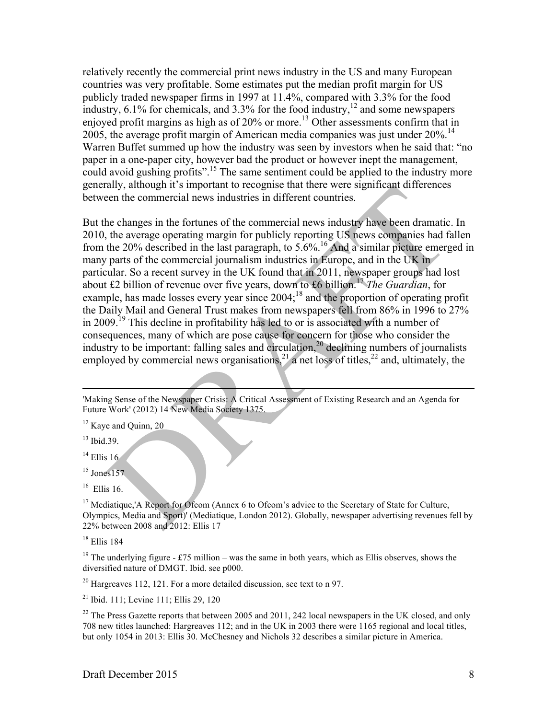relatively recently the commercial print news industry in the US and many European countries was very profitable. Some estimates put the median profit margin for US publicly traded newspaper firms in 1997 at 11.4%, compared with 3.3% for the food industry,  $6.1\%$  for chemicals, and  $3.3\%$  for the food industry,  $12$  and some newspapers enjoyed profit margins as high as of  $20\%$  or more.<sup>13</sup> Other assessments confirm that in 2005, the average profit margin of American media companies was just under  $20\%$ .<sup>14</sup> Warren Buffet summed up how the industry was seen by investors when he said that: "no paper in a one-paper city, however bad the product or however inept the management, could avoid gushing profits".<sup>15</sup> The same sentiment could be applied to the industry more generally, although it's important to recognise that there were significant differences between the commercial news industries in different countries.

But the changes in the fortunes of the commercial news industry have been dramatic. In 2010, the average operating margin for publicly reporting US news companies had fallen from the 20% described in the last paragraph, to  $5.6\%$ .<sup>16</sup> And a similar picture emerged in many parts of the commercial journalism industries in Europe, and in the UK in particular. So a recent survey in the UK found that in 2011, newspaper groups had lost about £2 billion of revenue over five years, down to £6 billion.<sup>17</sup> *The Guardian*, for example, has made losses every year since 2004;<sup>18</sup> and the proportion of operating profit the Daily Mail and General Trust makes from newspapers fell from 86% in 1996 to 27% in 2009.<sup>19</sup> This decline in profitability has led to or is associated with a number of consequences, many of which are pose cause for concern for those who consider the industry to be important: falling sales and circulation,<sup>20</sup> declining numbers of journalists employed by commercial news organisations,  $2^{1}$  a net loss of titles,  $2^{2}$  and, ultimately, the

'Making Sense of the Newspaper Crisis: A Critical Assessment of Existing Research and an Agenda for Future Work' (2012) 14 New Media Society 1375.

<sup>13</sup> Ibid.39.

 $\overline{a}$ 

 $14$  Ellis 16

 $16$  Ellis 16.

<sup>17</sup> Mediatique,'A Report for Ofcom (Annex 6 to Ofcom's advice to the Secretary of State for Culture, Olympics, Media and Sport)' (Mediatique, London 2012). Globally, newspaper advertising revenues fell by 22% between 2008 and 2012: Ellis 17

<sup>18</sup> Ellis 184

<sup>19</sup> The underlying figure - £75 million – was the same in both years, which as Ellis observes, shows the diversified nature of DMGT. Ibid. see p000.

 $20$  Hargreaves 112, 121. For a more detailed discussion, see text to n 97.

<sup>21</sup> Ibid. 111; Levine 111; Ellis 29, 120

<sup>22</sup> The Press Gazette reports that between 2005 and 2011, 242 local newspapers in the UK closed, and only 708 new titles launched: Hargreaves 112; and in the UK in 2003 there were 1165 regional and local titles, but only 1054 in 2013: Ellis 30. McChesney and Nichols 32 describes a similar picture in America.

<sup>&</sup>lt;sup>12</sup> Kaye and Quinn, 20

 $15$  Jones 157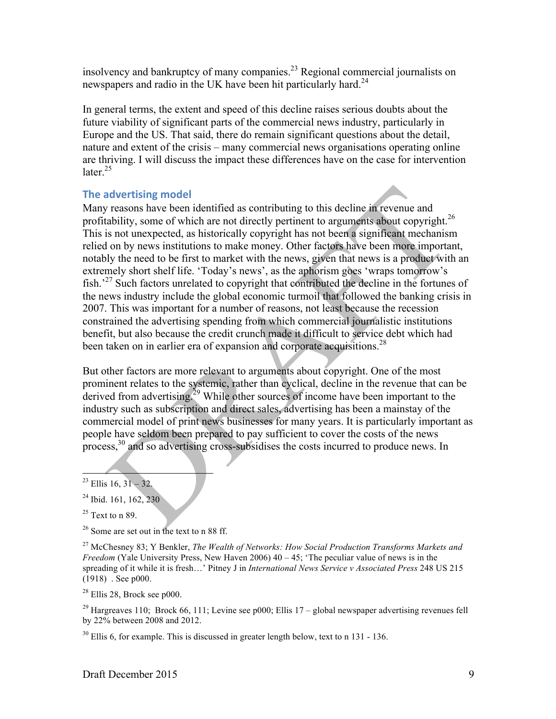insolvency and bankruptcy of many companies.23 Regional commercial journalists on newspapers and radio in the UK have been hit particularly hard.<sup>24</sup>

In general terms, the extent and speed of this decline raises serious doubts about the future viability of significant parts of the commercial news industry, particularly in Europe and the US. That said, there do remain significant questions about the detail, nature and extent of the crisis – many commercial news organisations operating online are thriving. I will discuss the impact these differences have on the case for intervention later $^{25}$ 

# **The advertising model**

Many reasons have been identified as contributing to this decline in revenue and profitability, some of which are not directly pertinent to arguments about copyright.<sup>26</sup> This is not unexpected, as historically copyright has not been a significant mechanism relied on by news institutions to make money. Other factors have been more important, notably the need to be first to market with the news, given that news is a product with an extremely short shelf life. 'Today's news', as the aphorism goes 'wraps tomorrow's fish.'27 Such factors unrelated to copyright that contributed the decline in the fortunes of the news industry include the global economic turmoil that followed the banking crisis in 2007. This was important for a number of reasons, not least because the recession constrained the advertising spending from which commercial journalistic institutions benefit, but also because the credit crunch made it difficult to service debt which had been taken on in earlier era of expansion and corporate acquisitions.<sup>28</sup>

But other factors are more relevant to arguments about copyright. One of the most prominent relates to the systemic, rather than cyclical, decline in the revenue that can be derived from advertising.<sup> $29$ </sup> While other sources of income have been important to the industry such as subscription and direct sales, advertising has been a mainstay of the commercial model of print news businesses for many years. It is particularly important as people have seldom been prepared to pay sufficient to cover the costs of the news process,30 and so advertising cross-subsidises the costs incurred to produce news. In

<sup>27</sup> McChesney 83; Y Benkler, *The Wealth of Networks: How Social Production Transforms Markets and Freedom* (Yale University Press, New Haven 2006) 40 – 45; 'The peculiar value of news is in the spreading of it while it is fresh…' Pitney J in *International News Service v Associated Press* 248 US 215 (1918) . See p000.

 $28$  Ellis 28, Brock see p000.

<sup>29</sup> Hargreaves 110; Brock 66, 111; Levine see p000; Ellis 17 – global newspaper advertising revenues fell by 22% between 2008 and 2012.

 $30$  Ellis 6, for example. This is discussed in greater length below, text to n 131 - 136.

 $23$  Ellis 16, 31 – 32.

<sup>&</sup>lt;sup>24</sup> Ibid. 161, 162, 230

 $25$  Text to n 89.

<sup>26</sup> Some are set out in the text to n 88 ff.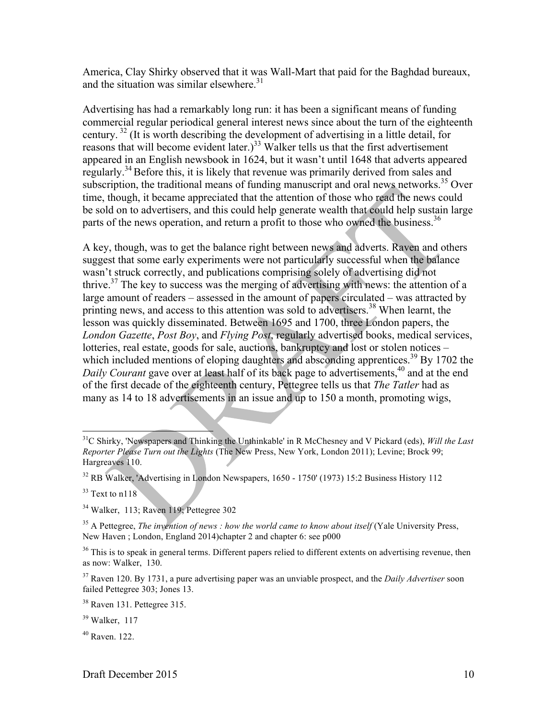America, Clay Shirky observed that it was Wall-Mart that paid for the Baghdad bureaux, and the situation was similar elsewhere. $31$ 

Advertising has had a remarkably long run: it has been a significant means of funding commercial regular periodical general interest news since about the turn of the eighteenth century. <sup>32</sup> (It is worth describing the development of advertising in a little detail, for reasons that will become evident later.)<sup>33</sup> Walker tells us that the first advertisement appeared in an English newsbook in 1624, but it wasn't until 1648 that adverts appeared regularly.<sup>34</sup> Before this, it is likely that revenue was primarily derived from sales and subscription, the traditional means of funding manuscript and oral news networks.<sup>35</sup> Over time, though, it became appreciated that the attention of those who read the news could be sold on to advertisers, and this could help generate wealth that could help sustain large parts of the news operation, and return a profit to those who owned the business.<sup>36</sup>

A key, though, was to get the balance right between news and adverts. Raven and others suggest that some early experiments were not particularly successful when the balance wasn't struck correctly, and publications comprising solely of advertising did not thrive.<sup>37</sup> The key to success was the merging of advertising with news: the attention of a large amount of readers – assessed in the amount of papers circulated – was attracted by printing news, and access to this attention was sold to advertisers.<sup>38</sup> When learnt, the lesson was quickly disseminated. Between 1695 and 1700, three London papers, the *London Gazette*, *Post Boy*, and *Flying Post*, regularly advertised books, medical services, lotteries, real estate, goods for sale, auctions, bankruptcy and lost or stolen notices – which included mentions of eloping daughters and absconding apprentices.<sup>39</sup> By 1702 the *Daily Courant* gave over at least half of its back page to advertisements,<sup>40</sup> and at the end of the first decade of the eighteenth century, Pettegree tells us that *The Tatler* had as many as 14 to 18 advertisements in an issue and up to 150 a month, promoting wigs,

 $33$  Text to n118

 <sup>31</sup>C Shirky, 'Newspapers and Thinking the Unthinkable' in R McChesney and V Pickard (eds), *Will the Last Reporter Please Turn out the Lights* (The New Press, New York, London 2011); Levine; Brock 99; Hargreaves 110.

<sup>32</sup> RB Walker, 'Advertising in London Newspapers, 1650 - 1750' (1973) 15:2 Business History 112

<sup>34</sup> Walker, 113; Raven 119; Pettegree 302

<sup>&</sup>lt;sup>35</sup> A Pettegree, *The invention of news : how the world came to know about itself* (Yale University Press, New Haven ; London, England 2014)chapter 2 and chapter 6: see p000

<sup>&</sup>lt;sup>36</sup> This is to speak in general terms. Different papers relied to different extents on advertising revenue, then as now: Walker, 130.

<sup>37</sup> Raven 120. By 1731, a pure advertising paper was an unviable prospect, and the *Daily Advertiser* soon failed Pettegree 303; Jones 13.

<sup>38</sup> Raven 131. Pettegree 315.

 $39$  Walker, 117

 $40$  Raven. 122.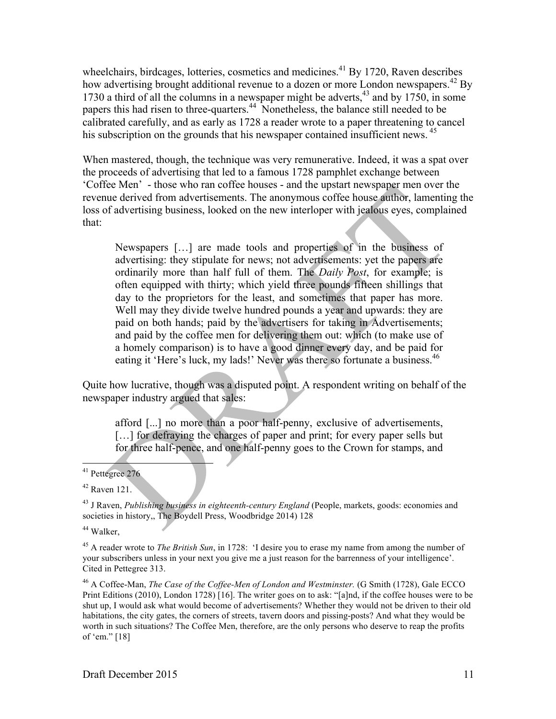wheelchairs, birdcages, lotteries, cosmetics and medicines.<sup>41</sup> By 1720, Raven describes how advertising brought additional revenue to a dozen or more London newspapers.<sup>42</sup> By 1730 a third of all the columns in a newspaper might be adverts,<sup>43</sup> and by 1750, in some papers this had risen to three-quarters.44 Nonetheless, the balance still needed to be calibrated carefully, and as early as 1728 a reader wrote to a paper threatening to cancel his subscription on the grounds that his newspaper contained insufficient news.<sup>45</sup>

When mastered, though, the technique was very remunerative. Indeed, it was a spat over the proceeds of advertising that led to a famous 1728 pamphlet exchange between 'Coffee Men' - those who ran coffee houses - and the upstart newspaper men over the revenue derived from advertisements. The anonymous coffee house author, lamenting the loss of advertising business, looked on the new interloper with jealous eyes, complained that:

Newspapers […] are made tools and properties of in the business of advertising: they stipulate for news; not advertisements: yet the papers are ordinarily more than half full of them. The *Daily Post*, for example; is often equipped with thirty; which yield three pounds fifteen shillings that day to the proprietors for the least, and sometimes that paper has more. Well may they divide twelve hundred pounds a year and upwards: they are paid on both hands; paid by the advertisers for taking in Advertisements; and paid by the coffee men for delivering them out: which (to make use of a homely comparison) is to have a good dinner every day, and be paid for eating it 'Here's luck, my lads!' Never was there so fortunate a business.<sup>46</sup>

Quite how lucrative, though was a disputed point. A respondent writing on behalf of the newspaper industry argued that sales:

afford [...] no more than a poor half-penny, exclusive of advertisements, [...] for defraying the charges of paper and print; for every paper sells but for three half-pence, and one half-penny goes to the Crown for stamps, and

<sup>44</sup> Walker,

<sup>45</sup> A reader wrote to *The British Sun*, in 1728: 'I desire you to erase my name from among the number of your subscribers unless in your next you give me a just reason for the barrenness of your intelligence'. Cited in Pettegree 313.

<sup>46</sup> A Coffee-Man, *The Case of the Coffee-Men of London and Westminster.* (G Smith (1728), Gale ECCO Print Editions (2010), London 1728) [16]. The writer goes on to ask: "[a]nd, if the coffee houses were to be shut up, I would ask what would become of advertisements? Whether they would not be driven to their old habitations, the city gates, the corners of streets, tavern doors and pissing-posts? And what they would be worth in such situations? The Coffee Men, therefore, are the only persons who deserve to reap the profits of 'em." [18]

 <sup>41</sup> Pettegree <sup>276</sup>

 $42$  Raven 121.

<sup>43</sup> J Raven, *Publishing business in eighteenth-century England* (People, markets, goods: economies and societies in history,, The Boydell Press, Woodbridge 2014) 128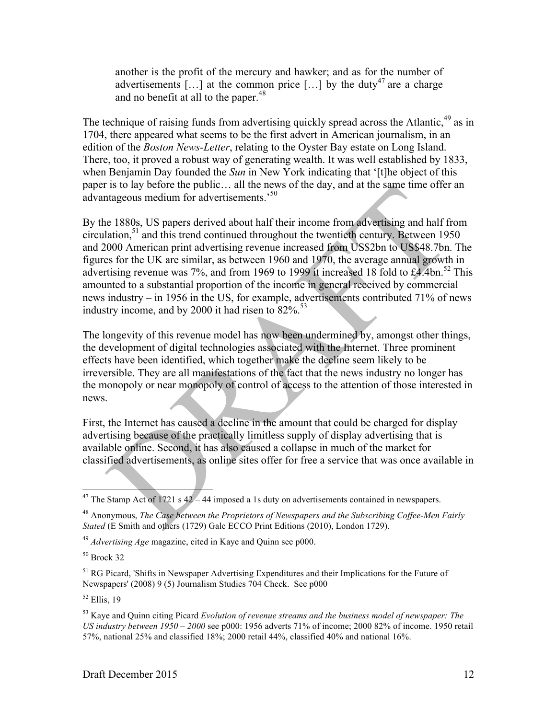another is the profit of the mercury and hawker; and as for the number of advertisements [...] at the common price [...] by the duty<sup>47</sup> are a charge and no benefit at all to the paper. $48$ 

The technique of raising funds from advertising quickly spread across the Atlantic,<sup>49</sup> as in 1704, there appeared what seems to be the first advert in American journalism, in an edition of the *Boston News-Letter*, relating to the Oyster Bay estate on Long Island. There, too, it proved a robust way of generating wealth. It was well established by 1833, when Benjamin Day founded the *Sun* in New York indicating that '[t]he object of this paper is to lay before the public… all the news of the day, and at the same time offer an advantageous medium for advertisements.<sup>50</sup>

By the 1880s, US papers derived about half their income from advertising and half from circulation, $51$  and this trend continued throughout the twentieth century. Between 1950 and 2000 American print advertising revenue increased from US\$2bn to US\$48.7bn. The figures for the UK are similar, as between 1960 and 1970, the average annual growth in advertising revenue was 7%, and from 1969 to 1999 it increased 18 fold to  $\text{\pounds}4.4\text{bn}$ .<sup>52</sup> This amounted to a substantial proportion of the income in general received by commercial news industry – in 1956 in the US, for example, advertisements contributed 71% of news industry income, and by 2000 it had risen to  $82\%$ .<sup>53</sup>

The longevity of this revenue model has now been undermined by, amongst other things, the development of digital technologies associated with the Internet. Three prominent effects have been identified, which together make the decline seem likely to be irreversible. They are all manifestations of the fact that the news industry no longer has the monopoly or near monopoly of control of access to the attention of those interested in news.

First, the Internet has caused a decline in the amount that could be charged for display advertising because of the practically limitless supply of display advertising that is available online. Second, it has also caused a collapse in much of the market for classified advertisements, as online sites offer for free a service that was once available in

 $50$  Brock 32

<sup>&</sup>lt;sup>47</sup> The Stamp Act of 1721 s  $42 - 44$  imposed a 1s duty on advertisements contained in newspapers.

<sup>48</sup> Anonymous, *The Case between the Proprietors of Newspapers and the Subscribing Coffee-Men Fairly Stated* (E Smith and others (1729) Gale ECCO Print Editions (2010), London 1729).

<sup>49</sup> *Advertising Age* magazine, cited in Kaye and Quinn see p000.

<sup>&</sup>lt;sup>51</sup> RG Picard, 'Shifts in Newspaper Advertising Expenditures and their Implications for the Future of Newspapers' (2008) 9 (5) Journalism Studies 704 Check. See p000

 $52$  Ellis, 19

<sup>53</sup> Kaye and Quinn citing Picard *Evolution of revenue streams and the business model of newspaper: The US industry between 1950 – 2000* see p000: 1956 adverts 71% of income; 2000 82% of income. 1950 retail 57%, national 25% and classified 18%; 2000 retail 44%, classified 40% and national 16%.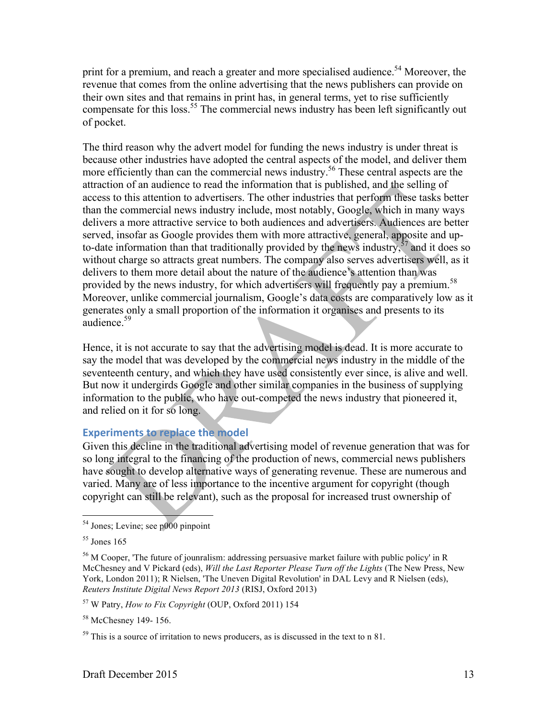print for a premium, and reach a greater and more specialised audience.<sup>54</sup> Moreover, the revenue that comes from the online advertising that the news publishers can provide on their own sites and that remains in print has, in general terms, yet to rise sufficiently compensate for this loss.<sup>55</sup> The commercial news industry has been left significantly out of pocket.

The third reason why the advert model for funding the news industry is under threat is because other industries have adopted the central aspects of the model, and deliver them more efficiently than can the commercial news industry.<sup>56</sup> These central aspects are the attraction of an audience to read the information that is published, and the selling of access to this attention to advertisers. The other industries that perform these tasks better than the commercial news industry include, most notably, Google, which in many ways delivers a more attractive service to both audiences and advertisers. Audiences are better served, insofar as Google provides them with more attractive, general, apposite and upto-date information than that traditionally provided by the news industry, $57$  and it does so without charge so attracts great numbers. The company also serves advertisers well, as it delivers to them more detail about the nature of the audience's attention than was provided by the news industry, for which advertisers will frequently pay a premium.<sup>58</sup> Moreover, unlike commercial journalism, Google's data costs are comparatively low as it generates only a small proportion of the information it organises and presents to its audience<sup>59</sup>

Hence, it is not accurate to say that the advertising model is dead. It is more accurate to say the model that was developed by the commercial news industry in the middle of the seventeenth century, and which they have used consistently ever since, is alive and well. But now it undergirds Google and other similar companies in the business of supplying information to the public, who have out-competed the news industry that pioneered it, and relied on it for so long.

# **Experiments to replace the model**

Given this decline in the traditional advertising model of revenue generation that was for so long integral to the financing of the production of news, commercial news publishers have sought to develop alternative ways of generating revenue. These are numerous and varied. Many are of less importance to the incentive argument for copyright (though copyright can still be relevant), such as the proposal for increased trust ownership of

 <sup>54</sup> Jones; Levine; see p000 pinpoint

 $55$  Jones 165

<sup>56</sup> M Cooper, 'The future of jounralism: addressing persuasive market failure with public policy' in R McChesney and V Pickard (eds), *Will the Last Reporter Please Turn off the Lights* (The New Press, New York, London 2011); R Nielsen, 'The Uneven Digital Revolution' in DAL Levy and R Nielsen (eds), *Reuters Institute Digital News Report 2013* (RISJ, Oxford 2013)

<sup>57</sup> W Patry, *How to Fix Copyright* (OUP, Oxford 2011) 154

<sup>&</sup>lt;sup>58</sup> McChesney 149-156.

 $59$  This is a source of irritation to news producers, as is discussed in the text to n 81.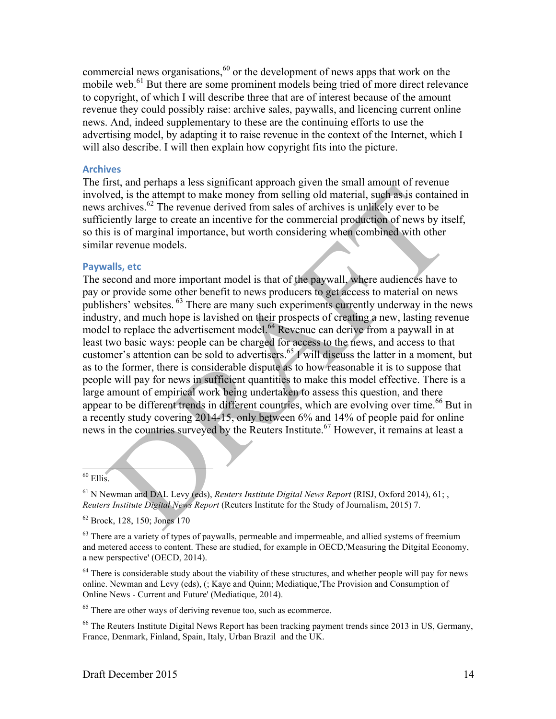commercial news organisations,<sup>60</sup> or the development of news apps that work on the mobile web.<sup>61</sup> But there are some prominent models being tried of more direct relevance to copyright, of which I will describe three that are of interest because of the amount revenue they could possibly raise: archive sales, paywalls, and licencing current online news. And, indeed supplementary to these are the continuing efforts to use the advertising model, by adapting it to raise revenue in the context of the Internet, which I will also describe. I will then explain how copyright fits into the picture.

#### **Archives**

The first, and perhaps a less significant approach given the small amount of revenue involved, is the attempt to make money from selling old material, such as is contained in news archives.<sup>62</sup> The revenue derived from sales of archives is unlikely ever to be sufficiently large to create an incentive for the commercial production of news by itself, so this is of marginal importance, but worth considering when combined with other similar revenue models.

#### **Paywalls, etc**

The second and more important model is that of the paywall, where audiences have to pay or provide some other benefit to news producers to get access to material on news publishers' websites. <sup>63</sup> There are many such experiments currently underway in the news industry, and much hope is lavished on their prospects of creating a new, lasting revenue model to replace the advertisement model.<sup>64</sup> Revenue can derive from a paywall in at least two basic ways: people can be charged for access to the news, and access to that customer's attention can be sold to advertisers.<sup>65</sup> I will discuss the latter in a moment, but as to the former, there is considerable dispute as to how reasonable it is to suppose that people will pay for news in sufficient quantities to make this model effective. There is a large amount of empirical work being undertaken to assess this question, and there appear to be different trends in different countries, which are evolving over time.<sup>66</sup> But in a recently study covering 2014-15, only between 6% and 14% of people paid for online news in the countries surveyed by the Reuters Institute.<sup>67</sup> However, it remains at least a

 $60$  Ellis.

<sup>61</sup> N Newman and DAL Levy (eds), *Reuters Institute Digital News Report* (RISJ, Oxford 2014), 61; , *Reuters Institute Digital News Report* (Reuters Institute for the Study of Journalism, 2015) 7.

<sup>62</sup> Brock, 128, 150; Jones 170

<sup>63</sup> There are a variety of types of paywalls, permeable and impermeable, and allied systems of freemium and metered access to content. These are studied, for example in OECD,'Measuring the Ditgital Economy, a new perspective' (OECD, 2014).

<sup>64</sup> There is considerable study about the viability of these structures, and whether people will pay for news online. Newman and Levy (eds), (; Kaye and Quinn; Mediatique,'The Provision and Consumption of Online News - Current and Future' (Mediatique, 2014).

<sup>65</sup> There are other ways of deriving revenue too, such as ecommerce.

<sup>66</sup> The Reuters Institute Digital News Report has been tracking payment trends since 2013 in US, Germany, France, Denmark, Finland, Spain, Italy, Urban Brazil and the UK.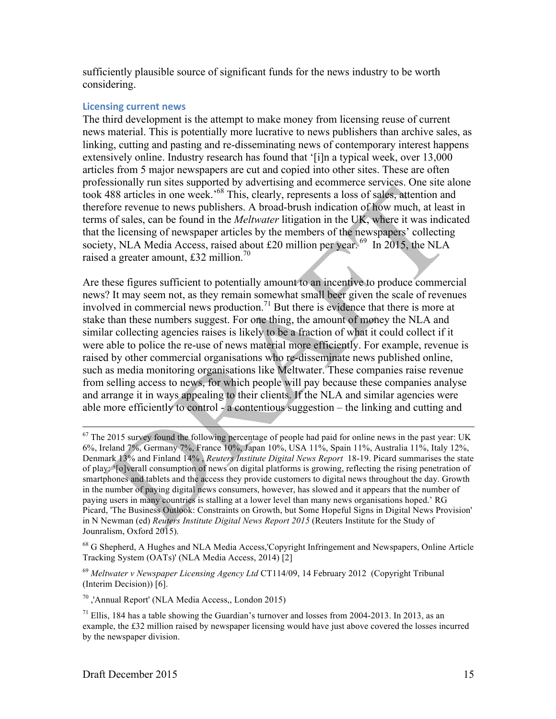sufficiently plausible source of significant funds for the news industry to be worth considering.

#### **Licensing current news**

The third development is the attempt to make money from licensing reuse of current news material. This is potentially more lucrative to news publishers than archive sales, as linking, cutting and pasting and re-disseminating news of contemporary interest happens extensively online. Industry research has found that '[i]n a typical week, over 13,000 articles from 5 major newspapers are cut and copied into other sites. These are often professionally run sites supported by advertising and ecommerce services. One site alone took 488 articles in one week.'68 This, clearly, represents a loss of sales, attention and therefore revenue to news publishers. A broad-brush indication of how much, at least in terms of sales, can be found in the *Meltwater* litigation in the UK, where it was indicated that the licensing of newspaper articles by the members of the newspapers' collecting society, NLA Media Access, raised about £20 million per year.  $^{69}$  In 2015, the NLA raised a greater amount, £32 million.<sup>70</sup>

Are these figures sufficient to potentially amount to an incentive to produce commercial news? It may seem not, as they remain somewhat small beer given the scale of revenues involved in commercial news production.<sup>71</sup> But there is evidence that there is more at stake than these numbers suggest. For one thing, the amount of money the NLA and similar collecting agencies raises is likely to be a fraction of what it could collect if it were able to police the re-use of news material more efficiently. For example, revenue is raised by other commercial organisations who re-disseminate news published online, such as media monitoring organisations like Meltwater. These companies raise revenue from selling access to news, for which people will pay because these companies analyse and arrange it in ways appealing to their clients. If the NLA and similar agencies were able more efficiently to control - a contentious suggestion – the linking and cutting and

<sup>69</sup> *Meltwater v Newspaper Licensing Agency Ltd* CT114/09, 14 February 2012 (Copyright Tribunal (Interim Decision)) [6].

<sup>&</sup>lt;sup>67</sup> The 2015 survey found the following percentage of people had paid for online news in the past year: UK 6%, Ireland 7%, Germany 7%, France 10%, Japan 10%, USA 11%, Spain 11%, Australia 11%, Italy 12%, Denmark 13% and Finland 14% , *Reuters Institute Digital News Report* 18-19. Picard summarises the state of play: '[o]verall consumption of news on digital platforms is growing, reflecting the rising penetration of smartphones and tablets and the access they provide customers to digital news throughout the day. Growth in the number of paying digital news consumers, however, has slowed and it appears that the number of paying users in many countries is stalling at a lower level than many news organisations hoped.' RG Picard, 'The Business Outlook: Constraints on Growth, but Some Hopeful Signs in Digital News Provision' in N Newman (ed) *Reuters Institute Digital News Report 2015* (Reuters Institute for the Study of Jounralism, Oxford 2015).

<sup>&</sup>lt;sup>68</sup> G Shepherd, A Hughes and NLA Media Access,'Copyright Infringement and Newspapers, Online Article Tracking System (OATs)' (NLA Media Access, 2014) [2]

<sup>70</sup> ,'Annual Report' (NLA Media Access,, London 2015)

 $^{71}$  Ellis, 184 has a table showing the Guardian's turnover and losses from 2004-2013. In 2013, as an example, the £32 million raised by newspaper licensing would have just above covered the losses incurred by the newspaper division.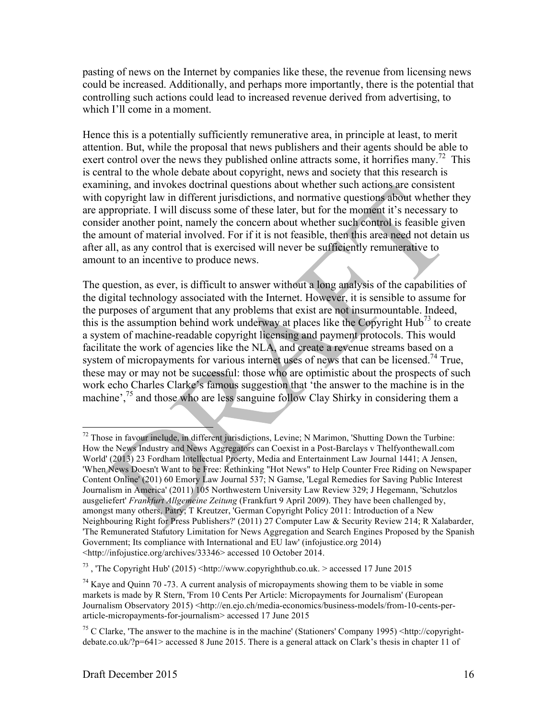pasting of news on the Internet by companies like these, the revenue from licensing news could be increased. Additionally, and perhaps more importantly, there is the potential that controlling such actions could lead to increased revenue derived from advertising, to which I'll come in a moment.

Hence this is a potentially sufficiently remunerative area, in principle at least, to merit attention. But, while the proposal that news publishers and their agents should be able to exert control over the news they published online attracts some, it horrifies many.<sup>72</sup> This is central to the whole debate about copyright, news and society that this research is examining, and invokes doctrinal questions about whether such actions are consistent with copyright law in different jurisdictions, and normative questions about whether they are appropriate. I will discuss some of these later, but for the moment it's necessary to consider another point, namely the concern about whether such control is feasible given the amount of material involved. For if it is not feasible, then this area need not detain us after all, as any control that is exercised will never be sufficiently remunerative to amount to an incentive to produce news.

The question, as ever, is difficult to answer without a long analysis of the capabilities of the digital technology associated with the Internet. However, it is sensible to assume for the purposes of argument that any problems that exist are not insurmountable. Indeed, this is the assumption behind work underway at places like the Copyright  $Hub^{73}$  to create a system of machine-readable copyright licensing and payment protocols. This would facilitate the work of agencies like the NLA, and create a revenue streams based on a system of micropayments for various internet uses of news that can be licensed.<sup>74</sup> True, these may or may not be successful: those who are optimistic about the prospects of such work echo Charles Clarke's famous suggestion that 'the answer to the machine is in the machine',<sup>75</sup> and those who are less sanguine follow Clay Shirky in considering them a

<sup>&</sup>lt;sup>72</sup> Those in favour include, in different jurisdictions, Levine; N Marimon, 'Shutting Down the Turbine: How the News Industry and News Aggregators can Coexist in a Post-Barclays v Thelfyonthewall.com World' (2013) 23 Fordham Intellectual Proerty, Media and Entertainment Law Journal 1441; A Jensen, 'When News Doesn't Want to be Free: Rethinking "Hot News" to Help Counter Free Riding on Newspaper Content Online' (201) 60 Emory Law Journal 537; N Gamse, 'Legal Remedies for Saving Public Interest Journalism in America' (2011) 105 Northwestern University Law Review 329; J Hegemann, 'Schutzlos ausgeliefert' *Frankfurt Allgemeine Zeitung* (Frankfurt 9 April 2009). They have been challenged by, amongst many others, Patry; T Kreutzer, 'German Copyright Policy 2011: Introduction of a New Neighbouring Right for Press Publishers?' (2011) 27 Computer Law & Security Review 214; R Xalabarder, 'The Remunerated Statutory Limitation for News Aggregation and Search Engines Proposed by the Spanish Government; Its compliance with International and EU law' (infojustice.org 2014) <http://infojustice.org/archives/33346> accessed 10 October 2014.

<sup>&</sup>lt;sup>73</sup>, 'The Copyright Hub' (2015) <http://www.copyrighthub.co.uk. > accessed 17 June 2015

 $74$  Kaye and Quinn 70 -73. A current analysis of micropayments showing them to be viable in some markets is made by R Stern, 'From 10 Cents Per Article: Micropayments for Journalism' (European Journalism Observatory 2015) <http://en.ejo.ch/media-economics/business-models/from-10-cents-perarticle-micropayments-for-journalism> accessed 17 June 2015

<sup>&</sup>lt;sup>75</sup> C Clarke, 'The answer to the machine is in the machine' (Stationers' Company 1995) <http://copyrightdebate.co.uk/?p=641> accessed 8 June 2015. There is a general attack on Clark's thesis in chapter 11 of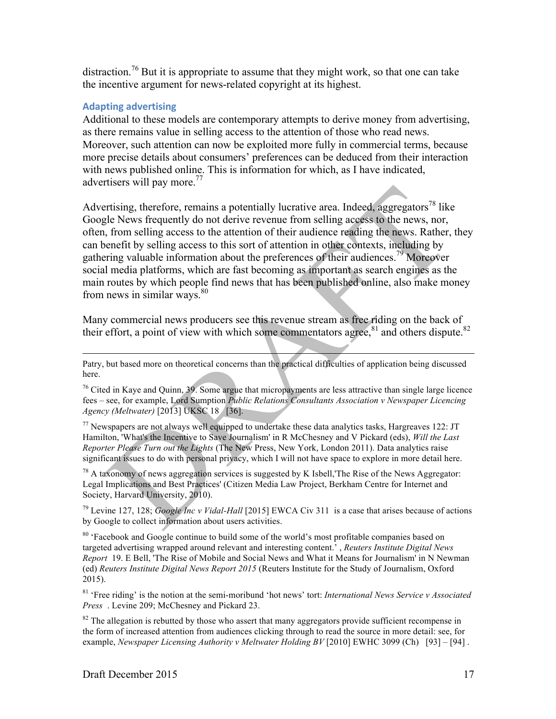distraction.<sup>76</sup> But it is appropriate to assume that they might work, so that one can take the incentive argument for news-related copyright at its highest.

## **Adapting advertising**

Additional to these models are contemporary attempts to derive money from advertising, as there remains value in selling access to the attention of those who read news. Moreover, such attention can now be exploited more fully in commercial terms, because more precise details about consumers' preferences can be deduced from their interaction with news published online. This is information for which, as I have indicated, advertisers will pay more.<sup>77</sup>

Advertising, therefore, remains a potentially lucrative area. Indeed, aggregators<sup>78</sup> like Google News frequently do not derive revenue from selling access to the news, nor, often, from selling access to the attention of their audience reading the news. Rather, they can benefit by selling access to this sort of attention in other contexts, including by gathering valuable information about the preferences of their audiences.<sup>79</sup> Moreover social media platforms, which are fast becoming as important as search engines as the main routes by which people find news that has been published online, also make money from news in similar ways. $80$ 

Many commercial news producers see this revenue stream as free riding on the back of their effort, a point of view with which some commentators agree, $81$  and others dispute.<sup>82</sup>

 $77$  Newspapers are not always well equipped to undertake these data analytics tasks, Hargreaves 122: JT Hamilton, 'What's the Incentive to Save Journalism' in R McChesney and V Pickard (eds), *Will the Last Reporter Please Turn out the Lights* (The New Press, New York, London 2011). Data analytics raise significant issues to do with personal privacy, which I will not have space to explore in more detail here.

<sup>78</sup> A taxonomy of news aggregation services is suggested by K Isbell, The Rise of the News Aggregator: Legal Implications and Best Practices' (Citizen Media Law Project, Berkham Centre for Internet and Society, Harvard University, 2010).

<sup>79</sup> Levine 127, 128; *Google Inc v Vidal-Hall* [2015] EWCA Civ 311 is a case that arises because of actions by Google to collect information about users activities.

<sup>80</sup> 'Facebook and Google continue to build some of the world's most profitable companies based on targeted advertising wrapped around relevant and interesting content.' , *Reuters Institute Digital News Report* 19. E Bell, 'The Rise of Mobile and Social News and What it Means for Journalism' in N Newman (ed) *Reuters Institute Digital News Report 2015* (Reuters Institute for the Study of Journalism, Oxford 2015).

<sup>81</sup> 'Free riding' is the notion at the semi-moribund 'hot news' tort: *International News Service v Associated Press* . Levine 209; McChesney and Pickard 23.

 $82$  The allegation is rebutted by those who assert that many aggregators provide sufficient recompense in the form of increased attention from audiences clicking through to read the source in more detail: see, for example, *Newspaper Licensing Authority v Meltwater Holding BV* [2010] EWHC 3099 (Ch) [93] – [94].

Patry, but based more on theoretical concerns than the practical difficulties of application being discussed here.

<sup>&</sup>lt;sup>76</sup> Cited in Kaye and Quinn, 39. Some argue that micropayments are less attractive than single large licence fees – see, for example, Lord Sumption *Public Relations Consultants Association v Newspaper Licencing Agency (Meltwater)* [2013] UKSC 18 [36].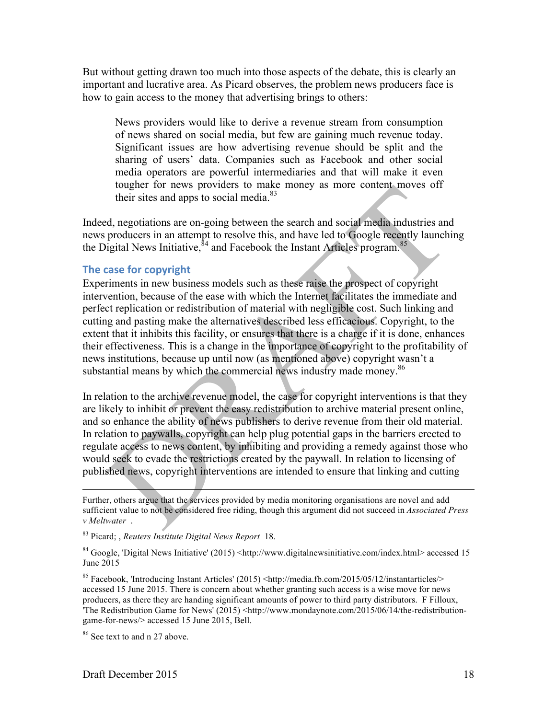But without getting drawn too much into those aspects of the debate, this is clearly an important and lucrative area. As Picard observes, the problem news producers face is how to gain access to the money that advertising brings to others:

News providers would like to derive a revenue stream from consumption of news shared on social media, but few are gaining much revenue today. Significant issues are how advertising revenue should be split and the sharing of users' data. Companies such as Facebook and other social media operators are powerful intermediaries and that will make it even tougher for news providers to make money as more content moves off their sites and apps to social media.<sup>83</sup>

Indeed, negotiations are on-going between the search and social media industries and news producers in an attempt to resolve this, and have led to Google recently launching the Digital News Initiative,  $\frac{\dot{\delta}^4}{4}$  and Facebook the Instant Articles program.<sup>85</sup>

## **The case for copyright**

Experiments in new business models such as these raise the prospect of copyright intervention, because of the ease with which the Internet facilitates the immediate and perfect replication or redistribution of material with negligible cost. Such linking and cutting and pasting make the alternatives described less efficacious. Copyright, to the extent that it inhibits this facility, or ensures that there is a charge if it is done, enhances their effectiveness. This is a change in the importance of copyright to the profitability of news institutions, because up until now (as mentioned above) copyright wasn't a substantial means by which the commercial news industry made money.<sup>86</sup>

In relation to the archive revenue model, the case for copyright interventions is that they are likely to inhibit or prevent the easy redistribution to archive material present online, and so enhance the ability of news publishers to derive revenue from their old material. In relation to paywalls, copyright can help plug potential gaps in the barriers erected to regulate access to news content, by inhibiting and providing a remedy against those who would seek to evade the restrictions created by the paywall. In relation to licensing of published news, copyright interventions are intended to ensure that linking and cutting

Further, others argue that the services provided by media monitoring organisations are novel and add sufficient value to not be considered free riding, though this argument did not succeed in *Associated Press v Meltwater* .

<sup>83</sup> Picard; , *Reuters Institute Digital News Report* 18.

<sup>84</sup> Google, 'Digital News Initiative' (2015) <http://www.digitalnewsinitiative.com/index.html> accessed 15 June 2015

<sup>85</sup> Facebook, 'Introducing Instant Articles' (2015) <http://media.fb.com/2015/05/12/instantarticles/> accessed 15 June 2015. There is concern about whether granting such access is a wise move for news producers, as there they are handing significant amounts of power to third party distributors. F Filloux, The Redistribution Game for News' (2015) <http://www.mondaynote.com/2015/06/14/the-redistributiongame-for-news/> accessed 15 June 2015, Bell.

<sup>86</sup> See text to and n 27 above.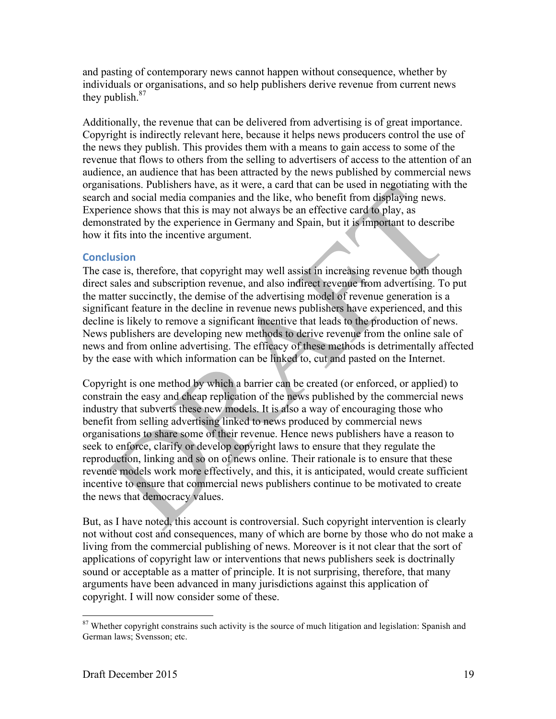and pasting of contemporary news cannot happen without consequence, whether by individuals or organisations, and so help publishers derive revenue from current news they publish. $87$ 

Additionally, the revenue that can be delivered from advertising is of great importance. Copyright is indirectly relevant here, because it helps news producers control the use of the news they publish. This provides them with a means to gain access to some of the revenue that flows to others from the selling to advertisers of access to the attention of an audience, an audience that has been attracted by the news published by commercial news organisations. Publishers have, as it were, a card that can be used in negotiating with the search and social media companies and the like, who benefit from displaying news. Experience shows that this is may not always be an effective card to play, as demonstrated by the experience in Germany and Spain, but it is important to describe how it fits into the incentive argument.

## **Conclusion**

The case is, therefore, that copyright may well assist in increasing revenue both though direct sales and subscription revenue, and also indirect revenue from advertising. To put the matter succinctly, the demise of the advertising model of revenue generation is a significant feature in the decline in revenue news publishers have experienced, and this decline is likely to remove a significant incentive that leads to the production of news. News publishers are developing new methods to derive revenue from the online sale of news and from online advertising. The efficacy of these methods is detrimentally affected by the ease with which information can be linked to, cut and pasted on the Internet.

Copyright is one method by which a barrier can be created (or enforced, or applied) to constrain the easy and cheap replication of the news published by the commercial news industry that subverts these new models. It is also a way of encouraging those who benefit from selling advertising linked to news produced by commercial news organisations to share some of their revenue. Hence news publishers have a reason to seek to enforce, clarify or develop copyright laws to ensure that they regulate the reproduction, linking and so on of news online. Their rationale is to ensure that these revenue models work more effectively, and this, it is anticipated, would create sufficient incentive to ensure that commercial news publishers continue to be motivated to create the news that democracy values.

But, as I have noted, this account is controversial. Such copyright intervention is clearly not without cost and consequences, many of which are borne by those who do not make a living from the commercial publishing of news. Moreover is it not clear that the sort of applications of copyright law or interventions that news publishers seek is doctrinally sound or acceptable as a matter of principle. It is not surprising, therefore, that many arguments have been advanced in many jurisdictions against this application of copyright. I will now consider some of these.

<sup>&</sup>lt;sup>87</sup> Whether copyright constrains such activity is the source of much litigation and legislation: Spanish and German laws; Svensson; etc.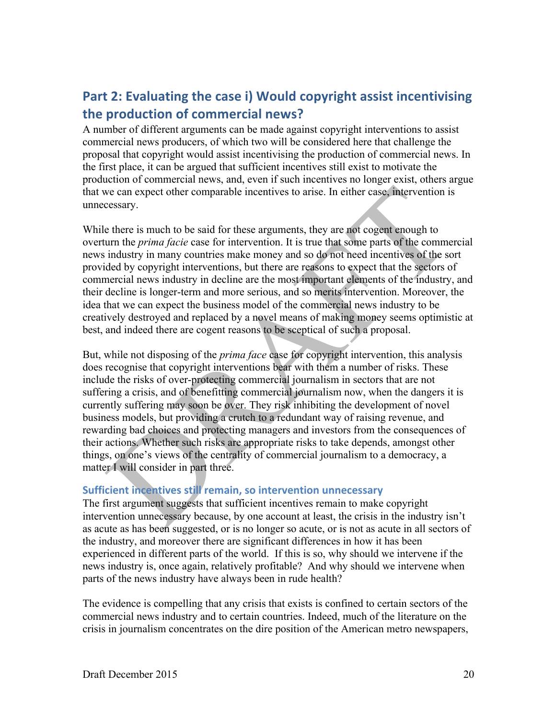# Part 2: Evaluating the case i) Would copyright assist incentivising **the production of commercial news?**

A number of different arguments can be made against copyright interventions to assist commercial news producers, of which two will be considered here that challenge the proposal that copyright would assist incentivising the production of commercial news. In the first place, it can be argued that sufficient incentives still exist to motivate the production of commercial news, and, even if such incentives no longer exist, others argue that we can expect other comparable incentives to arise. In either case, intervention is unnecessary.

While there is much to be said for these arguments, they are not cogent enough to overturn the *prima facie* case for intervention. It is true that some parts of the commercial news industry in many countries make money and so do not need incentives of the sort provided by copyright interventions, but there are reasons to expect that the sectors of commercial news industry in decline are the most important elements of the industry, and their decline is longer-term and more serious, and so merits intervention. Moreover, the idea that we can expect the business model of the commercial news industry to be creatively destroyed and replaced by a novel means of making money seems optimistic at best, and indeed there are cogent reasons to be sceptical of such a proposal.

But, while not disposing of the *prima face* case for copyright intervention, this analysis does recognise that copyright interventions bear with them a number of risks. These include the risks of over-protecting commercial journalism in sectors that are not suffering a crisis, and of benefitting commercial journalism now, when the dangers it is currently suffering may soon be over. They risk inhibiting the development of novel business models, but providing a crutch to a redundant way of raising revenue, and rewarding bad choices and protecting managers and investors from the consequences of their actions. Whether such risks are appropriate risks to take depends, amongst other things, on one's views of the centrality of commercial journalism to a democracy, a matter I will consider in part three.

# **Sufficient incentives still remain, so intervention unnecessary**

The first argument suggests that sufficient incentives remain to make copyright intervention unnecessary because, by one account at least, the crisis in the industry isn't as acute as has been suggested, or is no longer so acute, or is not as acute in all sectors of the industry, and moreover there are significant differences in how it has been experienced in different parts of the world. If this is so, why should we intervene if the news industry is, once again, relatively profitable? And why should we intervene when parts of the news industry have always been in rude health?

The evidence is compelling that any crisis that exists is confined to certain sectors of the commercial news industry and to certain countries. Indeed, much of the literature on the crisis in journalism concentrates on the dire position of the American metro newspapers,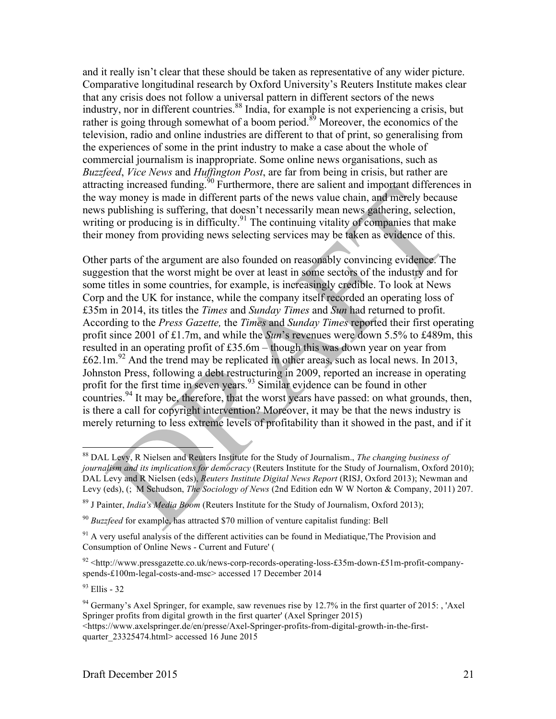and it really isn't clear that these should be taken as representative of any wider picture. Comparative longitudinal research by Oxford University's Reuters Institute makes clear that any crisis does not follow a universal pattern in different sectors of the news industry, nor in different countries.<sup>88</sup> India, for example is not experiencing a crisis, but rather is going through somewhat of a boom period.<sup>89</sup> Moreover, the economics of the television, radio and online industries are different to that of print, so generalising from the experiences of some in the print industry to make a case about the whole of commercial journalism is inappropriate. Some online news organisations, such as *Buzzfeed*, *Vice News* and *Huffington Post*, are far from being in crisis, but rather are attracting increased funding.<sup>90</sup> Furthermore, there are salient and important differences in the way money is made in different parts of the news value chain, and merely because news publishing is suffering, that doesn't necessarily mean news gathering, selection, writing or producing is in difficulty.<sup>91</sup> The continuing vitality of companies that make their money from providing news selecting services may be taken as evidence of this.

Other parts of the argument are also founded on reasonably convincing evidence. The suggestion that the worst might be over at least in some sectors of the industry and for some titles in some countries, for example, is increasingly credible. To look at News Corp and the UK for instance, while the company itself recorded an operating loss of £35m in 2014, its titles the *Times* and *Sunday Times* and *Sun* had returned to profit. According to the *Press Gazette,* the *Times* and *Sunday Times* reported their first operating profit since 2001 of £1.7m, and while the *Sun*'s revenues were down 5.5% to £489m, this resulted in an operating profit of £35.6m – though this was down year on year from  $\text{\textsterling}62.1\text{m}^{92}$  And the trend may be replicated in other areas, such as local news. In 2013, Johnston Press, following a debt restructuring in 2009, reported an increase in operating profit for the first time in seven years.<sup>93</sup> Similar evidence can be found in other countries.<sup>94</sup> It may be, therefore, that the worst years have passed: on what grounds, then, is there a call for copyright intervention? Moreover, it may be that the news industry is merely returning to less extreme levels of profitability than it showed in the past, and if it

<sup>93</sup> Ellis - 32

 <sup>88</sup> DAL Levy, R Nielsen and Reuters Institute for the Study of Journalism., *The changing business of journalism and its implications for democracy* (Reuters Institute for the Study of Journalism, Oxford 2010); DAL Levy and R Nielsen (eds), *Reuters Institute Digital News Report* (RISJ, Oxford 2013); Newman and Levy (eds), (; M Schudson, *The Sociology of News* (2nd Edition edn W W Norton & Company, 2011) 207.

<sup>89</sup> J Painter, *India's Media Boom* (Reuters Institute for the Study of Journalism, Oxford 2013);

<sup>90</sup> *Buzzfeed* for example, has attracted \$70 million of venture capitalist funding: Bell

 $91$  A very useful analysis of the different activities can be found in Mediatique. The Provision and Consumption of Online News - Current and Future' (

<sup>92</sup> <http://www.pressgazette.co.uk/news-corp-records-operating-loss-£35m-down-£51m-profit-companyspends-£100m-legal-costs-and-msc> accessed 17 December 2014

 $94$  Germany's Axel Springer, for example, saw revenues rise by 12.7% in the first quarter of 2015: , 'Axel Springer profits from digital growth in the first quarter' (Axel Springer 2015)

<sup>&</sup>lt;https://www.axelspringer.de/en/presse/Axel-Springer-profits-from-digital-growth-in-the-firstquarter\_23325474.html> accessed 16 June 2015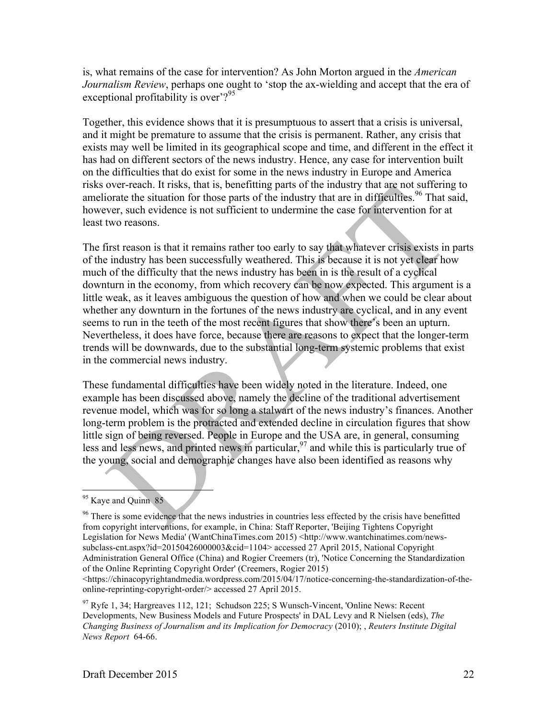is, what remains of the case for intervention? As John Morton argued in the *American Journalism Review*, perhaps one ought to 'stop the ax-wielding and accept that the era of exceptional profitability is over'?<sup>95</sup>

Together, this evidence shows that it is presumptuous to assert that a crisis is universal, and it might be premature to assume that the crisis is permanent. Rather, any crisis that exists may well be limited in its geographical scope and time, and different in the effect it has had on different sectors of the news industry. Hence, any case for intervention built on the difficulties that do exist for some in the news industry in Europe and America risks over-reach. It risks, that is, benefitting parts of the industry that are not suffering to ameliorate the situation for those parts of the industry that are in difficulties.<sup>96</sup> That said, however, such evidence is not sufficient to undermine the case for intervention for at least two reasons.

The first reason is that it remains rather too early to say that whatever crisis exists in parts of the industry has been successfully weathered. This is because it is not yet clear how much of the difficulty that the news industry has been in is the result of a cyclical downturn in the economy, from which recovery can be now expected. This argument is a little weak, as it leaves ambiguous the question of how and when we could be clear about whether any downturn in the fortunes of the news industry are cyclical, and in any event seems to run in the teeth of the most recent figures that show there's been an upturn. Nevertheless, it does have force, because there are reasons to expect that the longer-term trends will be downwards, due to the substantial long-term systemic problems that exist in the commercial news industry.

These fundamental difficulties have been widely noted in the literature. Indeed, one example has been discussed above, namely the decline of the traditional advertisement revenue model, which was for so long a stalwart of the news industry's finances. Another long-term problem is the protracted and extended decline in circulation figures that show little sign of being reversed. People in Europe and the USA are, in general, consuming less and less news, and printed news in particular,  $\frac{97}{9}$  and while this is particularly true of the young, social and demographic changes have also been identified as reasons why

<sup>&</sup>lt;sup>95</sup> Kaye and Quinn 85

<sup>&</sup>lt;sup>96</sup> There is some evidence that the news industries in countries less effected by the crisis have benefitted from copyright interventions, for example, in China: Staff Reporter, 'Beijing Tightens Copyright Legislation for News Media' (WantChinaTimes.com 2015) <http://www.wantchinatimes.com/newssubclass-cnt.aspx?id=20150426000003&cid=1104> accessed 27 April 2015, National Copyright Administration General Office (China) and Rogier Creemers (tr), 'Notice Concerning the Standardization of the Online Reprinting Copyright Order' (Creemers, Rogier 2015)

 $\lt$ https://chinacopyrightandmedia.wordpress.com/2015/04/17/notice-concerning-the-standardization-of-theonline-reprinting-copyright-order/> accessed 27 April 2015.

 $97$  Ryfe 1, 34; Hargreaves 112, 121; Schudson 225; S Wunsch-Vincent, 'Online News: Recent Developments, New Business Models and Future Prospects' in DAL Levy and R Nielsen (eds), *The Changing Business of Journalism and its Implication for Democracy* (2010); , *Reuters Institute Digital News Report* 64-66.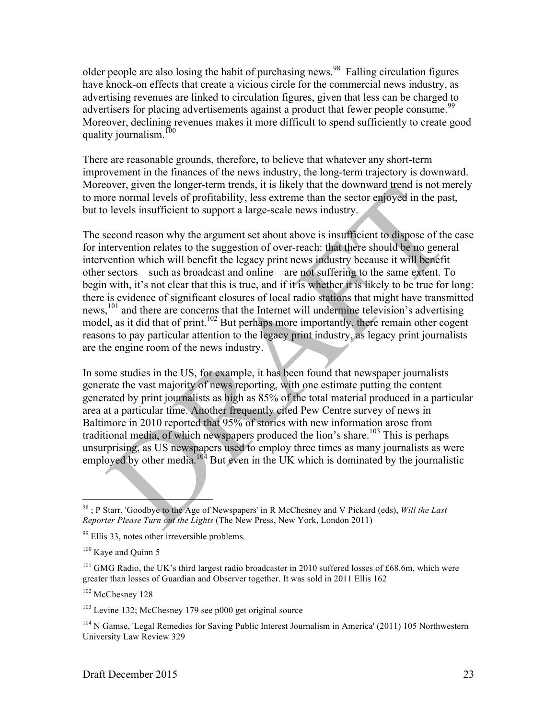older people are also losing the habit of purchasing news.<sup>98</sup> Falling circulation figures have knock-on effects that create a vicious circle for the commercial news industry, as advertising revenues are linked to circulation figures, given that less can be charged to advertisers for placing advertisements against a product that fewer people consume.<sup>99</sup> Moreover, declining revenues makes it more difficult to spend sufficiently to create good quality journalism.<sup>100</sup>

There are reasonable grounds, therefore, to believe that whatever any short-term improvement in the finances of the news industry, the long-term trajectory is downward. Moreover, given the longer-term trends, it is likely that the downward trend is not merely to more normal levels of profitability, less extreme than the sector enjoyed in the past, but to levels insufficient to support a large-scale news industry.

The second reason why the argument set about above is insufficient to dispose of the case for intervention relates to the suggestion of over-reach: that there should be no general intervention which will benefit the legacy print news industry because it will benefit other sectors – such as broadcast and online – are not suffering to the same extent. To begin with, it's not clear that this is true, and if it is whether it is likely to be true for long: there is evidence of significant closures of local radio stations that might have transmitted news,<sup>101</sup> and there are concerns that the Internet will undermine television's advertising model, as it did that of print.<sup>102</sup> But perhaps more importantly, there remain other cogent reasons to pay particular attention to the legacy print industry, as legacy print journalists are the engine room of the news industry.

In some studies in the US, for example, it has been found that newspaper journalists generate the vast majority of news reporting, with one estimate putting the content generated by print journalists as high as 85% of the total material produced in a particular area at a particular time. Another frequently cited Pew Centre survey of news in Baltimore in 2010 reported that 95% of stories with new information arose from traditional media, of which newspapers produced the lion's share.<sup>103</sup> This is perhaps unsurprising, as US newspapers used to employ three times as many journalists as were employed by other media.<sup>104</sup> But even in the UK which is dominated by the journalistic

<sup>102</sup> McChesney 128

 <sup>98</sup> ; P Starr, 'Goodbye to the Age of Newspapers' in R McChesney and V Pickard (eds), *Will the Last Reporter Please Turn out the Lights* (The New Press, New York, London 2011)

<sup>99</sup> Ellis 33, notes other irreversible problems.

 $100$  Kaye and Ouinn 5

<sup>&</sup>lt;sup>101</sup> GMG Radio, the UK's third largest radio broadcaster in 2010 suffered losses of £68.6m, which were greater than losses of Guardian and Observer together. It was sold in 2011 Ellis 162

<sup>103</sup> Levine 132; McChesney 179 see p000 get original source

<sup>&</sup>lt;sup>104</sup> N Gamse, 'Legal Remedies for Saving Public Interest Journalism in America' (2011) 105 Northwestern University Law Review 329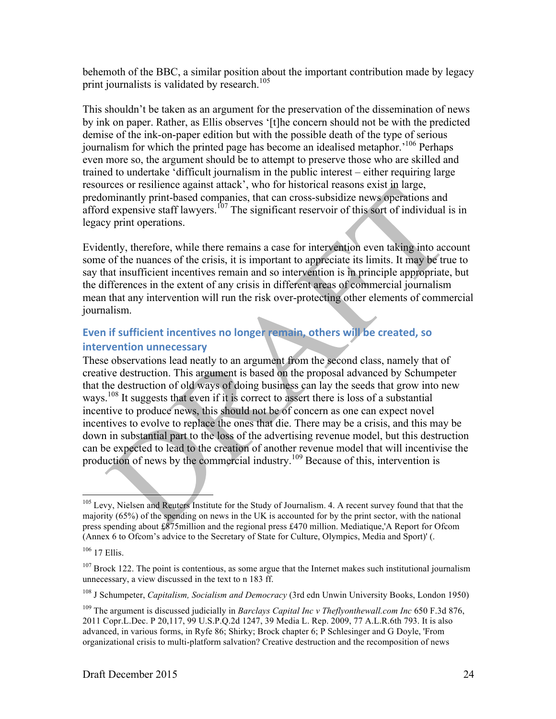behemoth of the BBC, a similar position about the important contribution made by legacy print journalists is validated by research.<sup>105</sup>

This shouldn't be taken as an argument for the preservation of the dissemination of news by ink on paper. Rather, as Ellis observes '[t]he concern should not be with the predicted demise of the ink-on-paper edition but with the possible death of the type of serious journalism for which the printed page has become an idealised metaphor.<sup>106</sup> Perhaps even more so, the argument should be to attempt to preserve those who are skilled and trained to undertake 'difficult journalism in the public interest – either requiring large resources or resilience against attack', who for historical reasons exist in large, predominantly print-based companies, that can cross-subsidize news operations and afford expensive staff lawyers.<sup>107</sup> The significant reservoir of this sort of individual is in legacy print operations.

Evidently, therefore, while there remains a case for intervention even taking into account some of the nuances of the crisis, it is important to appreciate its limits. It may be true to say that insufficient incentives remain and so intervention is in principle appropriate, but the differences in the extent of any crisis in different areas of commercial journalism mean that any intervention will run the risk over-protecting other elements of commercial journalism.

# Even if sufficient incentives no longer remain, others will be created, so **intervention unnecessary**

These observations lead neatly to an argument from the second class, namely that of creative destruction. This argument is based on the proposal advanced by Schumpeter that the destruction of old ways of doing business can lay the seeds that grow into new ways.<sup>108</sup> It suggests that even if it is correct to assert there is loss of a substantial incentive to produce news, this should not be of concern as one can expect novel incentives to evolve to replace the ones that die. There may be a crisis, and this may be down in substantial part to the loss of the advertising revenue model, but this destruction can be expected to lead to the creation of another revenue model that will incentivise the production of news by the commercial industry.<sup>109</sup> Because of this, intervention is

<sup>108</sup> J Schumpeter, *Capitalism, Socialism and Democracy* (3rd edn Unwin University Books, London 1950)

<sup>&</sup>lt;sup>105</sup> Levy, Nielsen and Reuters Institute for the Study of Journalism. 4. A recent survey found that that the majority (65%) of the spending on news in the UK is accounted for by the print sector, with the national press spending about £875million and the regional press £470 million. Mediatique,'A Report for Ofcom (Annex 6 to Ofcom's advice to the Secretary of State for Culture, Olympics, Media and Sport)' (.

<sup>106</sup> 17 Ellis.

 $107$  Brock 122. The point is contentious, as some argue that the Internet makes such institutional journalism unnecessary, a view discussed in the text to n 183 ff.

<sup>109</sup> The argument is discussed judicially in *Barclays Capital Inc v Theflyonthewall.com Inc* 650 F.3d 876, 2011 Copr.L.Dec. P 20,117, 99 U.S.P.Q.2d 1247, 39 Media L. Rep. 2009, 77 A.L.R.6th 793. It is also advanced, in various forms, in Ryfe 86; Shirky; Brock chapter 6; P Schlesinger and G Doyle, 'From organizational crisis to multi-platform salvation? Creative destruction and the recomposition of news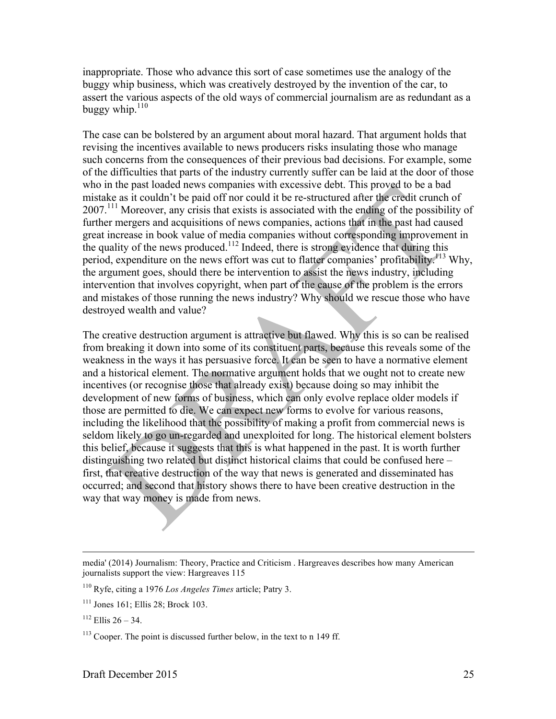inappropriate. Those who advance this sort of case sometimes use the analogy of the buggy whip business, which was creatively destroyed by the invention of the car, to assert the various aspects of the old ways of commercial journalism are as redundant as a buggy whip. $110$ 

The case can be bolstered by an argument about moral hazard. That argument holds that revising the incentives available to news producers risks insulating those who manage such concerns from the consequences of their previous bad decisions. For example, some of the difficulties that parts of the industry currently suffer can be laid at the door of those who in the past loaded news companies with excessive debt. This proved to be a bad mistake as it couldn't be paid off nor could it be re-structured after the credit crunch of 2007.<sup>111</sup> Moreover, any crisis that exists is associated with the ending of the possibility of further mergers and acquisitions of news companies, actions that in the past had caused great increase in book value of media companies without corresponding improvement in the quality of the news produced.<sup>112</sup> Indeed, there is strong evidence that during this period, expenditure on the news effort was cut to flatter companies' profitability.<sup>113</sup> Why, the argument goes, should there be intervention to assist the news industry, including intervention that involves copyright, when part of the cause of the problem is the errors and mistakes of those running the news industry? Why should we rescue those who have destroyed wealth and value?

The creative destruction argument is attractive but flawed. Why this is so can be realised from breaking it down into some of its constituent parts, because this reveals some of the weakness in the ways it has persuasive force. It can be seen to have a normative element and a historical element. The normative argument holds that we ought not to create new incentives (or recognise those that already exist) because doing so may inhibit the development of new forms of business, which can only evolve replace older models if those are permitted to die. We can expect new forms to evolve for various reasons, including the likelihood that the possibility of making a profit from commercial news is seldom likely to go un-regarded and unexploited for long. The historical element bolsters this belief, because it suggests that this is what happened in the past. It is worth further distinguishing two related but distinct historical claims that could be confused here – first, that creative destruction of the way that news is generated and disseminated has occurred; and second that history shows there to have been creative destruction in the way that way money is made from news.

 $\overline{a}$ 

media' (2014) Journalism: Theory, Practice and Criticism . Hargreaves describes how many American journalists support the view: Hargreaves 115

<sup>110</sup> Ryfe, citing a 1976 *Los Angeles Times* article; Patry 3.

 $111$  Jones 161: Ellis 28: Brock 103.

 $112$  Ellis 26 – 34.

<sup>&</sup>lt;sup>113</sup> Cooper. The point is discussed further below, in the text to n 149 ff.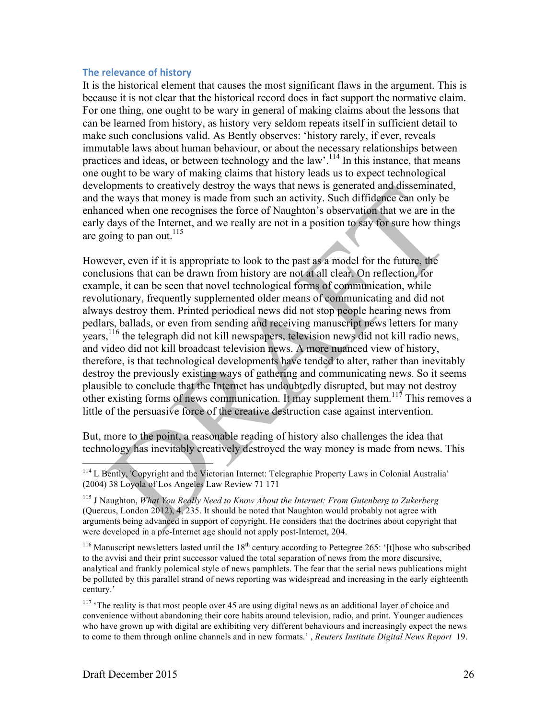#### **The relevance of history**

It is the historical element that causes the most significant flaws in the argument. This is because it is not clear that the historical record does in fact support the normative claim. For one thing, one ought to be wary in general of making claims about the lessons that can be learned from history, as history very seldom repeats itself in sufficient detail to make such conclusions valid. As Bently observes: 'history rarely, if ever, reveals immutable laws about human behaviour, or about the necessary relationships between practices and ideas, or between technology and the law'.<sup>114</sup> In this instance, that means one ought to be wary of making claims that history leads us to expect technological developments to creatively destroy the ways that news is generated and disseminated, and the ways that money is made from such an activity. Such diffidence can only be enhanced when one recognises the force of Naughton's observation that we are in the early days of the Internet, and we really are not in a position to say for sure how things are going to pan out. $115$ 

However, even if it is appropriate to look to the past as a model for the future, the conclusions that can be drawn from history are not at all clear. On reflection, for example, it can be seen that novel technological forms of communication, while revolutionary, frequently supplemented older means of communicating and did not always destroy them. Printed periodical news did not stop people hearing news from pedlars, ballads, or even from sending and receiving manuscript news letters for many years,<sup>116</sup> the telegraph did not kill newspapers, television news did not kill radio news, and video did not kill broadcast television news. A more nuanced view of history, therefore, is that technological developments have tended to alter, rather than inevitably destroy the previously existing ways of gathering and communicating news. So it seems plausible to conclude that the Internet has undoubtedly disrupted, but may not destroy other existing forms of news communication. It may supplement them.<sup>117</sup> This removes a little of the persuasive force of the creative destruction case against intervention.

But, more to the point, a reasonable reading of history also challenges the idea that technology has inevitably creatively destroyed the way money is made from news. This

<sup>116</sup> Manuscript newsletters lasted until the  $18<sup>th</sup>$  century according to Pettegree 265: '[t]hose who subscribed to the avvisi and their print successor valued the total separation of news from the more discursive, analytical and frankly polemical style of news pamphlets. The fear that the serial news publications might be polluted by this parallel strand of news reporting was widespread and increasing in the early eighteenth century.'

<sup>117</sup> 'The reality is that most people over 45 are using digital news as an additional layer of choice and convenience without abandoning their core habits around television, radio, and print. Younger audiences who have grown up with digital are exhibiting very different behaviours and increasingly expect the news to come to them through online channels and in new formats.' , *Reuters Institute Digital News Report* 19.

<sup>&</sup>lt;sup>114</sup> L Bently, 'Copyright and the Victorian Internet: Telegraphic Property Laws in Colonial Australia' (2004) 38 Loyola of Los Angeles Law Review 71 171

<sup>115</sup> J Naughton, *What You Really Need to Know About the Internet: From Gutenberg to Zukerberg* (Quercus, London 2012), 4, 235. It should be noted that Naughton would probably not agree with arguments being advanced in support of copyright. He considers that the doctrines about copyright that were developed in a pre-Internet age should not apply post-Internet, 204.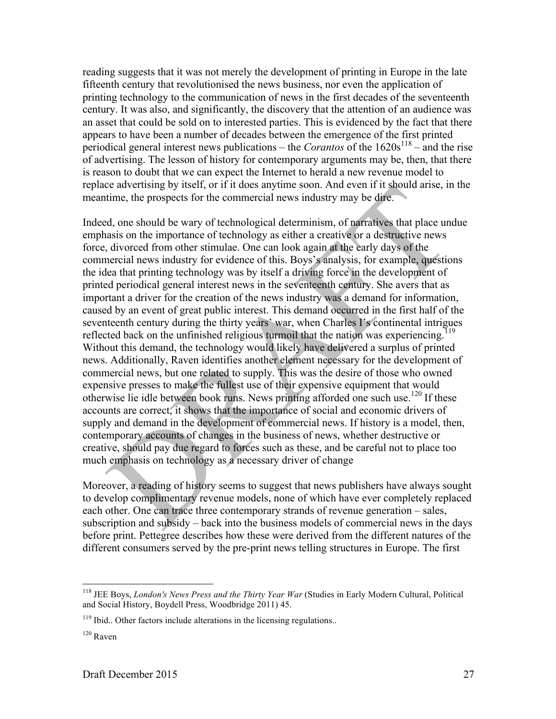reading suggests that it was not merely the development of printing in Europe in the late fifteenth century that revolutionised the news business, nor even the application of printing technology to the communication of news in the first decades of the seventeenth century. It was also, and significantly, the discovery that the attention of an audience was an asset that could be sold on to interested parties. This is evidenced by the fact that there appears to have been a number of decades between the emergence of the first printed periodical general interest news publications – the *Corantos* of the  $1620s^{118}$  – and the rise of advertising. The lesson of history for contemporary arguments may be, then, that there is reason to doubt that we can expect the Internet to herald a new revenue model to replace advertising by itself, or if it does anytime soon. And even if it should arise, in the meantime, the prospects for the commercial news industry may be dire.

Indeed, one should be wary of technological determinism, of narratives that place undue emphasis on the importance of technology as either a creative or a destructive news force, divorced from other stimulae. One can look again at the early days of the commercial news industry for evidence of this. Boys's analysis, for example, questions the idea that printing technology was by itself a driving force in the development of printed periodical general interest news in the seventeenth century. She avers that as important a driver for the creation of the news industry was a demand for information, caused by an event of great public interest. This demand occurred in the first half of the seventeenth century during the thirty years' war, when Charles I's continental intrigues reflected back on the unfinished religious turmoil that the nation was experiencing.<sup>119</sup> Without this demand, the technology would likely have delivered a surplus of printed news. Additionally, Raven identifies another element necessary for the development of commercial news, but one related to supply. This was the desire of those who owned expensive presses to make the fullest use of their expensive equipment that would otherwise lie idle between book runs. News printing afforded one such use.<sup>120</sup> If these accounts are correct, it shows that the importance of social and economic drivers of supply and demand in the development of commercial news. If history is a model, then, contemporary accounts of changes in the business of news, whether destructive or creative, should pay due regard to forces such as these, and be careful not to place too much emphasis on technology as a necessary driver of change

Moreover, a reading of history seems to suggest that news publishers have always sought to develop complimentary revenue models, none of which have ever completely replaced each other. One can trace three contemporary strands of revenue generation – sales, subscription and subsidy – back into the business models of commercial news in the days before print. Pettegree describes how these were derived from the different natures of the different consumers served by the pre-print news telling structures in Europe. The first

 <sup>118</sup> JEE Boys, *London's News Press and the Thirty Year War* (Studies in Early Modern Cultural, Political and Social History, Boydell Press, Woodbridge 2011) 45.

 $119$  Ibid.. Other factors include alterations in the licensing regulations..

 $120$  Raven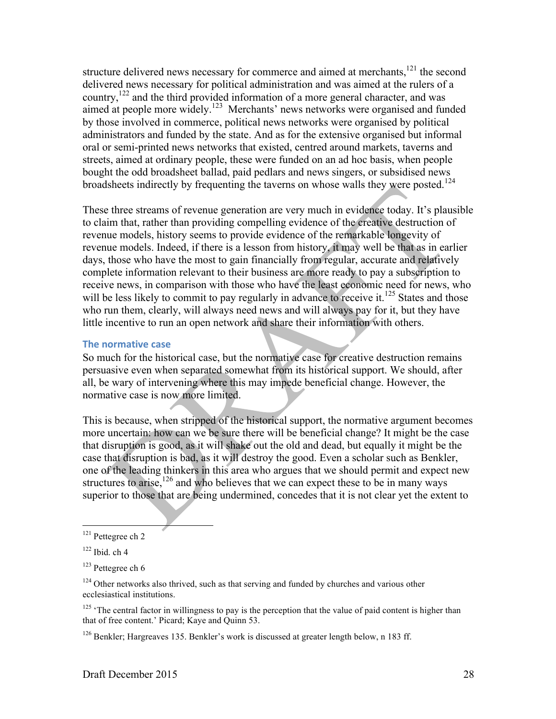structure delivered news necessary for commerce and aimed at merchants,<sup>121</sup> the second delivered news necessary for political administration and was aimed at the rulers of a country,122 and the third provided information of a more general character, and was aimed at people more widely.123 Merchants' news networks were organised and funded by those involved in commerce, political news networks were organised by political administrators and funded by the state. And as for the extensive organised but informal oral or semi-printed news networks that existed, centred around markets, taverns and streets, aimed at ordinary people, these were funded on an ad hoc basis, when people bought the odd broadsheet ballad, paid pedlars and news singers, or subsidised news broadsheets indirectly by frequenting the taverns on whose walls they were posted.<sup>124</sup>

These three streams of revenue generation are very much in evidence today. It's plausible to claim that, rather than providing compelling evidence of the creative destruction of revenue models, history seems to provide evidence of the remarkable longevity of revenue models. Indeed, if there is a lesson from history, it may well be that as in earlier days, those who have the most to gain financially from regular, accurate and relatively complete information relevant to their business are more ready to pay a subscription to receive news, in comparison with those who have the least economic need for news, who will be less likely to commit to pay regularly in advance to receive it.<sup>125</sup> States and those who run them, clearly, will always need news and will always pay for it, but they have little incentive to run an open network and share their information with others.

#### **The normative case**

So much for the historical case, but the normative case for creative destruction remains persuasive even when separated somewhat from its historical support. We should, after all, be wary of intervening where this may impede beneficial change. However, the normative case is now more limited.

This is because, when stripped of the historical support, the normative argument becomes more uncertain: how can we be sure there will be beneficial change? It might be the case that disruption is good, as it will shake out the old and dead, but equally it might be the case that disruption is bad, as it will destroy the good. Even a scholar such as Benkler, one of the leading thinkers in this area who argues that we should permit and expect new structures to arise,<sup>126</sup> and who believes that we can expect these to be in many ways superior to those that are being undermined, concedes that it is not clear yet the extent to

 <sup>121</sup> Pettegree ch 2

 $122$  Ibid. ch 4

<sup>123</sup> Pettegree ch 6

 $124$  Other networks also thrived, such as that serving and funded by churches and various other ecclesiastical institutions.

 $125$  'The central factor in willingness to pay is the perception that the value of paid content is higher than that of free content.' Picard; Kaye and Quinn 53.

<sup>126</sup> Benkler; Hargreaves 135. Benkler's work is discussed at greater length below, n 183 ff.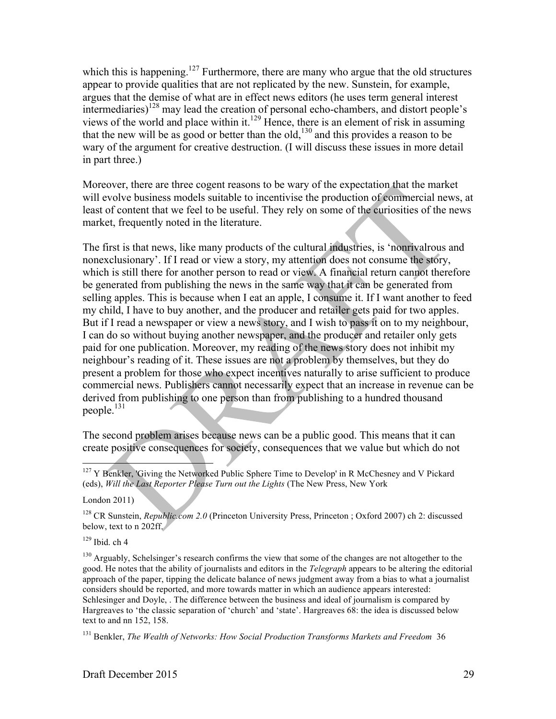which this is happening.<sup>127</sup> Furthermore, there are many who argue that the old structures appear to provide qualities that are not replicated by the new. Sunstein, for example, argues that the demise of what are in effect news editors (he uses term general interest intermediaries)<sup>128</sup> may lead the creation of personal echo-chambers, and distort people's views of the world and place within it.<sup>129</sup> Hence, there is an element of risk in assuming that the new will be as good or better than the old,<sup>130</sup> and this provides a reason to be wary of the argument for creative destruction. (I will discuss these issues in more detail in part three.)

Moreover, there are three cogent reasons to be wary of the expectation that the market will evolve business models suitable to incentivise the production of commercial news, at least of content that we feel to be useful. They rely on some of the curiosities of the news market, frequently noted in the literature.

The first is that news, like many products of the cultural industries, is 'nonrivalrous and nonexclusionary'. If I read or view a story, my attention does not consume the story, which is still there for another person to read or view. A financial return cannot therefore be generated from publishing the news in the same way that it can be generated from selling apples. This is because when I eat an apple, I consume it. If I want another to feed my child, I have to buy another, and the producer and retailer gets paid for two apples. But if I read a newspaper or view a news story, and I wish to pass it on to my neighbour, I can do so without buying another newspaper, and the producer and retailer only gets paid for one publication. Moreover, my reading of the news story does not inhibit my neighbour's reading of it. These issues are not a problem by themselves, but they do present a problem for those who expect incentives naturally to arise sufficient to produce commercial news. Publishers cannot necessarily expect that an increase in revenue can be derived from publishing to one person than from publishing to a hundred thousand people.<sup>131</sup>

The second problem arises because news can be a public good. This means that it can create positive consequences for society, consequences that we value but which do not

 $129$  Ibid. ch 4

<sup>130</sup> Arguably, Schelsinger's research confirms the view that some of the changes are not altogether to the good. He notes that the ability of journalists and editors in the *Telegraph* appears to be altering the editorial approach of the paper, tipping the delicate balance of news judgment away from a bias to what a journalist considers should be reported, and more towards matter in which an audience appears interested: Schlesinger and Doyle, . The difference between the business and ideal of journalism is compared by Hargreaves to 'the classic separation of 'church' and 'state'. Hargreaves 68: the idea is discussed below text to and nn 152, 158.

<sup>131</sup> Benkler, *The Wealth of Networks: How Social Production Transforms Markets and Freedom* 36

<sup>&</sup>lt;sup>127</sup> Y Benkler, 'Giving the Networked Public Sphere Time to Develop' in R McChesney and V Pickard (eds), *Will the Last Reporter Please Turn out the Lights* (The New Press, New York

London 2011)

<sup>128</sup> CR Sunstein, *Republic.com 2.0* (Princeton University Press, Princeton ; Oxford 2007) ch 2: discussed below, text to n 202ff.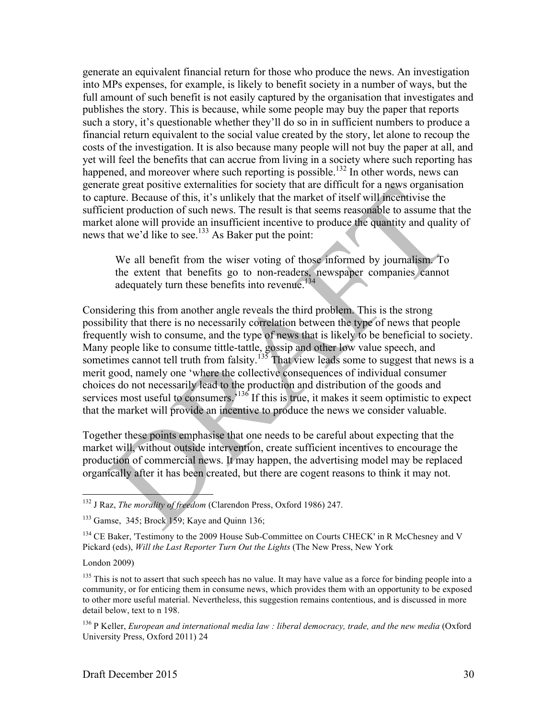generate an equivalent financial return for those who produce the news. An investigation into MPs expenses, for example, is likely to benefit society in a number of ways, but the full amount of such benefit is not easily captured by the organisation that investigates and publishes the story. This is because, while some people may buy the paper that reports such a story, it's questionable whether they'll do so in in sufficient numbers to produce a financial return equivalent to the social value created by the story, let alone to recoup the costs of the investigation. It is also because many people will not buy the paper at all, and yet will feel the benefits that can accrue from living in a society where such reporting has happened, and moreover where such reporting is possible.<sup>132</sup> In other words, news can generate great positive externalities for society that are difficult for a news organisation to capture. Because of this, it's unlikely that the market of itself will incentivise the sufficient production of such news. The result is that seems reasonable to assume that the market alone will provide an insufficient incentive to produce the quantity and quality of news that we'd like to see.<sup>133</sup> As Baker put the point:

We all benefit from the wiser voting of those informed by journalism. To the extent that benefits go to non-readers, newspaper companies cannot adequately turn these benefits into revenue.<sup>134</sup>

Considering this from another angle reveals the third problem. This is the strong possibility that there is no necessarily correlation between the type of news that people frequently wish to consume, and the type of news that is likely to be beneficial to society. Many people like to consume tittle-tattle, gossip and other low value speech, and sometimes cannot tell truth from falsity.<sup> $135$ </sup> That view leads some to suggest that news is a merit good, namely one 'where the collective consequences of individual consumer choices do not necessarily lead to the production and distribution of the goods and services most useful to consumers.<sup>136</sup> If this is true, it makes it seem optimistic to expect that the market will provide an incentive to produce the news we consider valuable.

Together these points emphasise that one needs to be careful about expecting that the market will, without outside intervention, create sufficient incentives to encourage the production of commercial news. It may happen, the advertising model may be replaced organically after it has been created, but there are cogent reasons to think it may not.

London 2009)

<sup>135</sup> This is not to assert that such speech has no value. It may have value as a force for binding people into a community, or for enticing them in consume news, which provides them with an opportunity to be exposed to other more useful material. Nevertheless, this suggestion remains contentious, and is discussed in more detail below, text to n 198.

<sup>136</sup> P Keller, *European and international media law : liberal democracy, trade, and the new media* (Oxford University Press, Oxford 2011) 24

 <sup>132</sup> J Raz, *The morality of freedom* (Clarendon Press, Oxford 1986) 247.

<sup>133</sup> Gamse, 345; Brock 159; Kaye and Quinn 136;

<sup>&</sup>lt;sup>134</sup> CE Baker, 'Testimony to the 2009 House Sub-Committee on Courts CHECK' in R McChesney and V Pickard (eds), *Will the Last Reporter Turn Out the Lights* (The New Press, New York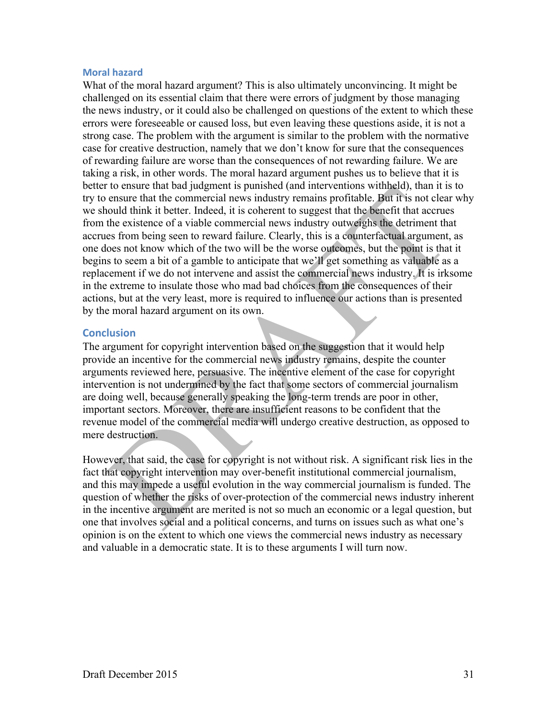#### **Moral hazard**

What of the moral hazard argument? This is also ultimately unconvincing. It might be challenged on its essential claim that there were errors of judgment by those managing the news industry, or it could also be challenged on questions of the extent to which these errors were foreseeable or caused loss, but even leaving these questions aside, it is not a strong case. The problem with the argument is similar to the problem with the normative case for creative destruction, namely that we don't know for sure that the consequences of rewarding failure are worse than the consequences of not rewarding failure. We are taking a risk, in other words. The moral hazard argument pushes us to believe that it is better to ensure that bad judgment is punished (and interventions withheld), than it is to try to ensure that the commercial news industry remains profitable. But it is not clear why we should think it better. Indeed, it is coherent to suggest that the benefit that accrues from the existence of a viable commercial news industry outweighs the detriment that accrues from being seen to reward failure. Clearly, this is a counterfactual argument, as one does not know which of the two will be the worse outcomes, but the point is that it begins to seem a bit of a gamble to anticipate that we'll get something as valuable as a replacement if we do not intervene and assist the commercial news industry. It is irksome in the extreme to insulate those who mad bad choices from the consequences of their actions, but at the very least, more is required to influence our actions than is presented by the moral hazard argument on its own.

#### **Conclusion**

The argument for copyright intervention based on the suggestion that it would help provide an incentive for the commercial news industry remains, despite the counter arguments reviewed here, persuasive. The incentive element of the case for copyright intervention is not undermined by the fact that some sectors of commercial journalism are doing well, because generally speaking the long-term trends are poor in other, important sectors. Moreover, there are insufficient reasons to be confident that the revenue model of the commercial media will undergo creative destruction, as opposed to mere destruction.

However, that said, the case for copyright is not without risk. A significant risk lies in the fact that copyright intervention may over-benefit institutional commercial journalism, and this may impede a useful evolution in the way commercial journalism is funded. The question of whether the risks of over-protection of the commercial news industry inherent in the incentive argument are merited is not so much an economic or a legal question, but one that involves social and a political concerns, and turns on issues such as what one's opinion is on the extent to which one views the commercial news industry as necessary and valuable in a democratic state. It is to these arguments I will turn now.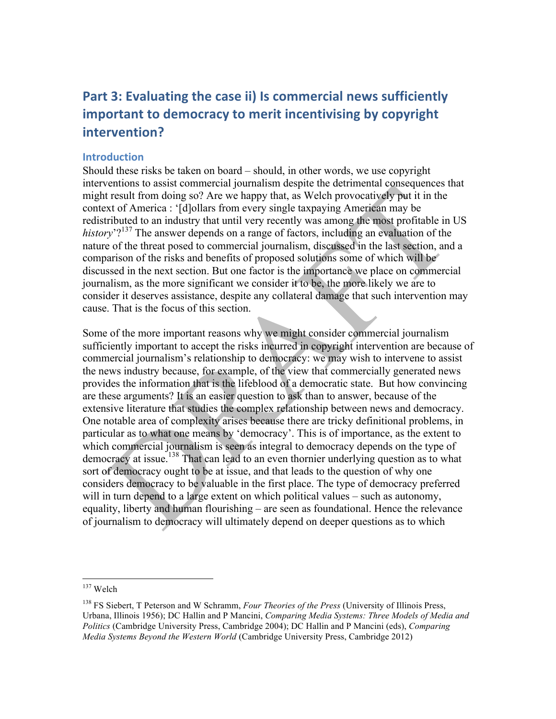# **Part 3: Evaluating the case ii) Is commercial news sufficiently important to democracy to merit incentivising by copyright intervention?**

# **Introduction**

Should these risks be taken on board – should, in other words, we use copyright interventions to assist commercial journalism despite the detrimental consequences that might result from doing so? Are we happy that, as Welch provocatively put it in the context of America : '[d]ollars from every single taxpaying American may be redistributed to an industry that until very recently was among the most profitable in US *history*<sup>'?137</sup> The answer depends on a range of factors, including an evaluation of the nature of the threat posed to commercial journalism, discussed in the last section, and a comparison of the risks and benefits of proposed solutions some of which will be discussed in the next section. But one factor is the importance we place on commercial journalism, as the more significant we consider it to be, the more likely we are to consider it deserves assistance, despite any collateral damage that such intervention may cause. That is the focus of this section.

Some of the more important reasons why we might consider commercial journalism sufficiently important to accept the risks incurred in copyright intervention are because of commercial journalism's relationship to democracy: we may wish to intervene to assist the news industry because, for example, of the view that commercially generated news provides the information that is the lifeblood of a democratic state. But how convincing are these arguments? It is an easier question to ask than to answer, because of the extensive literature that studies the complex relationship between news and democracy. One notable area of complexity arises because there are tricky definitional problems, in particular as to what one means by 'democracy'. This is of importance, as the extent to which commercial journalism is seen as integral to democracy depends on the type of democracy at issue.<sup>138</sup> That can lead to an even thornier underlying question as to what sort of democracy ought to be at issue, and that leads to the question of why one considers democracy to be valuable in the first place. The type of democracy preferred will in turn depend to a large extent on which political values – such as autonomy, equality, liberty and human flourishing – are seen as foundational. Hence the relevance of journalism to democracy will ultimately depend on deeper questions as to which

 <sup>137</sup> Welch

<sup>138</sup> FS Siebert, T Peterson and W Schramm, *Four Theories of the Press* (University of Illinois Press, Urbana, Illinois 1956); DC Hallin and P Mancini, *Comparing Media Systems: Three Models of Media and Politics* (Cambridge University Press, Cambridge 2004); DC Hallin and P Mancini (eds), *Comparing Media Systems Beyond the Western World* (Cambridge University Press, Cambridge 2012)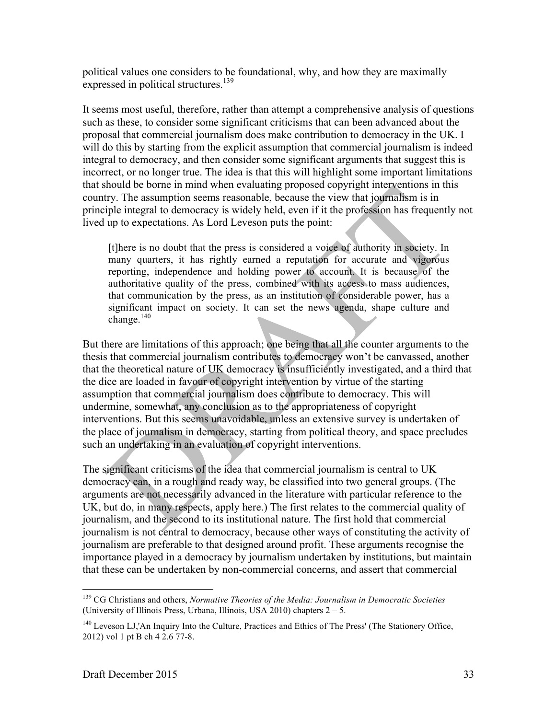political values one considers to be foundational, why, and how they are maximally expressed in political structures.<sup>139</sup>

It seems most useful, therefore, rather than attempt a comprehensive analysis of questions such as these, to consider some significant criticisms that can been advanced about the proposal that commercial journalism does make contribution to democracy in the UK. I will do this by starting from the explicit assumption that commercial journalism is indeed integral to democracy, and then consider some significant arguments that suggest this is incorrect, or no longer true. The idea is that this will highlight some important limitations that should be borne in mind when evaluating proposed copyright interventions in this country. The assumption seems reasonable, because the view that journalism is in principle integral to democracy is widely held, even if it the profession has frequently not lived up to expectations. As Lord Leveson puts the point:

[t]here is no doubt that the press is considered a voice of authority in society. In many quarters, it has rightly earned a reputation for accurate and vigorous reporting, independence and holding power to account. It is because of the authoritative quality of the press, combined with its access to mass audiences, that communication by the press, as an institution of considerable power, has a significant impact on society. It can set the news agenda, shape culture and change. $140$ 

But there are limitations of this approach; one being that all the counter arguments to the thesis that commercial journalism contributes to democracy won't be canvassed, another that the theoretical nature of UK democracy is insufficiently investigated, and a third that the dice are loaded in favour of copyright intervention by virtue of the starting assumption that commercial journalism does contribute to democracy. This will undermine, somewhat, any conclusion as to the appropriateness of copyright interventions. But this seems unavoidable, unless an extensive survey is undertaken of the place of journalism in democracy, starting from political theory, and space precludes such an undertaking in an evaluation of copyright interventions.

The significant criticisms of the idea that commercial journalism is central to UK democracy can, in a rough and ready way, be classified into two general groups. (The arguments are not necessarily advanced in the literature with particular reference to the UK, but do, in many respects, apply here.) The first relates to the commercial quality of journalism, and the second to its institutional nature. The first hold that commercial journalism is not central to democracy, because other ways of constituting the activity of journalism are preferable to that designed around profit. These arguments recognise the importance played in a democracy by journalism undertaken by institutions, but maintain that these can be undertaken by non-commercial concerns, and assert that commercial

 <sup>139</sup> CG Christians and others, *Normative Theories of the Media: Journalism in Democratic Societies* (University of Illinois Press, Urbana, Illinois, USA 2010) chapters  $2 - 5$ .

<sup>140</sup> Leveson LJ,'An Inquiry Into the Culture, Practices and Ethics of The Press' (The Stationery Office, 2012) vol 1 pt B ch 4 2.6 77-8.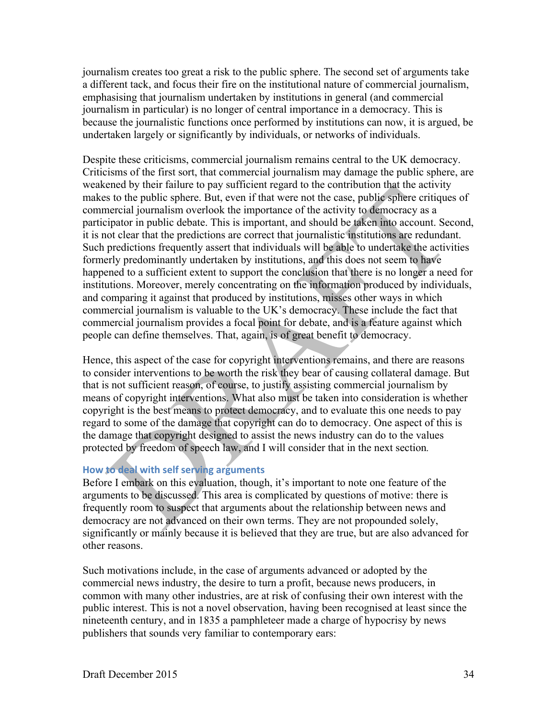journalism creates too great a risk to the public sphere. The second set of arguments take a different tack, and focus their fire on the institutional nature of commercial journalism, emphasising that journalism undertaken by institutions in general (and commercial journalism in particular) is no longer of central importance in a democracy. This is because the journalistic functions once performed by institutions can now, it is argued, be undertaken largely or significantly by individuals, or networks of individuals.

Despite these criticisms, commercial journalism remains central to the UK democracy. Criticisms of the first sort, that commercial journalism may damage the public sphere, are weakened by their failure to pay sufficient regard to the contribution that the activity makes to the public sphere. But, even if that were not the case, public sphere critiques of commercial journalism overlook the importance of the activity to democracy as a participator in public debate. This is important, and should be taken into account. Second, it is not clear that the predictions are correct that journalistic institutions are redundant. Such predictions frequently assert that individuals will be able to undertake the activities formerly predominantly undertaken by institutions, and this does not seem to have happened to a sufficient extent to support the conclusion that there is no longer a need for institutions. Moreover, merely concentrating on the information produced by individuals, and comparing it against that produced by institutions, misses other ways in which commercial journalism is valuable to the UK's democracy. These include the fact that commercial journalism provides a focal point for debate, and is a feature against which people can define themselves. That, again, is of great benefit to democracy.

Hence, this aspect of the case for copyright interventions remains, and there are reasons to consider interventions to be worth the risk they bear of causing collateral damage. But that is not sufficient reason, of course, to justify assisting commercial journalism by means of copyright interventions. What also must be taken into consideration is whether copyright is the best means to protect democracy, and to evaluate this one needs to pay regard to some of the damage that copyright can do to democracy. One aspect of this is the damage that copyright designed to assist the news industry can do to the values protected by freedom of speech law, and I will consider that in the next section*.*

## **How to deal with self serving arguments**

Before I embark on this evaluation, though, it's important to note one feature of the arguments to be discussed. This area is complicated by questions of motive: there is frequently room to suspect that arguments about the relationship between news and democracy are not advanced on their own terms. They are not propounded solely, significantly or mainly because it is believed that they are true, but are also advanced for other reasons.

Such motivations include, in the case of arguments advanced or adopted by the commercial news industry, the desire to turn a profit, because news producers, in common with many other industries, are at risk of confusing their own interest with the public interest. This is not a novel observation, having been recognised at least since the nineteenth century, and in 1835 a pamphleteer made a charge of hypocrisy by news publishers that sounds very familiar to contemporary ears: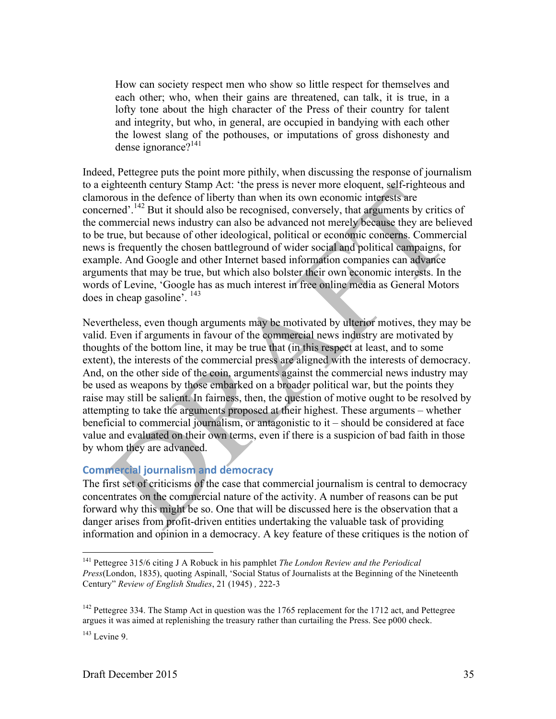How can society respect men who show so little respect for themselves and each other; who, when their gains are threatened, can talk, it is true, in a lofty tone about the high character of the Press of their country for talent and integrity, but who, in general, are occupied in bandying with each other the lowest slang of the pothouses, or imputations of gross dishonesty and dense ignorance?<sup>141</sup>

Indeed, Pettegree puts the point more pithily, when discussing the response of journalism to a eighteenth century Stamp Act: 'the press is never more eloquent, self-righteous and clamorous in the defence of liberty than when its own economic interests are concerned'.<sup>142</sup> But it should also be recognised, conversely, that arguments by critics of the commercial news industry can also be advanced not merely because they are believed to be true, but because of other ideological, political or economic concerns. Commercial news is frequently the chosen battleground of wider social and political campaigns, for example. And Google and other Internet based information companies can advance arguments that may be true, but which also bolster their own economic interests. In the words of Levine, 'Google has as much interest in free online media as General Motors does in cheap gasoline'. <sup>143</sup>

Nevertheless, even though arguments may be motivated by ulterior motives, they may be valid. Even if arguments in favour of the commercial news industry are motivated by thoughts of the bottom line, it may be true that (in this respect at least, and to some extent), the interests of the commercial press are aligned with the interests of democracy. And, on the other side of the coin, arguments against the commercial news industry may be used as weapons by those embarked on a broader political war, but the points they raise may still be salient. In fairness, then, the question of motive ought to be resolved by attempting to take the arguments proposed at their highest. These arguments – whether beneficial to commercial journalism, or antagonistic to it – should be considered at face value and evaluated on their own terms, even if there is a suspicion of bad faith in those by whom they are advanced.

# **Commercial journalism and democracy**

The first set of criticisms of the case that commercial journalism is central to democracy concentrates on the commercial nature of the activity. A number of reasons can be put forward why this might be so. One that will be discussed here is the observation that a danger arises from profit-driven entities undertaking the valuable task of providing information and opinion in a democracy. A key feature of these critiques is the notion of

 <sup>141</sup> Pettegree 315/6 citing J A Robuck in his pamphlet *The London Review and the Periodical Press*(London, 1835), quoting Aspinall, 'Social Status of Journalists at the Beginning of the Nineteenth Century" *Review of English Studies*, 21 (1945) *,* 222-3

<sup>&</sup>lt;sup>142</sup> Pettegree 334. The Stamp Act in question was the 1765 replacement for the 1712 act, and Pettegree argues it was aimed at replenishing the treasury rather than curtailing the Press. See p000 check.

 $143$  Levine 9.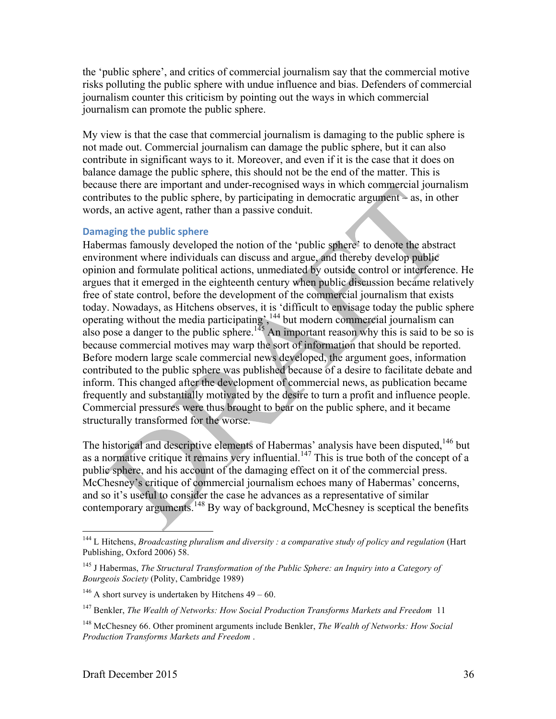the 'public sphere', and critics of commercial journalism say that the commercial motive risks polluting the public sphere with undue influence and bias. Defenders of commercial journalism counter this criticism by pointing out the ways in which commercial journalism can promote the public sphere.

My view is that the case that commercial journalism is damaging to the public sphere is not made out. Commercial journalism can damage the public sphere, but it can also contribute in significant ways to it. Moreover, and even if it is the case that it does on balance damage the public sphere, this should not be the end of the matter. This is because there are important and under-recognised ways in which commercial journalism contributes to the public sphere, by participating in democratic argument – as, in other words, an active agent, rather than a passive conduit.

## **Damaging the public sphere**

Habermas famously developed the notion of the 'public sphere' to denote the abstract environment where individuals can discuss and argue, and thereby develop public opinion and formulate political actions, unmediated by outside control or interference. He argues that it emerged in the eighteenth century when public discussion became relatively free of state control, before the development of the commercial journalism that exists today. Nowadays, as Hitchens observes, it is 'difficult to envisage today the public sphere operating without the media participating', <sup>144</sup> but modern commercial journalism can also pose a danger to the public sphere.<sup>145</sup> An important reason why this is said to be so is because commercial motives may warp the sort of information that should be reported. Before modern large scale commercial news developed, the argument goes, information contributed to the public sphere was published because of a desire to facilitate debate and inform. This changed after the development of commercial news, as publication became frequently and substantially motivated by the desire to turn a profit and influence people. Commercial pressures were thus brought to bear on the public sphere, and it became structurally transformed for the worse.

The historical and descriptive elements of Habermas' analysis have been disputed,<sup>146</sup> but as a normative critique it remains very influential.<sup>147</sup> This is true both of the concept of a public sphere, and his account of the damaging effect on it of the commercial press. McChesney's critique of commercial journalism echoes many of Habermas' concerns, and so it's useful to consider the case he advances as a representative of similar contemporary arguments.<sup>148</sup> By way of background, McChesney is sceptical the benefits

 <sup>144</sup> L Hitchens, *Broadcasting pluralism and diversity : a comparative study of policy and regulation* (Hart Publishing, Oxford 2006) 58.

<sup>145</sup> J Habermas, *The Structural Transformation of the Public Sphere: an Inquiry into a Category of Bourgeois Society* (Polity, Cambridge 1989)

<sup>&</sup>lt;sup>146</sup> A short survey is undertaken by Hitchens  $49 - 60$ .

<sup>147</sup> Benkler, *The Wealth of Networks: How Social Production Transforms Markets and Freedom* 11

<sup>148</sup> McChesney 66. Other prominent arguments include Benkler, *The Wealth of Networks: How Social Production Transforms Markets and Freedom* .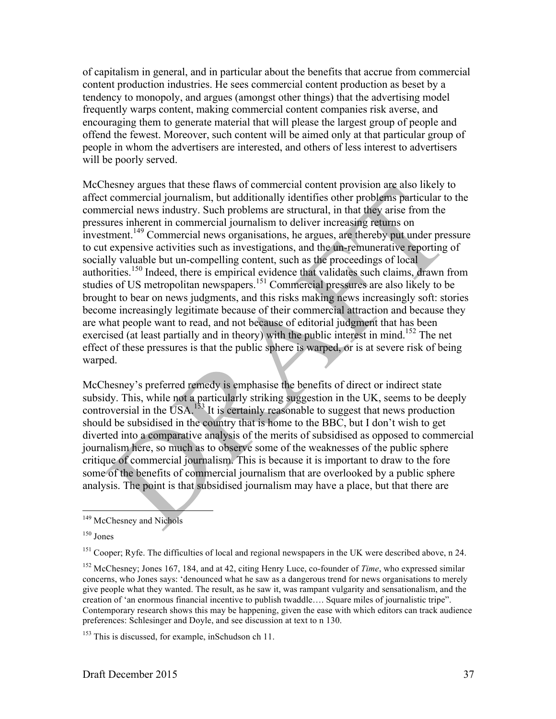of capitalism in general, and in particular about the benefits that accrue from commercial content production industries. He sees commercial content production as beset by a tendency to monopoly, and argues (amongst other things) that the advertising model frequently warps content, making commercial content companies risk averse, and encouraging them to generate material that will please the largest group of people and offend the fewest. Moreover, such content will be aimed only at that particular group of people in whom the advertisers are interested, and others of less interest to advertisers will be poorly served.

McChesney argues that these flaws of commercial content provision are also likely to affect commercial journalism, but additionally identifies other problems particular to the commercial news industry. Such problems are structural, in that they arise from the pressures inherent in commercial journalism to deliver increasing returns on investment.<sup>149</sup> Commercial news organisations, he argues, are thereby put under pressure to cut expensive activities such as investigations, and the un-remunerative reporting of socially valuable but un-compelling content, such as the proceedings of local authorities.<sup>150</sup> Indeed, there is empirical evidence that validates such claims, drawn from studies of US metropolitan newspapers.<sup>151</sup> Commercial pressures are also likely to be brought to bear on news judgments, and this risks making news increasingly soft: stories become increasingly legitimate because of their commercial attraction and because they are what people want to read, and not because of editorial judgment that has been exercised (at least partially and in theory) with the public interest in mind.<sup>152</sup> The net effect of these pressures is that the public sphere is warped, or is at severe risk of being warped.

McChesney's preferred remedy is emphasise the benefits of direct or indirect state subsidy. This, while not a particularly striking suggestion in the UK, seems to be deeply controversial in the USA.<sup>153</sup> It is certainly reasonable to suggest that news production should be subsidised in the country that is home to the BBC, but I don't wish to get diverted into a comparative analysis of the merits of subsidised as opposed to commercial journalism here, so much as to observe some of the weaknesses of the public sphere critique of commercial journalism. This is because it is important to draw to the fore some of the benefits of commercial journalism that are overlooked by a public sphere analysis. The point is that subsidised journalism may have a place, but that there are

<sup>&</sup>lt;sup>149</sup> McChesney and Nichols

 $150$  Jones

<sup>&</sup>lt;sup>151</sup> Cooper; Ryfe. The difficulties of local and regional newspapers in the UK were described above, n 24.

<sup>152</sup> McChesney; Jones 167, 184, and at 42, citing Henry Luce, co-founder of *Time*, who expressed similar concerns, who Jones says: 'denounced what he saw as a dangerous trend for news organisations to merely give people what they wanted. The result, as he saw it, was rampant vulgarity and sensationalism, and the creation of 'an enormous financial incentive to publish twaddle…. Square miles of journalistic tripe". Contemporary research shows this may be happening, given the ease with which editors can track audience preferences: Schlesinger and Doyle, and see discussion at text to n 130.

<sup>&</sup>lt;sup>153</sup> This is discussed, for example, inSchudson ch 11.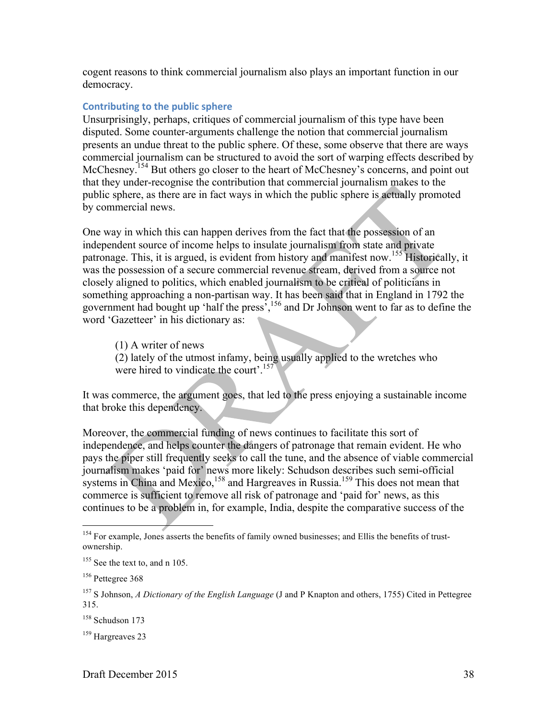cogent reasons to think commercial journalism also plays an important function in our democracy.

#### **Contributing to the public sphere**

Unsurprisingly, perhaps, critiques of commercial journalism of this type have been disputed. Some counter-arguments challenge the notion that commercial journalism presents an undue threat to the public sphere. Of these, some observe that there are ways commercial journalism can be structured to avoid the sort of warping effects described by McChesney.<sup>154</sup> But others go closer to the heart of McChesney's concerns, and point out that they under-recognise the contribution that commercial journalism makes to the public sphere, as there are in fact ways in which the public sphere is actually promoted by commercial news.

One way in which this can happen derives from the fact that the possession of an independent source of income helps to insulate journalism from state and private patronage. This, it is argued, is evident from history and manifest now.<sup>155</sup> Historically, it was the possession of a secure commercial revenue stream, derived from a source not closely aligned to politics, which enabled journalism to be critical of politicians in something approaching a non-partisan way. It has been said that in England in 1792 the government had bought up 'half the press',<sup>156</sup> and Dr Johnson went to far as to define the word 'Gazetteer' in his dictionary as:

(1) A writer of news (2) lately of the utmost infamy, being usually applied to the wretches who were hired to vindicate the court'.<sup>157</sup>

It was commerce, the argument goes, that led to the press enjoying a sustainable income that broke this dependency.

Moreover, the commercial funding of news continues to facilitate this sort of independence, and helps counter the dangers of patronage that remain evident. He who pays the piper still frequently seeks to call the tune, and the absence of viable commercial journalism makes 'paid for' news more likely: Schudson describes such semi-official systems in China and Mexico,<sup>158</sup> and Hargreaves in Russia.<sup>159</sup> This does not mean that commerce is sufficient to remove all risk of patronage and 'paid for' news, as this continues to be a problem in, for example, India, despite the comparative success of the

<sup>&</sup>lt;sup>154</sup> For example, Jones asserts the benefits of family owned businesses; and Ellis the benefits of trustownership.

<sup>&</sup>lt;sup>155</sup> See the text to, and n 105.

<sup>&</sup>lt;sup>156</sup> Pettegree 368

<sup>157</sup> S Johnson, *A Dictionary of the English Language* (J and P Knapton and others, 1755) Cited in Pettegree 315.

<sup>158</sup> Schudson 173

<sup>&</sup>lt;sup>159</sup> Hargreaves 23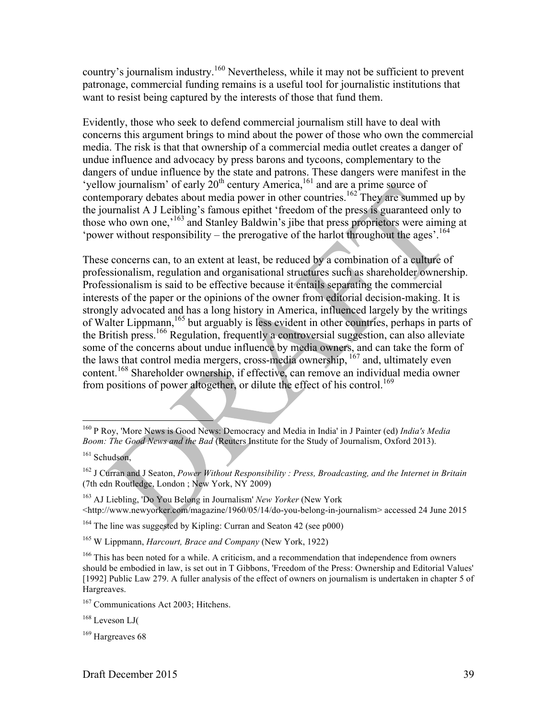country's journalism industry.<sup>160</sup> Nevertheless, while it may not be sufficient to prevent patronage, commercial funding remains is a useful tool for journalistic institutions that want to resist being captured by the interests of those that fund them.

Evidently, those who seek to defend commercial journalism still have to deal with concerns this argument brings to mind about the power of those who own the commercial media. The risk is that that ownership of a commercial media outlet creates a danger of undue influence and advocacy by press barons and tycoons, complementary to the dangers of undue influence by the state and patrons. These dangers were manifest in the 'yellow journalism' of early  $20<sup>th</sup>$  century America,<sup>161</sup> and are a prime source of contemporary debates about media power in other countries.<sup>162</sup> They are summed up by the journalist A J Leibling's famous epithet 'freedom of the press is guaranteed only to those who own one,<sup>163</sup> and Stanley Baldwin's jibe that press proprietors were aiming at 'power without responsibility – the prerogative of the harlot throughout the ages'.<sup>164</sup>

These concerns can, to an extent at least, be reduced by a combination of a culture of professionalism, regulation and organisational structures such as shareholder ownership. Professionalism is said to be effective because it entails separating the commercial interests of the paper or the opinions of the owner from editorial decision-making. It is strongly advocated and has a long history in America, influenced largely by the writings of Walter Lippmann,<sup>165</sup> but arguably is less evident in other countries, perhaps in parts of the British press.166 Regulation, frequently a controversial suggestion, can also alleviate some of the concerns about undue influence by media owners, and can take the form of the laws that control media mergers, cross-media ownership, <sup>167</sup> and, ultimately even content.<sup>168</sup> Shareholder ownership, if effective, can remove an individual media owner from positions of power altogether, or dilute the effect of his control.<sup>169</sup>

<sup>163</sup> AJ Liebling, 'Do You Belong in Journalism' *New Yorker* (New York <http://www.newyorker.com/magazine/1960/05/14/do-you-belong-in-journalism> accessed 24 June 2015

<sup>164</sup> The line was suggested by Kipling: Curran and Seaton 42 (see p000)

 <sup>160</sup> P Roy, 'More News is Good News: Democracy and Media in India' in J Painter (ed) *India's Media Boom: The Good News and the Bad* (Reuters Institute for the Study of Journalism, Oxford 2013).

<sup>&</sup>lt;sup>161</sup> Schudson.

<sup>162</sup> J Curran and J Seaton, *Power Without Responsibility : Press, Broadcasting, and the Internet in Britain* (7th edn Routledge, London ; New York, NY 2009)

<sup>165</sup> W Lippmann, *Harcourt, Brace and Company* (New York, 1922)

<sup>&</sup>lt;sup>166</sup> This has been noted for a while. A criticism, and a recommendation that independence from owners should be embodied in law, is set out in T Gibbons, 'Freedom of the Press: Ownership and Editorial Values' [1992] Public Law 279. A fuller analysis of the effect of owners on journalism is undertaken in chapter 5 of Hargreaves.

<sup>&</sup>lt;sup>167</sup> Communications Act 2003; Hitchens.

<sup>168</sup> Leveson LJ(

<sup>&</sup>lt;sup>169</sup> Hargreaves 68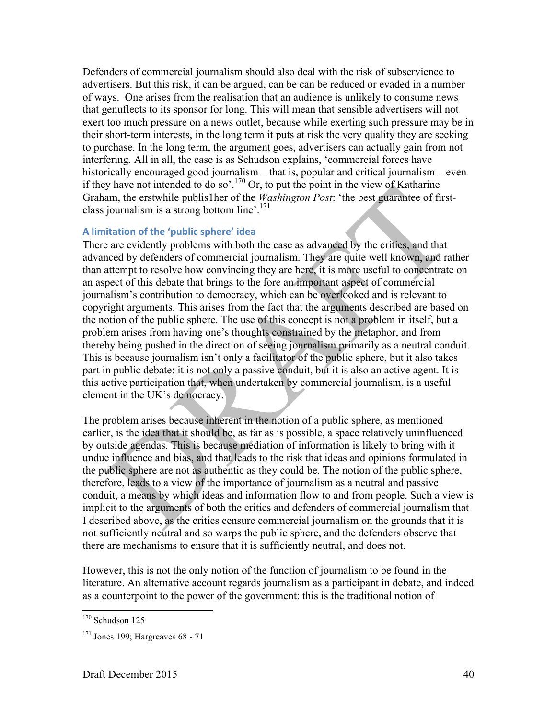Defenders of commercial journalism should also deal with the risk of subservience to advertisers. But this risk, it can be argued, can be can be reduced or evaded in a number of ways. One arises from the realisation that an audience is unlikely to consume news that genuflects to its sponsor for long. This will mean that sensible advertisers will not exert too much pressure on a news outlet, because while exerting such pressure may be in their short-term interests, in the long term it puts at risk the very quality they are seeking to purchase. In the long term, the argument goes, advertisers can actually gain from not interfering. All in all, the case is as Schudson explains, 'commercial forces have historically encouraged good journalism – that is, popular and critical journalism – even if they have not intended to do so'.<sup>170</sup> Or, to put the point in the view of Katharine Graham, the erstwhile publis1her of the *Washington Post*: 'the best guarantee of firstclass journalism is a strong bottom line'.171

## **A limitation of the 'public sphere' idea**

There are evidently problems with both the case as advanced by the critics, and that advanced by defenders of commercial journalism. They are quite well known, and rather than attempt to resolve how convincing they are here, it is more useful to concentrate on an aspect of this debate that brings to the fore an important aspect of commercial journalism's contribution to democracy, which can be overlooked and is relevant to copyright arguments. This arises from the fact that the arguments described are based on the notion of the public sphere. The use of this concept is not a problem in itself, but a problem arises from having one's thoughts constrained by the metaphor, and from thereby being pushed in the direction of seeing journalism primarily as a neutral conduit. This is because journalism isn't only a facilitator of the public sphere, but it also takes part in public debate: it is not only a passive conduit, but it is also an active agent. It is this active participation that, when undertaken by commercial journalism, is a useful element in the UK's democracy.

The problem arises because inherent in the notion of a public sphere, as mentioned earlier, is the idea that it should be, as far as is possible, a space relatively uninfluenced by outside agendas. This is because mediation of information is likely to bring with it undue influence and bias, and that leads to the risk that ideas and opinions formulated in the public sphere are not as authentic as they could be. The notion of the public sphere, therefore, leads to a view of the importance of journalism as a neutral and passive conduit, a means by which ideas and information flow to and from people. Such a view is implicit to the arguments of both the critics and defenders of commercial journalism that I described above, as the critics censure commercial journalism on the grounds that it is not sufficiently neutral and so warps the public sphere, and the defenders observe that there are mechanisms to ensure that it is sufficiently neutral, and does not.

However, this is not the only notion of the function of journalism to be found in the literature. An alternative account regards journalism as a participant in debate, and indeed as a counterpoint to the power of the government: this is the traditional notion of

 $170$  Schudson 125

<sup>171</sup> Jones 199; Hargreaves 68 - 71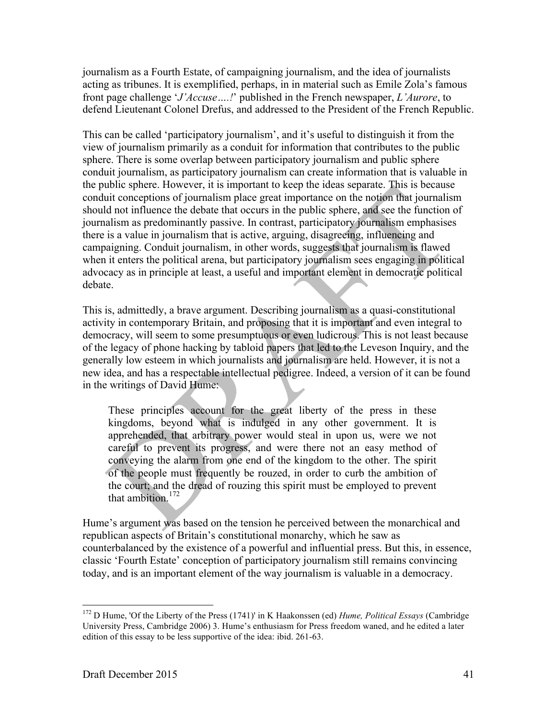journalism as a Fourth Estate, of campaigning journalism, and the idea of journalists acting as tribunes. It is exemplified, perhaps, in in material such as Emile Zola's famous front page challenge '*J'Accuse….!*' published in the French newspaper, *L'Aurore*, to defend Lieutenant Colonel Drefus, and addressed to the President of the French Republic.

This can be called 'participatory journalism', and it's useful to distinguish it from the view of journalism primarily as a conduit for information that contributes to the public sphere. There is some overlap between participatory journalism and public sphere conduit journalism, as participatory journalism can create information that is valuable in the public sphere. However, it is important to keep the ideas separate. This is because conduit conceptions of journalism place great importance on the notion that journalism should not influence the debate that occurs in the public sphere, and see the function of journalism as predominantly passive. In contrast, participatory journalism emphasises there is a value in journalism that is active, arguing, disagreeing, influencing and campaigning. Conduit journalism, in other words, suggests that journalism is flawed when it enters the political arena, but participatory journalism sees engaging in political advocacy as in principle at least, a useful and important element in democratic political debate.

This is, admittedly, a brave argument. Describing journalism as a quasi-constitutional activity in contemporary Britain, and proposing that it is important and even integral to democracy, will seem to some presumptuous or even ludicrous. This is not least because of the legacy of phone hacking by tabloid papers that led to the Leveson Inquiry, and the generally low esteem in which journalists and journalism are held. However, it is not a new idea, and has a respectable intellectual pedigree. Indeed, a version of it can be found in the writings of David Hume:

These principles account for the great liberty of the press in these kingdoms, beyond what is indulged in any other government. It is apprehended, that arbitrary power would steal in upon us, were we not careful to prevent its progress, and were there not an easy method of conveying the alarm from one end of the kingdom to the other. The spirit of the people must frequently be rouzed, in order to curb the ambition of the court; and the dread of rouzing this spirit must be employed to prevent that ambition.<sup>172</sup>

Hume's argument was based on the tension he perceived between the monarchical and republican aspects of Britain's constitutional monarchy, which he saw as counterbalanced by the existence of a powerful and influential press. But this, in essence, classic 'Fourth Estate' conception of participatory journalism still remains convincing today, and is an important element of the way journalism is valuable in a democracy.

 <sup>172</sup> D Hume, 'Of the Liberty of the Press (1741)' in K Haakonssen (ed) *Hume, Political Essays* (Cambridge University Press, Cambridge 2006) 3. Hume's enthusiasm for Press freedom waned, and he edited a later edition of this essay to be less supportive of the idea: ibid. 261-63.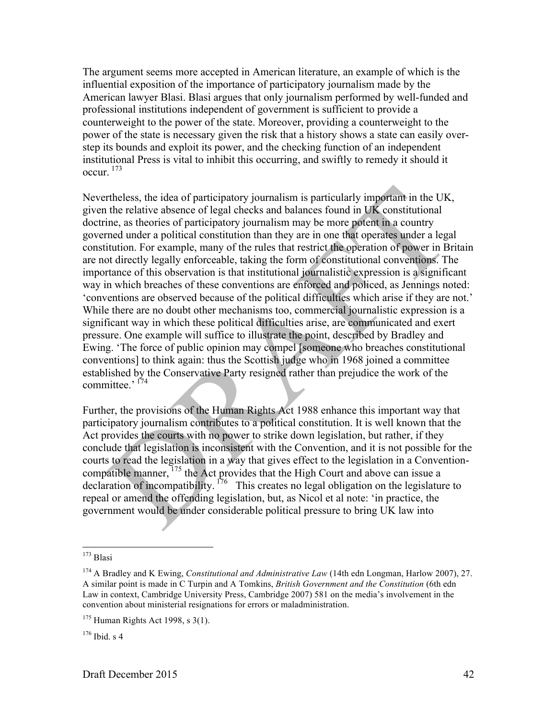The argument seems more accepted in American literature, an example of which is the influential exposition of the importance of participatory journalism made by the American lawyer Blasi. Blasi argues that only journalism performed by well-funded and professional institutions independent of government is sufficient to provide a counterweight to the power of the state. Moreover, providing a counterweight to the power of the state is necessary given the risk that a history shows a state can easily overstep its bounds and exploit its power, and the checking function of an independent institutional Press is vital to inhibit this occurring, and swiftly to remedy it should it occur. <sup>173</sup>

Nevertheless, the idea of participatory journalism is particularly important in the UK, given the relative absence of legal checks and balances found in UK constitutional doctrine, as theories of participatory journalism may be more potent in a country governed under a political constitution than they are in one that operates under a legal constitution. For example, many of the rules that restrict the operation of power in Britain are not directly legally enforceable, taking the form of constitutional conventions. The importance of this observation is that institutional journalistic expression is a significant way in which breaches of these conventions are enforced and policed, as Jennings noted: 'conventions are observed because of the political difficulties which arise if they are not.' While there are no doubt other mechanisms too, commercial journalistic expression is a significant way in which these political difficulties arise, are communicated and exert pressure. One example will suffice to illustrate the point, described by Bradley and Ewing. 'The force of public opinion may compel [someone who breaches constitutional conventions] to think again: thus the Scottish judge who in 1968 joined a committee established by the Conservative Party resigned rather than prejudice the work of the committee.' <sup>174</sup>

Further, the provisions of the Human Rights Act 1988 enhance this important way that participatory journalism contributes to a political constitution. It is well known that the Act provides the courts with no power to strike down legislation, but rather, if they conclude that legislation is inconsistent with the Convention, and it is not possible for the courts to read the legislation in a way that gives effect to the legislation in a Conventioncompatible manner,  $^{175}$  the Act provides that the High Court and above can issue a declaration of incompatibility.  $176$  This creates no legal obligation on the legislature to repeal or amend the offending legislation, but, as Nicol et al note: 'in practice, the government would be under considerable political pressure to bring UK law into

 $173$  Blasi

<sup>174</sup> A Bradley and K Ewing, *Constitutional and Administrative Law* (14th edn Longman, Harlow 2007), 27. A similar point is made in C Turpin and A Tomkins, *British Government and the Constitution* (6th edn Law in context, Cambridge University Press, Cambridge 2007) 581 on the media's involvement in the convention about ministerial resignations for errors or maladministration.

 $175$  Human Rights Act 1998, s 3(1).

 $176$  Ibid s 4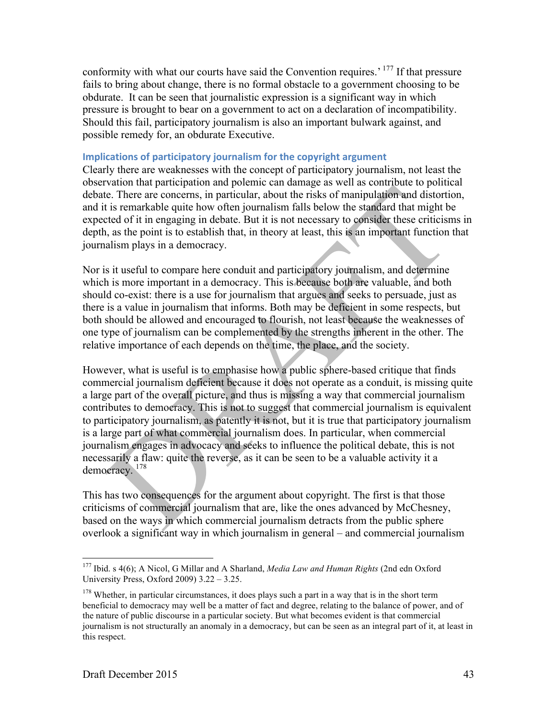conformity with what our courts have said the Convention requires.' <sup>177</sup> If that pressure fails to bring about change, there is no formal obstacle to a government choosing to be obdurate. It can be seen that journalistic expression is a significant way in which pressure is brought to bear on a government to act on a declaration of incompatibility. Should this fail, participatory journalism is also an important bulwark against, and possible remedy for, an obdurate Executive.

#### **Implications of participatory journalism for the copyright argument**

Clearly there are weaknesses with the concept of participatory journalism, not least the observation that participation and polemic can damage as well as contribute to political debate. There are concerns, in particular, about the risks of manipulation and distortion, and it is remarkable quite how often journalism falls below the standard that might be expected of it in engaging in debate. But it is not necessary to consider these criticisms in depth, as the point is to establish that, in theory at least, this is an important function that journalism plays in a democracy.

Nor is it useful to compare here conduit and participatory journalism, and determine which is more important in a democracy. This is because both are valuable, and both should co-exist: there is a use for journalism that argues and seeks to persuade, just as there is a value in journalism that informs. Both may be deficient in some respects, but both should be allowed and encouraged to flourish, not least because the weaknesses of one type of journalism can be complemented by the strengths inherent in the other. The relative importance of each depends on the time, the place, and the society.

However, what is useful is to emphasise how a public sphere-based critique that finds commercial journalism deficient because it does not operate as a conduit, is missing quite a large part of the overall picture, and thus is missing a way that commercial journalism contributes to democracy. This is not to suggest that commercial journalism is equivalent to participatory journalism, as patently it is not, but it is true that participatory journalism is a large part of what commercial journalism does. In particular, when commercial journalism engages in advocacy and seeks to influence the political debate, this is not necessarily a flaw: quite the reverse, as it can be seen to be a valuable activity it a democracy. 178

This has two consequences for the argument about copyright. The first is that those criticisms of commercial journalism that are, like the ones advanced by McChesney, based on the ways in which commercial journalism detracts from the public sphere overlook a significant way in which journalism in general – and commercial journalism

 <sup>177</sup> Ibid. s 4(6); A Nicol, G Millar and A Sharland, *Media Law and Human Rights* (2nd edn Oxford University Press, Oxford 2009) 3.22 – 3.25.

<sup>&</sup>lt;sup>178</sup> Whether, in particular circumstances, it does plays such a part in a way that is in the short term beneficial to democracy may well be a matter of fact and degree, relating to the balance of power, and of the nature of public discourse in a particular society. But what becomes evident is that commercial journalism is not structurally an anomaly in a democracy, but can be seen as an integral part of it, at least in this respect.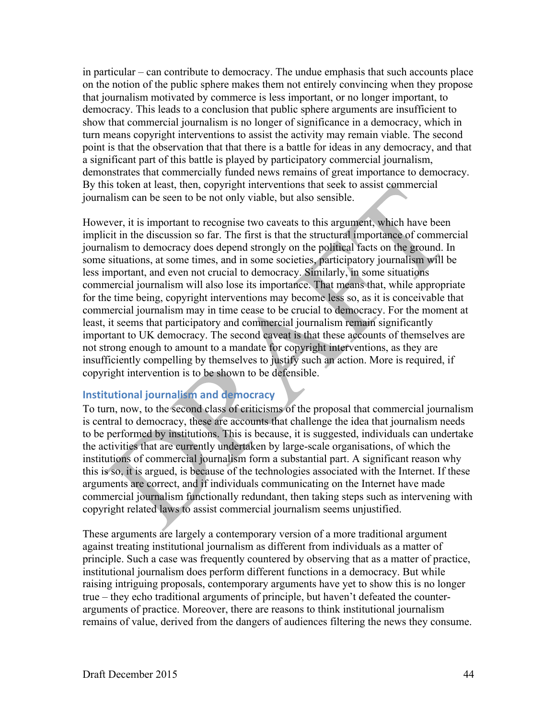in particular – can contribute to democracy. The undue emphasis that such accounts place on the notion of the public sphere makes them not entirely convincing when they propose that journalism motivated by commerce is less important, or no longer important, to democracy. This leads to a conclusion that public sphere arguments are insufficient to show that commercial journalism is no longer of significance in a democracy, which in turn means copyright interventions to assist the activity may remain viable. The second point is that the observation that that there is a battle for ideas in any democracy, and that a significant part of this battle is played by participatory commercial journalism, demonstrates that commercially funded news remains of great importance to democracy. By this token at least, then, copyright interventions that seek to assist commercial journalism can be seen to be not only viable, but also sensible.

However, it is important to recognise two caveats to this argument, which have been implicit in the discussion so far. The first is that the structural importance of commercial journalism to democracy does depend strongly on the political facts on the ground. In some situations, at some times, and in some societies, participatory journalism will be less important, and even not crucial to democracy. Similarly, in some situations commercial journalism will also lose its importance. That means that, while appropriate for the time being, copyright interventions may become less so, as it is conceivable that commercial journalism may in time cease to be crucial to democracy. For the moment at least, it seems that participatory and commercial journalism remain significantly important to UK democracy. The second caveat is that these accounts of themselves are not strong enough to amount to a mandate for copyright interventions, as they are insufficiently compelling by themselves to justify such an action. More is required, if copyright intervention is to be shown to be defensible.

## **Institutional journalism and democracy**

To turn, now, to the second class of criticisms of the proposal that commercial journalism is central to democracy, these are accounts that challenge the idea that journalism needs to be performed by institutions. This is because, it is suggested, individuals can undertake the activities that are currently undertaken by large-scale organisations, of which the institutions of commercial journalism form a substantial part. A significant reason why this is so, it is argued, is because of the technologies associated with the Internet. If these arguments are correct, and if individuals communicating on the Internet have made commercial journalism functionally redundant, then taking steps such as intervening with copyright related laws to assist commercial journalism seems unjustified.

These arguments are largely a contemporary version of a more traditional argument against treating institutional journalism as different from individuals as a matter of principle. Such a case was frequently countered by observing that as a matter of practice, institutional journalism does perform different functions in a democracy. But while raising intriguing proposals, contemporary arguments have yet to show this is no longer true – they echo traditional arguments of principle, but haven't defeated the counterarguments of practice. Moreover, there are reasons to think institutional journalism remains of value, derived from the dangers of audiences filtering the news they consume.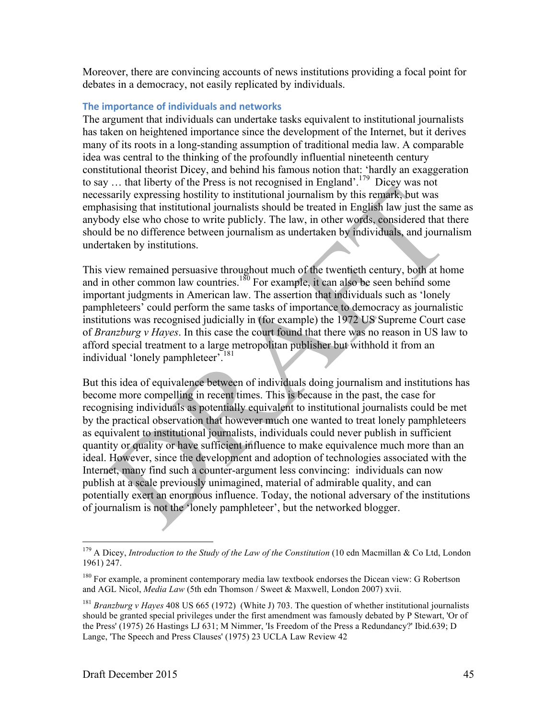Moreover, there are convincing accounts of news institutions providing a focal point for debates in a democracy, not easily replicated by individuals.

#### **The importance of individuals and networks**

The argument that individuals can undertake tasks equivalent to institutional journalists has taken on heightened importance since the development of the Internet, but it derives many of its roots in a long-standing assumption of traditional media law. A comparable idea was central to the thinking of the profoundly influential nineteenth century constitutional theorist Dicey, and behind his famous notion that: 'hardly an exaggeration to say ... that liberty of the Press is not recognised in England'.<sup>179</sup> Dicey was not necessarily expressing hostility to institutional journalism by this remark, but was emphasising that institutional journalists should be treated in English law just the same as anybody else who chose to write publicly. The law, in other words, considered that there should be no difference between journalism as undertaken by individuals, and journalism undertaken by institutions.

This view remained persuasive throughout much of the twentieth century, both at home and in other common law countries.<sup>180</sup> For example, it can also be seen behind some important judgments in American law. The assertion that individuals such as 'lonely pamphleteers' could perform the same tasks of importance to democracy as journalistic institutions was recognised judicially in (for example) the 1972 US Supreme Court case of *Branzburg v Hayes*. In this case the court found that there was no reason in US law to afford special treatment to a large metropolitan publisher but withhold it from an individual 'lonely pamphleteer'.<sup>181</sup>

But this idea of equivalence between of individuals doing journalism and institutions has become more compelling in recent times. This is because in the past, the case for recognising individuals as potentially equivalent to institutional journalists could be met by the practical observation that however much one wanted to treat lonely pamphleteers as equivalent to institutional journalists, individuals could never publish in sufficient quantity or quality or have sufficient influence to make equivalence much more than an ideal. However, since the development and adoption of technologies associated with the Internet, many find such a counter-argument less convincing: individuals can now publish at a scale previously unimagined, material of admirable quality, and can potentially exert an enormous influence. Today, the notional adversary of the institutions of journalism is not the 'lonely pamphleteer', but the networked blogger.

<sup>&</sup>lt;sup>179</sup> A Dicey, *Introduction to the Study of the Law of the Constitution* (10 edn Macmillan & Co Ltd, London 1961) 247.

<sup>&</sup>lt;sup>180</sup> For example, a prominent contemporary media law textbook endorses the Dicean view: G Robertson and AGL Nicol, *Media Law* (5th edn Thomson / Sweet & Maxwell, London 2007) xvii.

<sup>181</sup> *Branzburg v Hayes* 408 US 665 (1972) (White J) 703. The question of whether institutional journalists should be granted special privileges under the first amendment was famously debated by P Stewart, 'Or of the Press' (1975) 26 Hastings LJ 631; M Nimmer, 'Is Freedom of the Press a Redundancy?' Ibid.639; D Lange, 'The Speech and Press Clauses' (1975) 23 UCLA Law Review 42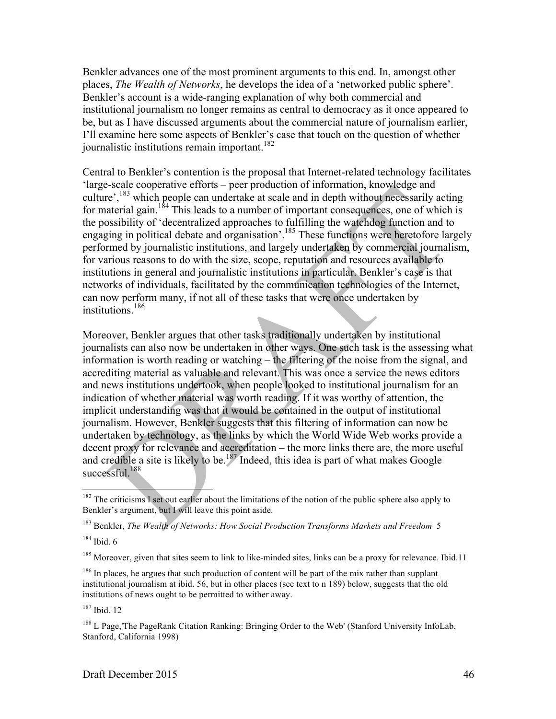Benkler advances one of the most prominent arguments to this end. In, amongst other places, *The Wealth of Networks*, he develops the idea of a 'networked public sphere'. Benkler's account is a wide-ranging explanation of why both commercial and institutional journalism no longer remains as central to democracy as it once appeared to be, but as I have discussed arguments about the commercial nature of journalism earlier, I'll examine here some aspects of Benkler's case that touch on the question of whether journalistic institutions remain important.<sup>182</sup>

Central to Benkler's contention is the proposal that Internet-related technology facilitates 'large-scale cooperative efforts – peer production of information, knowledge and culture',<sup>183</sup> which people can undertake at scale and in depth without necessarily acting for material gain.<sup>184</sup> This leads to a number of important consequences, one of which is the possibility of 'decentralized approaches to fulfilling the watchdog function and to engaging in political debate and organisation'.185 These functions were heretofore largely performed by journalistic institutions, and largely undertaken by commercial journalism, for various reasons to do with the size, scope, reputation and resources available to institutions in general and journalistic institutions in particular. Benkler's case is that networks of individuals, facilitated by the communication technologies of the Internet, can now perform many, if not all of these tasks that were once undertaken by institutions.<sup>186</sup>

Moreover, Benkler argues that other tasks traditionally undertaken by institutional journalists can also now be undertaken in other ways. One such task is the assessing what information is worth reading or watching – the filtering of the noise from the signal, and accrediting material as valuable and relevant. This was once a service the news editors and news institutions undertook, when people looked to institutional journalism for an indication of whether material was worth reading. If it was worthy of attention, the implicit understanding was that it would be contained in the output of institutional journalism. However, Benkler suggests that this filtering of information can now be undertaken by technology, as the links by which the World Wide Web works provide a decent proxy for relevance and accreditation – the more links there are, the more useful and credible a site is likely to be.<sup>187</sup> Indeed, this idea is part of what makes Google successful.<sup>188</sup>

 $187$  Ibid. 12

 $182$  The criticisms I set out earlier about the limitations of the notion of the public sphere also apply to Benkler's argument, but I will leave this point aside.

<sup>183</sup> Benkler, *The Wealth of Networks: How Social Production Transforms Markets and Freedom* 5

<sup>184</sup> Ibid. 6

<sup>&</sup>lt;sup>185</sup> Moreover, given that sites seem to link to like-minded sites, links can be a proxy for relevance. Ibid.11

<sup>&</sup>lt;sup>186</sup> In places, he argues that such production of content will be part of the mix rather than supplant institutional journalism at ibid. 56, but in other places (see text to n 189) below, suggests that the old institutions of news ought to be permitted to wither away.

<sup>&</sup>lt;sup>188</sup> L Page,'The PageRank Citation Ranking: Bringing Order to the Web' (Stanford University InfoLab, Stanford, California 1998)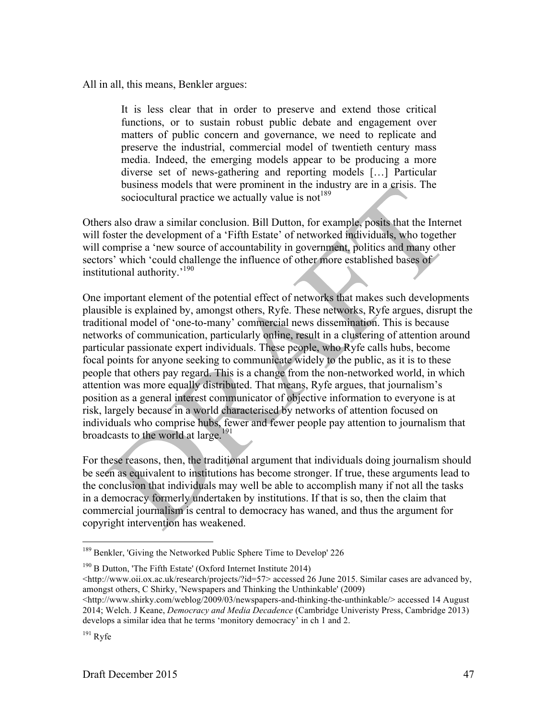All in all, this means, Benkler argues:

It is less clear that in order to preserve and extend those critical functions, or to sustain robust public debate and engagement over matters of public concern and governance, we need to replicate and preserve the industrial, commercial model of twentieth century mass media. Indeed, the emerging models appear to be producing a more diverse set of news-gathering and reporting models […] Particular business models that were prominent in the industry are in a crisis. The sociocultural practice we actually value is not  $189$ 

Others also draw a similar conclusion. Bill Dutton, for example, posits that the Internet will foster the development of a 'Fifth Estate' of networked individuals, who together will comprise a 'new source of accountability in government, politics and many other sectors' which 'could challenge the influence of other more established bases of institutional authority.'190

One important element of the potential effect of networks that makes such developments plausible is explained by, amongst others, Ryfe. These networks, Ryfe argues, disrupt the traditional model of 'one-to-many' commercial news dissemination. This is because networks of communication, particularly online, result in a clustering of attention around particular passionate expert individuals. These people, who Ryfe calls hubs, become focal points for anyone seeking to communicate widely to the public, as it is to these people that others pay regard. This is a change from the non-networked world, in which attention was more equally distributed. That means, Ryfe argues, that journalism's position as a general interest communicator of objective information to everyone is at risk, largely because in a world characterised by networks of attention focused on individuals who comprise hubs, fewer and fewer people pay attention to journalism that broadcasts to the world at large.<sup>191</sup>

For these reasons, then, the traditional argument that individuals doing journalism should be seen as equivalent to institutions has become stronger. If true, these arguments lead to the conclusion that individuals may well be able to accomplish many if not all the tasks in a democracy formerly undertaken by institutions. If that is so, then the claim that commercial journalism is central to democracy has waned, and thus the argument for copyright intervention has weakened.

<sup>&</sup>lt;sup>189</sup> Benkler, 'Giving the Networked Public Sphere Time to Develop' 226

 $190$  B Dutton, 'The Fifth Estate' (Oxford Internet Institute 2014)

<sup>&</sup>lt;http://www.oii.ox.ac.uk/research/projects/?id=57> accessed 26 June 2015. Similar cases are advanced by, amongst others, C Shirky, 'Newspapers and Thinking the Unthinkable' (2009)

<sup>&</sup>lt;http://www.shirky.com/weblog/2009/03/newspapers-and-thinking-the-unthinkable/> accessed 14 August 2014; Welch. J Keane, *Democracy and Media Decadence* (Cambridge Univeristy Press, Cambridge 2013) develops a similar idea that he terms 'monitory democracy' in ch 1 and 2.

 $191$  Ryfe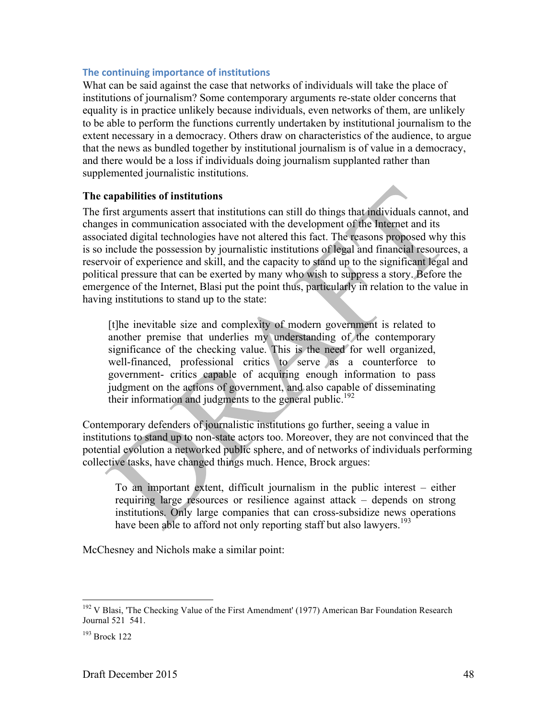#### **The continuing importance of institutions**

What can be said against the case that networks of individuals will take the place of institutions of journalism? Some contemporary arguments re-state older concerns that equality is in practice unlikely because individuals, even networks of them, are unlikely to be able to perform the functions currently undertaken by institutional journalism to the extent necessary in a democracy. Others draw on characteristics of the audience, to argue that the news as bundled together by institutional journalism is of value in a democracy, and there would be a loss if individuals doing journalism supplanted rather than supplemented journalistic institutions.

## **The capabilities of institutions**

The first arguments assert that institutions can still do things that individuals cannot, and changes in communication associated with the development of the Internet and its associated digital technologies have not altered this fact. The reasons proposed why this is so include the possession by journalistic institutions of legal and financial resources, a reservoir of experience and skill, and the capacity to stand up to the significant legal and political pressure that can be exerted by many who wish to suppress a story. Before the emergence of the Internet, Blasi put the point thus, particularly in relation to the value in having institutions to stand up to the state:

[t]he inevitable size and complexity of modern government is related to another premise that underlies my understanding of the contemporary significance of the checking value. This is the need for well organized, well-financed, professional critics to serve as a counterforce to government- critics capable of acquiring enough information to pass judgment on the actions of government, and also capable of disseminating their information and judgments to the general public.<sup>192</sup>

Contemporary defenders of journalistic institutions go further, seeing a value in institutions to stand up to non-state actors too. Moreover, they are not convinced that the potential evolution a networked public sphere, and of networks of individuals performing collective tasks, have changed things much. Hence, Brock argues:

To an important extent, difficult journalism in the public interest – either requiring large resources or resilience against attack – depends on strong institutions. Only large companies that can cross-subsidize news operations have been able to afford not only reporting staff but also lawyers.<sup>193</sup>

McChesney and Nichols make a similar point:

<sup>&</sup>lt;sup>192</sup> V Blasi, 'The Checking Value of the First Amendment' (1977) American Bar Foundation Research Journal 521 541.

<sup>193</sup> Brock 122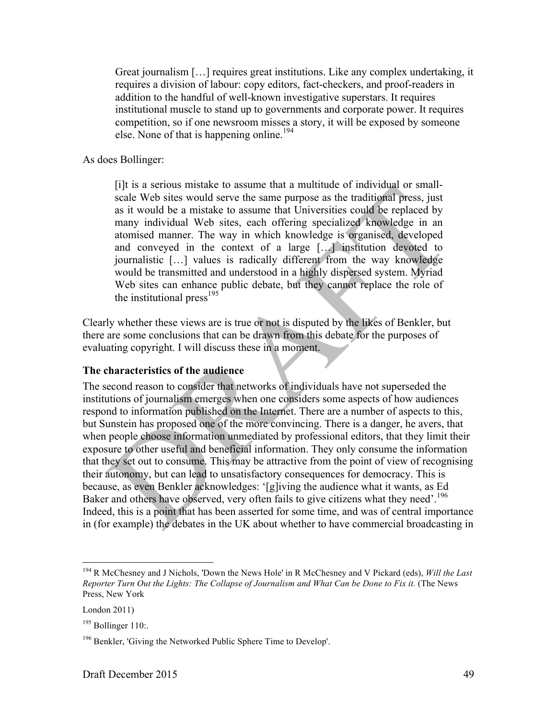Great journalism […] requires great institutions. Like any complex undertaking, it requires a division of labour: copy editors, fact-checkers, and proof-readers in addition to the handful of well-known investigative superstars. It requires institutional muscle to stand up to governments and corporate power. It requires competition, so if one newsroom misses a story, it will be exposed by someone else. None of that is happening online.<sup>194</sup>

As does Bollinger:

[i]t is a serious mistake to assume that a multitude of individual or smallscale Web sites would serve the same purpose as the traditional press, just as it would be a mistake to assume that Universities could be replaced by many individual Web sites, each offering specialized knowledge in an atomised manner. The way in which knowledge is organised, developed and conveyed in the context of a large […] institution devoted to journalistic […] values is radically different from the way knowledge would be transmitted and understood in a highly dispersed system. Myriad Web sites can enhance public debate, but they cannot replace the role of the institutional press<sup>195</sup>

Clearly whether these views are is true or not is disputed by the likes of Benkler, but there are some conclusions that can be drawn from this debate for the purposes of evaluating copyright. I will discuss these in a moment.

## **The characteristics of the audience**

The second reason to consider that networks of individuals have not superseded the institutions of journalism emerges when one considers some aspects of how audiences respond to information published on the Internet. There are a number of aspects to this, but Sunstein has proposed one of the more convincing. There is a danger, he avers, that when people choose information unmediated by professional editors, that they limit their exposure to other useful and beneficial information. They only consume the information that they set out to consume. This may be attractive from the point of view of recognising their autonomy, but can lead to unsatisfactory consequences for democracy. This is because, as even Benkler acknowledges: '[g]iving the audience what it wants, as Ed Baker and others have observed, very often fails to give citizens what they need'.<sup>196</sup> Indeed, this is a point that has been asserted for some time, and was of central importance in (for example) the debates in the UK about whether to have commercial broadcasting in

 <sup>194</sup> R McChesney and J Nichols, 'Down the News Hole' in R McChesney and V Pickard (eds), *Will the Last Reporter Turn Out the Lights: The Collapse of Journalism and What Can be Done to Fix it.* (The News Press, New York

London 2011)

 $195$  Bollinger 110:.

<sup>&</sup>lt;sup>196</sup> Benkler, 'Giving the Networked Public Sphere Time to Develop'.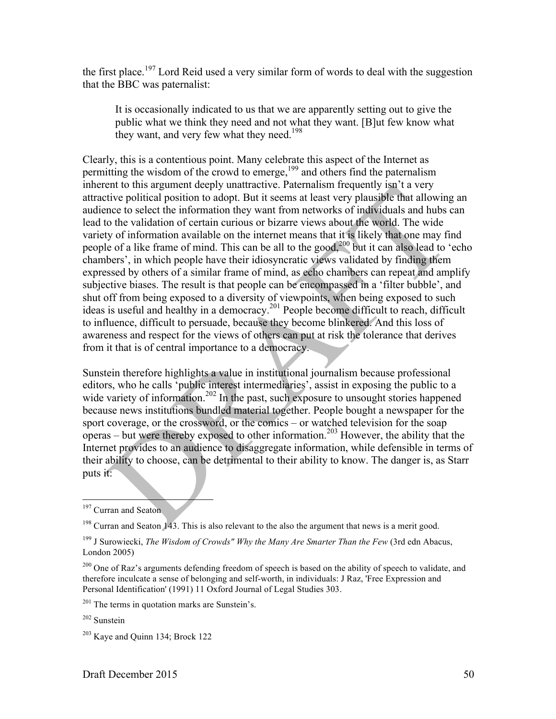the first place.<sup>197</sup> Lord Reid used a very similar form of words to deal with the suggestion that the BBC was paternalist:

It is occasionally indicated to us that we are apparently setting out to give the public what we think they need and not what they want. [B]ut few know what they want, and very few what they need.<sup>198</sup>

Clearly, this is a contentious point. Many celebrate this aspect of the Internet as permitting the wisdom of the crowd to emerge,<sup>199</sup> and others find the paternalism inherent to this argument deeply unattractive. Paternalism frequently isn't a very attractive political position to adopt. But it seems at least very plausible that allowing an audience to select the information they want from networks of individuals and hubs can lead to the validation of certain curious or bizarre views about the world. The wide variety of information available on the internet means that it is likely that one may find people of a like frame of mind. This can be all to the good,<sup>200</sup> but it can also lead to 'echo chambers', in which people have their idiosyncratic views validated by finding them expressed by others of a similar frame of mind, as echo chambers can repeat and amplify subjective biases. The result is that people can be encompassed in a 'filter bubble', and shut off from being exposed to a diversity of viewpoints, when being exposed to such ideas is useful and healthy in a democracy.<sup>201</sup> People become difficult to reach, difficult to influence, difficult to persuade, because they become blinkered. And this loss of awareness and respect for the views of others can put at risk the tolerance that derives from it that is of central importance to a democracy.

Sunstein therefore highlights a value in institutional journalism because professional editors, who he calls 'public interest intermediaries', assist in exposing the public to a wide variety of information.<sup>202</sup> In the past, such exposure to unsought stories happened because news institutions bundled material together. People bought a newspaper for the sport coverage, or the crossword, or the comics – or watched television for the soap  $\overline{\text{over}}$  – but were thereby exposed to other information.<sup>203</sup> However, the ability that the Internet provides to an audience to disaggregate information, while defensible in terms of their ability to choose, can be detrimental to their ability to know. The danger is, as Starr puts it:

<sup>&</sup>lt;sup>197</sup> Curran and Seaton

<sup>&</sup>lt;sup>198</sup> Curran and Seaton 143. This is also relevant to the also the argument that news is a merit good.

<sup>199</sup> J Surowiecki, *The Wisdom of Crowds" Why the Many Are Smarter Than the Few* (3rd edn Abacus, London 2005)

<sup>&</sup>lt;sup>200</sup> One of Raz's arguments defending freedom of speech is based on the ability of speech to validate, and therefore inculcate a sense of belonging and self-worth, in individuals: J Raz, 'Free Expression and Personal Identification' (1991) 11 Oxford Journal of Legal Studies 303.

 $201$  The terms in quotation marks are Sunstein's.

<sup>202</sup> Sunstein

<sup>203</sup> Kaye and Quinn 134; Brock 122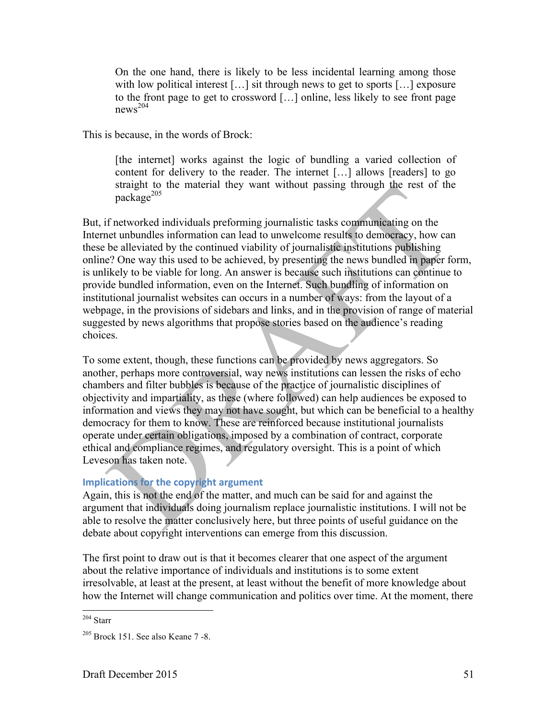On the one hand, there is likely to be less incidental learning among those with low political interest [...] sit through news to get to sports [...] exposure to the front page to get to crossword […] online, less likely to see front page  $news<sup>204</sup>$ 

This is because, in the words of Brock:

[the internet] works against the logic of bundling a varied collection of content for delivery to the reader. The internet […] allows [readers] to go straight to the material they want without passing through the rest of the  $package<sup>205</sup>$ 

But, if networked individuals preforming journalistic tasks communicating on the Internet unbundles information can lead to unwelcome results to democracy, how can these be alleviated by the continued viability of journalistic institutions publishing online? One way this used to be achieved, by presenting the news bundled in paper form, is unlikely to be viable for long. An answer is because such institutions can continue to provide bundled information, even on the Internet. Such bundling of information on institutional journalist websites can occurs in a number of ways: from the layout of a webpage, in the provisions of sidebars and links, and in the provision of range of material suggested by news algorithms that propose stories based on the audience's reading choices.

To some extent, though, these functions can be provided by news aggregators. So another, perhaps more controversial, way news institutions can lessen the risks of echo chambers and filter bubbles is because of the practice of journalistic disciplines of objectivity and impartiality, as these (where followed) can help audiences be exposed to information and views they may not have sought, but which can be beneficial to a healthy democracy for them to know. These are reinforced because institutional journalists operate under certain obligations, imposed by a combination of contract, corporate ethical and compliance regimes, and regulatory oversight. This is a point of which Leveson has taken note.

## **Implications for the copyright argument**

Again, this is not the end of the matter, and much can be said for and against the argument that individuals doing journalism replace journalistic institutions. I will not be able to resolve the matter conclusively here, but three points of useful guidance on the debate about copyright interventions can emerge from this discussion.

The first point to draw out is that it becomes clearer that one aspect of the argument about the relative importance of individuals and institutions is to some extent irresolvable, at least at the present, at least without the benefit of more knowledge about how the Internet will change communication and politics over time. At the moment, there

 <sup>204</sup> Starr

 $205$  Brock 151. See also Keane 7 -8.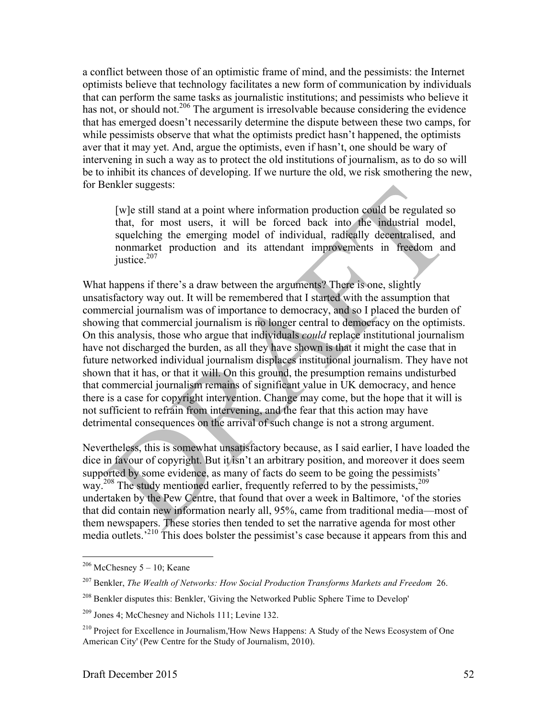a conflict between those of an optimistic frame of mind, and the pessimists: the Internet optimists believe that technology facilitates a new form of communication by individuals that can perform the same tasks as journalistic institutions; and pessimists who believe it has not, or should not.<sup>206</sup> The argument is irresolvable because considering the evidence that has emerged doesn't necessarily determine the dispute between these two camps, for while pessimists observe that what the optimists predict hasn't happened, the optimists aver that it may yet. And, argue the optimists, even if hasn't, one should be wary of intervening in such a way as to protect the old institutions of journalism, as to do so will be to inhibit its chances of developing. If we nurture the old, we risk smothering the new, for Benkler suggests:

[w]e still stand at a point where information production could be regulated so that, for most users, it will be forced back into the industrial model, squelching the emerging model of individual, radically decentralised, and nonmarket production and its attendant improvements in freedom and justice.<sup>207</sup>

What happens if there's a draw between the arguments? There is one, slightly unsatisfactory way out. It will be remembered that I started with the assumption that commercial journalism was of importance to democracy, and so I placed the burden of showing that commercial journalism is no longer central to democracy on the optimists. On this analysis, those who argue that individuals *could* replace institutional journalism have not discharged the burden, as all they have shown is that it might the case that in future networked individual journalism displaces institutional journalism. They have not shown that it has, or that it will. On this ground, the presumption remains undisturbed that commercial journalism remains of significant value in UK democracy, and hence there is a case for copyright intervention. Change may come, but the hope that it will is not sufficient to refrain from intervening, and the fear that this action may have detrimental consequences on the arrival of such change is not a strong argument.

Nevertheless, this is somewhat unsatisfactory because, as I said earlier, I have loaded the dice in favour of copyright. But it isn't an arbitrary position, and moreover it does seem supported by some evidence, as many of facts do seem to be going the pessimists' way.<sup>208</sup> The study mentioned earlier, frequently referred to by the pessimists,<sup>209</sup> undertaken by the Pew Centre, that found that over a week in Baltimore, 'of the stories that did contain new information nearly all, 95%, came from traditional media—most of them newspapers. These stories then tended to set the narrative agenda for most other media outlets.<sup>210</sup> This does bolster the pessimist's case because it appears from this and

 $206$  McChesney 5 – 10; Keane

<sup>207</sup> Benkler, *The Wealth of Networks: How Social Production Transforms Markets and Freedom* 26.

<sup>&</sup>lt;sup>208</sup> Benkler disputes this: Benkler, 'Giving the Networked Public Sphere Time to Develop'

<sup>209</sup> Jones 4; McChesney and Nichols 111; Levine 132.

<sup>&</sup>lt;sup>210</sup> Project for Excellence in Journalism,'How News Happens: A Study of the News Ecosystem of One American City' (Pew Centre for the Study of Journalism, 2010).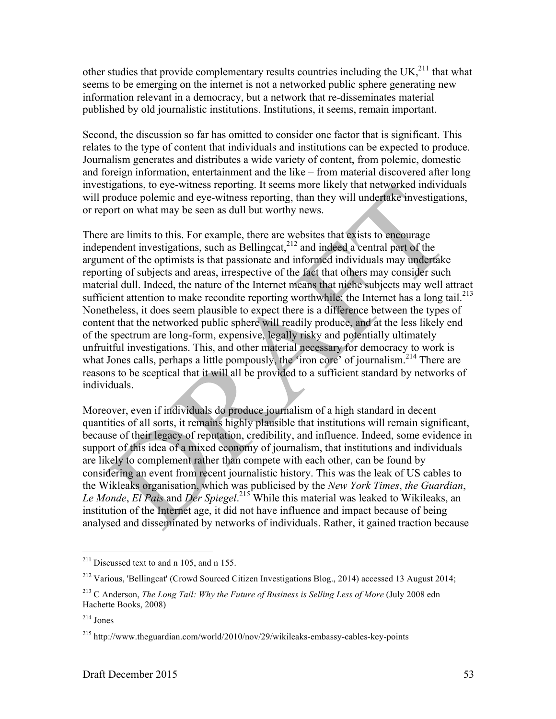other studies that provide complementary results countries including the UK, $^{211}$  that what seems to be emerging on the internet is not a networked public sphere generating new information relevant in a democracy, but a network that re-disseminates material published by old journalistic institutions. Institutions, it seems, remain important.

Second, the discussion so far has omitted to consider one factor that is significant. This relates to the type of content that individuals and institutions can be expected to produce. Journalism generates and distributes a wide variety of content, from polemic, domestic and foreign information, entertainment and the like – from material discovered after long investigations, to eye-witness reporting. It seems more likely that networked individuals will produce polemic and eye-witness reporting, than they will undertake investigations, or report on what may be seen as dull but worthy news.

There are limits to this. For example, there are websites that exists to encourage independent investigations, such as Bellingcat, $^{212}$  and indeed a central part of the argument of the optimists is that passionate and informed individuals may undertake reporting of subjects and areas, irrespective of the fact that others may consider such material dull. Indeed, the nature of the Internet means that niche subjects may well attract sufficient attention to make recondite reporting worthwhile: the Internet has a long tail.<sup>213</sup> Nonetheless, it does seem plausible to expect there is a difference between the types of content that the networked public sphere will readily produce, and at the less likely end of the spectrum are long-form, expensive, legally risky and potentially ultimately unfruitful investigations. This, and other material necessary for democracy to work is what Jones calls, perhaps a little pompously, the 'iron core' of journalism.<sup>214</sup> There are reasons to be sceptical that it will all be provided to a sufficient standard by networks of individuals.

Moreover, even if individuals do produce journalism of a high standard in decent quantities of all sorts, it remains highly plausible that institutions will remain significant, because of their legacy of reputation, credibility, and influence. Indeed, some evidence in support of this idea of a mixed economy of journalism, that institutions and individuals are likely to complement rather than compete with each other, can be found by considering an event from recent journalistic history. This was the leak of US cables to the Wikleaks organisation, which was publicised by the *New York Times*, *the Guardian*, *Le Monde*, *El Pais* and *Der Spiegel*. <sup>215</sup> While this material was leaked to Wikileaks, an institution of the Internet age, it did not have influence and impact because of being analysed and disseminated by networks of individuals. Rather, it gained traction because

 $211$  Discussed text to and n 105, and n 155.

<sup>212</sup> Various, 'Bellingcat' (Crowd Sourced Citizen Investigations Blog., 2014) accessed 13 August 2014;

<sup>213</sup> C Anderson, *The Long Tail: Why the Future of Business is Selling Less of More* (July 2008 edn Hachette Books, 2008)

<sup>214</sup> Jones

<sup>215</sup> http://www.theguardian.com/world/2010/nov/29/wikileaks-embassy-cables-key-points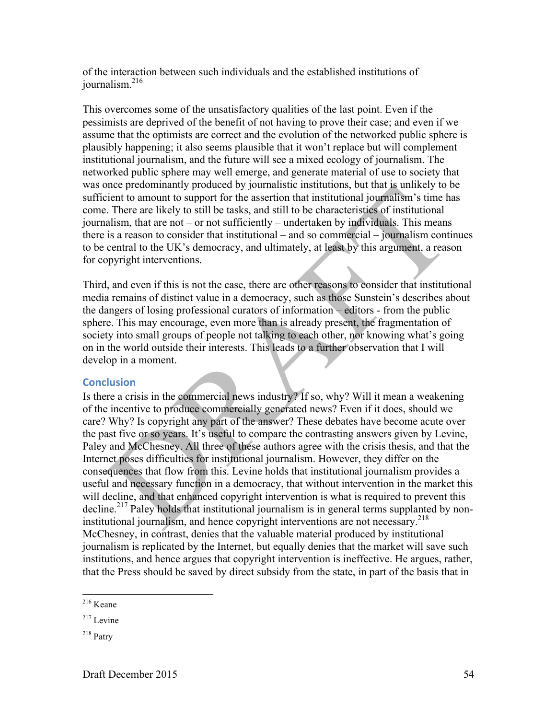of the interaction between such individuals and the established institutions of journalism.<sup>216</sup>

This overcomes some of the unsatisfactory qualities of the last point. Even if the pessimists are deprived of the benefit of not having to prove their case; and even if we assume that the optimists are correct and the evolution of the networked public sphere is plausibly happening; it also seems plausible that it won't replace but will complement institutional journalism, and the future will see a mixed ecology of journalism. The networked public sphere may well emerge, and generate material of use to society that was once predominantly produced by journalistic institutions, but that is unlikely to be sufficient to amount to support for the assertion that institutional journalism's time has come. There are likely to still be tasks, and still to be characteristics of institutional journalism, that are not – or not sufficiently – undertaken by individuals. This means there is a reason to consider that institutional – and so commercial – journalism continues to be central to the UK's democracy, and ultimately, at least by this argument, a reason for copyright interventions.

Third, and even if this is not the case, there are other reasons to consider that institutional media remains of distinct value in a democracy, such as those Sunstein's describes about the dangers of losing professional curators of information – editors - from the public sphere. This may encourage, even more than is already present, the fragmentation of society into small groups of people not talking to each other, nor knowing what's going on in the world outside their interests. This leads to a further observation that I will develop in a moment.

#### **Conclusion**

Is there a crisis in the commercial news industry? If so, why? Will it mean a weakening of the incentive to produce commercially generated news? Even if it does, should we care? Why? Is copyright any part of the answer? These debates have become acute over the past five or so years. It's useful to compare the contrasting answers given by Levine, Paley and McChesney. All three of these authors agree with the crisis thesis, and that the Internet poses difficulties for institutional journalism. However, they differ on the consequences that flow from this. Levine holds that institutional journalism provides a useful and necessary function in a democracy, that without intervention in the market this will decline, and that enhanced copyright intervention is what is required to prevent this decline.<sup>217</sup> Paley holds that institutional journalism is in general terms supplanted by noninstitutional journalism, and hence copyright interventions are not necessary.<sup>218</sup> McChesney, in contrast, denies that the valuable material produced by institutional journalism is replicated by the Internet, but equally denies that the market will save such institutions, and hence argues that copyright intervention is ineffective. He argues, rather, that the Press should be saved by direct subsidy from the state, in part of the basis that in

 <sup>216</sup> Keane

 $217$  Levine

<sup>218</sup> Patry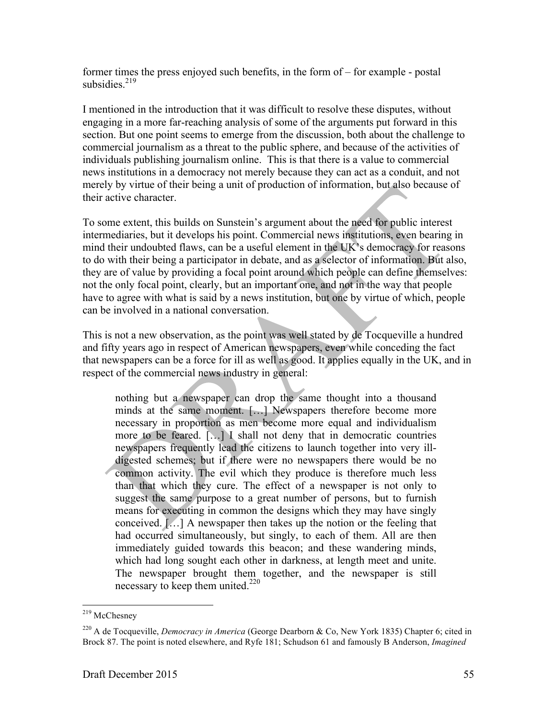former times the press enjoyed such benefits, in the form of – for example - postal subsidies $^{219}$ 

I mentioned in the introduction that it was difficult to resolve these disputes, without engaging in a more far-reaching analysis of some of the arguments put forward in this section. But one point seems to emerge from the discussion, both about the challenge to commercial journalism as a threat to the public sphere, and because of the activities of individuals publishing journalism online. This is that there is a value to commercial news institutions in a democracy not merely because they can act as a conduit, and not merely by virtue of their being a unit of production of information, but also because of their active character.

To some extent, this builds on Sunstein's argument about the need for public interest intermediaries, but it develops his point. Commercial news institutions, even bearing in mind their undoubted flaws, can be a useful element in the UK's democracy for reasons to do with their being a participator in debate, and as a selector of information. But also, they are of value by providing a focal point around which people can define themselves: not the only focal point, clearly, but an important one, and not in the way that people have to agree with what is said by a news institution, but one by virtue of which, people can be involved in a national conversation.

This is not a new observation, as the point was well stated by de Tocqueville a hundred and fifty years ago in respect of American newspapers, even while conceding the fact that newspapers can be a force for ill as well as good. It applies equally in the UK, and in respect of the commercial news industry in general:

nothing but a newspaper can drop the same thought into a thousand minds at the same moment. […] Newspapers therefore become more necessary in proportion as men become more equal and individualism more to be feared. […] I shall not deny that in democratic countries newspapers frequently lead the citizens to launch together into very illdigested schemes; but if there were no newspapers there would be no common activity. The evil which they produce is therefore much less than that which they cure. The effect of a newspaper is not only to suggest the same purpose to a great number of persons, but to furnish means for executing in common the designs which they may have singly conceived. […] A newspaper then takes up the notion or the feeling that had occurred simultaneously, but singly, to each of them. All are then immediately guided towards this beacon; and these wandering minds, which had long sought each other in darkness, at length meet and unite. The newspaper brought them together, and the newspaper is still necessary to keep them united.220

<sup>&</sup>lt;sup>219</sup> McChesney

<sup>220</sup> A de Tocqueville, *Democracy in America* (George Dearborn & Co, New York 1835) Chapter 6; cited in Brock 87. The point is noted elsewhere, and Ryfe 181; Schudson 61 and famously B Anderson, *Imagined*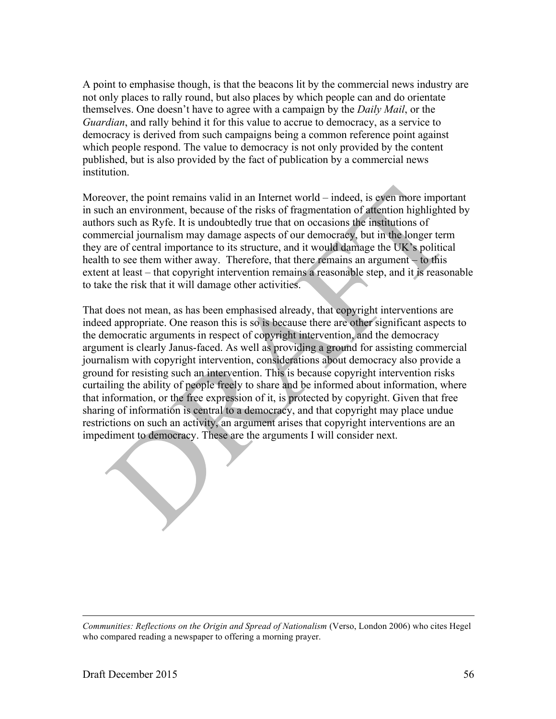A point to emphasise though, is that the beacons lit by the commercial news industry are not only places to rally round, but also places by which people can and do orientate themselves. One doesn't have to agree with a campaign by the *Daily Mail*, or the *Guardian*, and rally behind it for this value to accrue to democracy, as a service to democracy is derived from such campaigns being a common reference point against which people respond. The value to democracy is not only provided by the content published, but is also provided by the fact of publication by a commercial news **institution** 

Moreover, the point remains valid in an Internet world – indeed, is even more important in such an environment, because of the risks of fragmentation of attention highlighted by authors such as Ryfe. It is undoubtedly true that on occasions the institutions of commercial journalism may damage aspects of our democracy, but in the longer term they are of central importance to its structure, and it would damage the UK's political health to see them wither away. Therefore, that there remains an argument – to this extent at least – that copyright intervention remains a reasonable step, and it is reasonable to take the risk that it will damage other activities.

That does not mean, as has been emphasised already, that copyright interventions are indeed appropriate. One reason this is so is because there are other significant aspects to the democratic arguments in respect of copyright intervention, and the democracy argument is clearly Janus-faced. As well as providing a ground for assisting commercial journalism with copyright intervention, considerations about democracy also provide a ground for resisting such an intervention. This is because copyright intervention risks curtailing the ability of people freely to share and be informed about information, where that information, or the free expression of it, is protected by copyright. Given that free sharing of information is central to a democracy, and that copyright may place undue restrictions on such an activity, an argument arises that copyright interventions are an impediment to democracy. These are the arguments I will consider next.

*Communities: Reflections on the Origin and Spread of Nationalism* (Verso, London 2006) who cites Hegel who compared reading a newspaper to offering a morning prayer.

 $\overline{a}$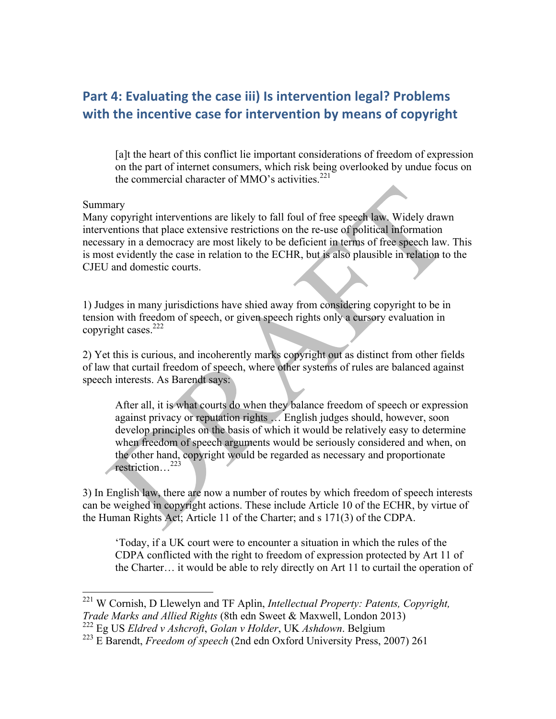# Part 4: Evaluating the case iii) Is intervention legal? Problems with the incentive case for intervention by means of copyright

[a]t the heart of this conflict lie important considerations of freedom of expression on the part of internet consumers, which risk being overlooked by undue focus on the commercial character of MMO's activities.<sup>221</sup>

#### Summary

Many copyright interventions are likely to fall foul of free speech law. Widely drawn interventions that place extensive restrictions on the re-use of political information necessary in a democracy are most likely to be deficient in terms of free speech law. This is most evidently the case in relation to the ECHR, but is also plausible in relation to the CJEU and domestic courts.

1) Judges in many jurisdictions have shied away from considering copyright to be in tension with freedom of speech, or given speech rights only a cursory evaluation in copyright cases. $222$ 

2) Yet this is curious, and incoherently marks copyright out as distinct from other fields of law that curtail freedom of speech, where other systems of rules are balanced against speech interests. As Barendt says:

After all, it is what courts do when they balance freedom of speech or expression against privacy or reputation rights … English judges should, however, soon develop principles on the basis of which it would be relatively easy to determine when freedom of speech arguments would be seriously considered and when, on the other hand, copyright would be regarded as necessary and proportionate restriction…<sup>223</sup>

3) In English law, there are now a number of routes by which freedom of speech interests can be weighed in copyright actions. These include Article 10 of the ECHR, by virtue of the Human Rights Act; Article 11 of the Charter; and s 171(3) of the CDPA.

'Today, if a UK court were to encounter a situation in which the rules of the CDPA conflicted with the right to freedom of expression protected by Art 11 of the Charter… it would be able to rely directly on Art 11 to curtail the operation of

 <sup>221</sup> W Cornish, D Llewelyn and TF Aplin, *Intellectual Property: Patents, Copyright, Trade Marks and Allied Rights* (8th edn Sweet & Maxwell, London 2013) <sup>222</sup> Eg US *Eldred v Ashcroft*, *Golan v Holder*, UK *Ashdown*. Belgium

<sup>223</sup> E Barendt, *Freedom of speech* (2nd edn Oxford University Press, 2007) 261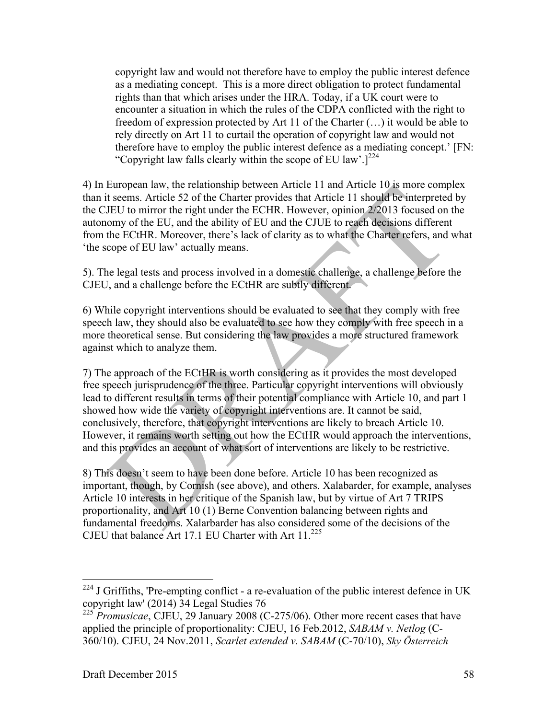copyright law and would not therefore have to employ the public interest defence as a mediating concept. This is a more direct obligation to protect fundamental rights than that which arises under the HRA. Today, if a UK court were to encounter a situation in which the rules of the CDPA conflicted with the right to freedom of expression protected by Art 11 of the Charter (…) it would be able to rely directly on Art 11 to curtail the operation of copyright law and would not therefore have to employ the public interest defence as a mediating concept.' [FN: "Copyright law falls clearly within the scope of EU law'.]<sup>224</sup>

4) In European law, the relationship between Article 11 and Article 10 is more complex than it seems. Article 52 of the Charter provides that Article 11 should be interpreted by the CJEU to mirror the right under the ECHR. However, opinion 2/2013 focused on the autonomy of the EU, and the ability of EU and the CJUE to reach decisions different from the ECtHR. Moreover, there's lack of clarity as to what the Charter refers, and what 'the scope of EU law' actually means.

5). The legal tests and process involved in a domestic challenge, a challenge before the CJEU, and a challenge before the ECtHR are subtly different.

6) While copyright interventions should be evaluated to see that they comply with free speech law, they should also be evaluated to see how they comply with free speech in a more theoretical sense. But considering the law provides a more structured framework against which to analyze them.

7) The approach of the ECtHR is worth considering as it provides the most developed free speech jurisprudence of the three. Particular copyright interventions will obviously lead to different results in terms of their potential compliance with Article 10, and part 1 showed how wide the variety of copyright interventions are. It cannot be said, conclusively, therefore, that copyright interventions are likely to breach Article 10. However, it remains worth setting out how the ECtHR would approach the interventions, and this provides an account of what sort of interventions are likely to be restrictive.

8) This doesn't seem to have been done before. Article 10 has been recognized as important, though, by Cornish (see above), and others. Xalabarder, for example, analyses Article 10 interests in her critique of the Spanish law, but by virtue of Art 7 TRIPS proportionality, and Art 10 (1) Berne Convention balancing between rights and fundamental freedoms. Xalarbarder has also considered some of the decisions of the CJEU that balance Art 17.1 EU Charter with Art 11.<sup>225</sup>

 $^{224}$  J Griffiths, 'Pre-empting conflict - a re-evaluation of the public interest defence in UK copyright law' (2014) 34 Legal Studies 76

<sup>225</sup> *Promusicae*, CJEU, 29 January 2008 (C-275/06). Other more recent cases that have applied the principle of proportionality: CJEU, 16 Feb.2012, *SABAM v. Netlog* (C-360/10). CJEU, 24 Nov.2011, *Scarlet extended v. SABAM* (C-70/10), *Sky Österreich*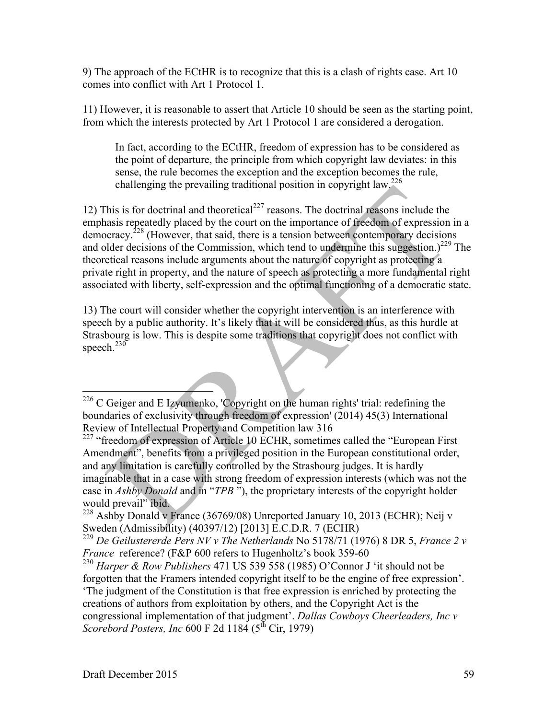9) The approach of the ECtHR is to recognize that this is a clash of rights case. Art 10 comes into conflict with Art 1 Protocol 1.

11) However, it is reasonable to assert that Article 10 should be seen as the starting point, from which the interests protected by Art 1 Protocol 1 are considered a derogation.

In fact, according to the ECtHR, freedom of expression has to be considered as the point of departure, the principle from which copyright law deviates: in this sense, the rule becomes the exception and the exception becomes the rule, challenging the prevailing traditional position in copyright law.<sup>226</sup>

12) This is for doctrinal and theoretical<sup>227</sup> reasons. The doctrinal reasons include the emphasis repeatedly placed by the court on the importance of freedom of expression in a democracy.<sup>228</sup> (However, that said, there is a tension between contemporary decisions and older decisions of the Commission, which tend to undermine this suggestion.)<sup>229</sup> The theoretical reasons include arguments about the nature of copyright as protecting a private right in property, and the nature of speech as protecting a more fundamental right associated with liberty, self-expression and the optimal functioning of a democratic state.

13) The court will consider whether the copyright intervention is an interference with speech by a public authority. It's likely that it will be considered thus, as this hurdle at Strasbourg is low. This is despite some traditions that copyright does not conflict with speech. $230$ 

 <sup>226</sup> C Geiger and E Izyumenko, 'Copyright on the human rights' trial: redefining the boundaries of exclusivity through freedom of expression' (2014) 45(3) International Review of Intellectual Property and Competition law 316

<sup>&</sup>lt;sup>227</sup> "freedom of expression of Article 10 ECHR, sometimes called the "European First" Amendment", benefits from a privileged position in the European constitutional order, and any limitation is carefully controlled by the Strasbourg judges. It is hardly imaginable that in a case with strong freedom of expression interests (which was not the case in *Ashby Donald* and in "*TPB* "), the proprietary interests of the copyright holder would prevail" ibid.

 $228$  Ashby Donald v France (36769/08) Unreported January 10, 2013 (ECHR); Neij v Sweden (Admissibility) (40397/12) [2013] E.C.D.R. 7 (ECHR)

<sup>229</sup> *De Geilustererde Pers NV v The Netherlands* No 5178/71 (1976) 8 DR 5, *France 2 v France* reference? (F&P 600 refers to Hugenholtz's book 359-60

<sup>230</sup> *Harper & Row Publishers* 471 US 539 558 (1985) O'Connor J 'it should not be forgotten that the Framers intended copyright itself to be the engine of free expression'. 'The judgment of the Constitution is that free expression is enriched by protecting the creations of authors from exploitation by others, and the Copyright Act is the congressional implementation of that judgment'. *Dallas Cowboys Cheerleaders, Inc v Scorebord Posters, Inc* 600 F 2d 1184 (5<sup>th</sup> Cir, 1979)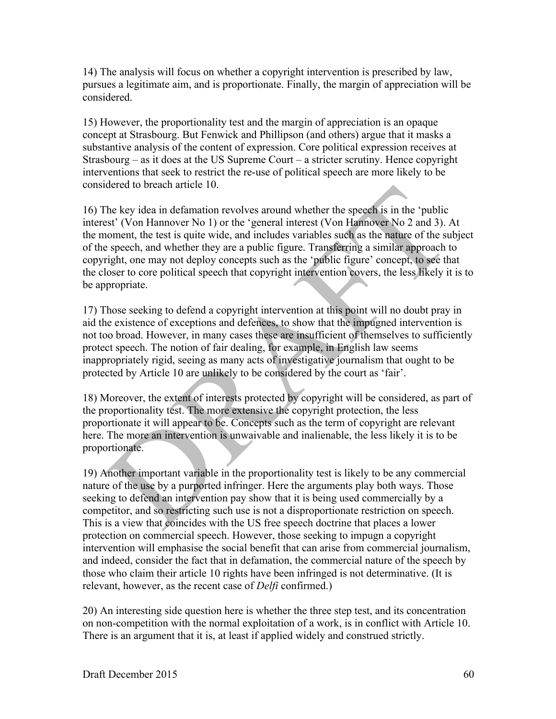14) The analysis will focus on whether a copyright intervention is prescribed by law, pursues a legitimate aim, and is proportionate. Finally, the margin of appreciation will be considered.

15) However, the proportionality test and the margin of appreciation is an opaque concept at Strasbourg. But Fenwick and Phillipson (and others) argue that it masks a substantive analysis of the content of expression. Core political expression receives at Strasbourg – as it does at the US Supreme Court – a stricter scrutiny. Hence copyright interventions that seek to restrict the re-use of political speech are more likely to be considered to breach article 10.

16) The key idea in defamation revolves around whether the speech is in the 'public interest' (Von Hannover No 1) or the 'general interest (Von Hannover No 2 and 3). At the moment, the test is quite wide, and includes variables such as the nature of the subject of the speech, and whether they are a public figure. Transferring a similar approach to copyright, one may not deploy concepts such as the 'public figure' concept, to see that the closer to core political speech that copyright intervention covers, the less likely it is to be appropriate.

17) Those seeking to defend a copyright intervention at this point will no doubt pray in aid the existence of exceptions and defences, to show that the impugned intervention is not too broad. However, in many cases these are insufficient of themselves to sufficiently protect speech. The notion of fair dealing, for example, in English law seems inappropriately rigid, seeing as many acts of investigative journalism that ought to be protected by Article 10 are unlikely to be considered by the court as 'fair'.

18) Moreover, the extent of interests protected by copyright will be considered, as part of the proportionality test. The more extensive the copyright protection, the less proportionate it will appear to be. Concepts such as the term of copyright are relevant here. The more an intervention is unwaivable and inalienable, the less likely it is to be proportionate.

19) Another important variable in the proportionality test is likely to be any commercial nature of the use by a purported infringer. Here the arguments play both ways. Those seeking to defend an intervention pay show that it is being used commercially by a competitor, and so restricting such use is not a disproportionate restriction on speech. This is a view that coincides with the US free speech doctrine that places a lower protection on commercial speech. However, those seeking to impugn a copyright intervention will emphasise the social benefit that can arise from commercial journalism, and indeed, consider the fact that in defamation, the commercial nature of the speech by those who claim their article 10 rights have been infringed is not determinative. (It is relevant, however, as the recent case of *Delfi* confirmed.)

20) An interesting side question here is whether the three step test, and its concentration on non-competition with the normal exploitation of a work, is in conflict with Article 10. There is an argument that it is, at least if applied widely and construed strictly.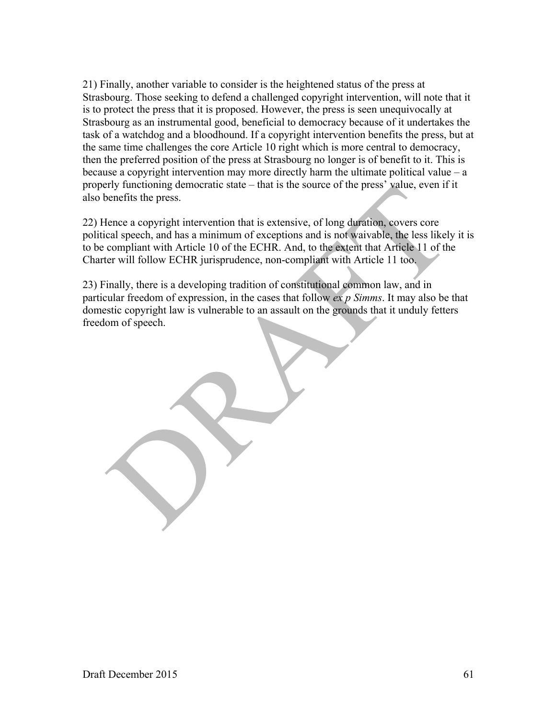21) Finally, another variable to consider is the heightened status of the press at Strasbourg. Those seeking to defend a challenged copyright intervention, will note that it is to protect the press that it is proposed. However, the press is seen unequivocally at Strasbourg as an instrumental good, beneficial to democracy because of it undertakes the task of a watchdog and a bloodhound. If a copyright intervention benefits the press, but at the same time challenges the core Article 10 right which is more central to democracy, then the preferred position of the press at Strasbourg no longer is of benefit to it. This is because a copyright intervention may more directly harm the ultimate political value  $-a$ properly functioning democratic state – that is the source of the press' value, even if it also benefits the press.

22) Hence a copyright intervention that is extensive, of long duration, covers core political speech, and has a minimum of exceptions and is not waivable, the less likely it is to be compliant with Article 10 of the ECHR. And, to the extent that Article 11 of the Charter will follow ECHR jurisprudence, non-compliant with Article 11 too.

23) Finally, there is a developing tradition of constitutional common law, and in particular freedom of expression, in the cases that follow *ex p Simms*. It may also be that domestic copyright law is vulnerable to an assault on the grounds that it unduly fetters freedom of speech.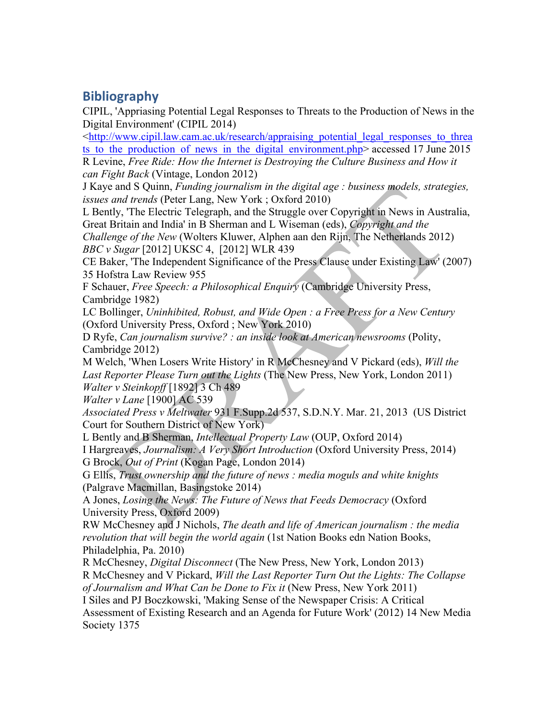# **Bibliography**

CIPIL, 'Appriasing Potential Legal Responses to Threats to the Production of News in the Digital Environment' (CIPIL 2014)

 $\lt$ http://www.cipil.law.cam.ac.uk/research/appraising potential legal responses to threa ts to the production of news in the digital environment.php> accessed 17 June 2015 R Levine, *Free Ride: How the Internet is Destroying the Culture Business and How it* 

*can Fight Back* (Vintage, London 2012)

J Kaye and S Quinn, *Funding journalism in the digital age : business models, strategies, issues and trends* (Peter Lang, New York ; Oxford 2010)

L Bently, 'The Electric Telegraph, and the Struggle over Copyright in News in Australia, Great Britain and India' in B Sherman and L Wiseman (eds), *Copyright and the* 

*Challenge of the New* (Wolters Kluwer, Alphen aan den Rijn, The Netherlands 2012) *BBC v Sugar* [2012] UKSC 4, [2012] WLR 439

CE Baker, 'The Independent Significance of the Press Clause under Existing Law' (2007) 35 Hofstra Law Review 955

F Schauer, *Free Speech: a Philosophical Enquiry* (Cambridge University Press, Cambridge 1982)

LC Bollinger, *Uninhibited, Robust, and Wide Open : a Free Press for a New Century* (Oxford University Press, Oxford ; New York 2010)

D Ryfe, *Can journalism survive? : an inside look at American newsrooms* (Polity, Cambridge 2012)

M Welch, 'When Losers Write History' in R McChesney and V Pickard (eds), *Will the Last Reporter Please Turn out the Lights* (The New Press, New York, London 2011) *Walter v Steinkopff* [1892] 3 Ch 489

*Walter v Lane* [1900] AC 539

*Associated Press v Meltwater* 931 F.Supp.2d 537, S.D.N.Y. Mar. 21, 2013 (US District Court for Southern District of New York)

L Bently and B Sherman, *Intellectual Property Law* (OUP, Oxford 2014)

I Hargreaves, *Journalism: A Very Short Introduction* (Oxford University Press, 2014) G Brock, *Out of Print* (Kogan Page, London 2014)

G Ellis, *Trust ownership and the future of news : media moguls and white knights* (Palgrave Macmillan, Basingstoke 2014)

A Jones, *Losing the News: The Future of News that Feeds Democracy* (Oxford University Press, Oxford 2009)

RW McChesney and J Nichols, *The death and life of American journalism : the media revolution that will begin the world again* (1st Nation Books edn Nation Books, Philadelphia, Pa. 2010)

R McChesney, *Digital Disconnect* (The New Press, New York, London 2013) R McChesney and V Pickard, *Will the Last Reporter Turn Out the Lights: The Collapse* 

*of Journalism and What Can be Done to Fix it* (New Press, New York 2011)

I Siles and PJ Boczkowski, 'Making Sense of the Newspaper Crisis: A Critical Assessment of Existing Research and an Agenda for Future Work' (2012) 14 New Media Society 1375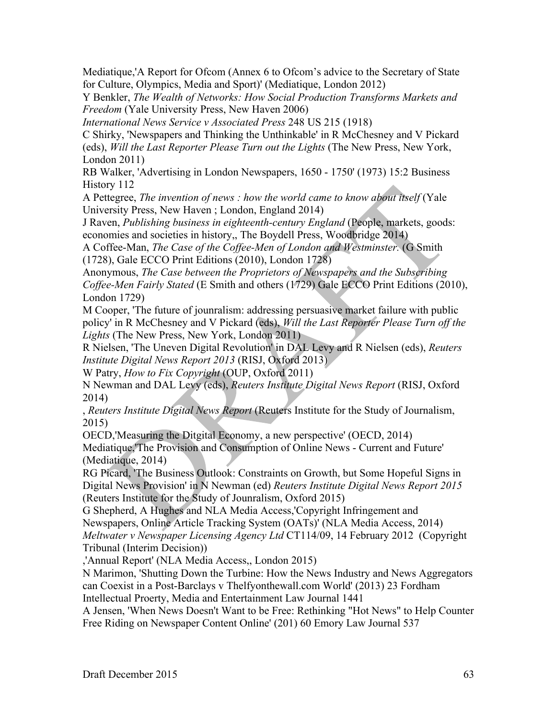Mediatique,'A Report for Ofcom (Annex 6 to Ofcom's advice to the Secretary of State for Culture, Olympics, Media and Sport)' (Mediatique, London 2012)

Y Benkler, *The Wealth of Networks: How Social Production Transforms Markets and Freedom* (Yale University Press, New Haven 2006)

*International News Service v Associated Press* 248 US 215 (1918)

C Shirky, 'Newspapers and Thinking the Unthinkable' in R McChesney and V Pickard (eds), *Will the Last Reporter Please Turn out the Lights* (The New Press, New York, London 2011)

RB Walker, 'Advertising in London Newspapers, 1650 - 1750' (1973) 15:2 Business History 112

A Pettegree, *The invention of news : how the world came to know about itself* (Yale University Press, New Haven ; London, England 2014)

J Raven, *Publishing business in eighteenth-century England* (People, markets, goods: economies and societies in history,, The Boydell Press, Woodbridge 2014)

A Coffee-Man, *The Case of the Coffee-Men of London and Westminster.* (G Smith (1728), Gale ECCO Print Editions (2010), London 1728)

Anonymous, *The Case between the Proprietors of Newspapers and the Subscribing Coffee-Men Fairly Stated* (E Smith and others (1729) Gale ECCO Print Editions (2010), London 1729)

M Cooper, 'The future of jounralism: addressing persuasive market failure with public policy' in R McChesney and V Pickard (eds), *Will the Last Reporter Please Turn off the Lights* (The New Press, New York, London 2011)

R Nielsen, 'The Uneven Digital Revolution' in DAL Levy and R Nielsen (eds), *Reuters Institute Digital News Report 2013* (RISJ, Oxford 2013)

W Patry, *How to Fix Copyright* (OUP, Oxford 2011)

N Newman and DAL Levy (eds), *Reuters Institute Digital News Report* (RISJ, Oxford 2014)

, *Reuters Institute Digital News Report* (Reuters Institute for the Study of Journalism, 2015)

OECD,'Measuring the Ditgital Economy, a new perspective' (OECD, 2014)

Mediatique,'The Provision and Consumption of Online News - Current and Future' (Mediatique, 2014)

RG Picard, 'The Business Outlook: Constraints on Growth, but Some Hopeful Signs in Digital News Provision' in N Newman (ed) *Reuters Institute Digital News Report 2015* (Reuters Institute for the Study of Jounralism, Oxford 2015)

G Shepherd, A Hughes and NLA Media Access,'Copyright Infringement and

Newspapers, Online Article Tracking System (OATs)' (NLA Media Access, 2014) *Meltwater v Newspaper Licensing Agency Ltd* CT114/09, 14 February 2012 (Copyright Tribunal (Interim Decision))

,'Annual Report' (NLA Media Access,, London 2015)

N Marimon, 'Shutting Down the Turbine: How the News Industry and News Aggregators can Coexist in a Post-Barclays v Thelfyonthewall.com World' (2013) 23 Fordham

Intellectual Proerty, Media and Entertainment Law Journal 1441

A Jensen, 'When News Doesn't Want to be Free: Rethinking "Hot News" to Help Counter Free Riding on Newspaper Content Online' (201) 60 Emory Law Journal 537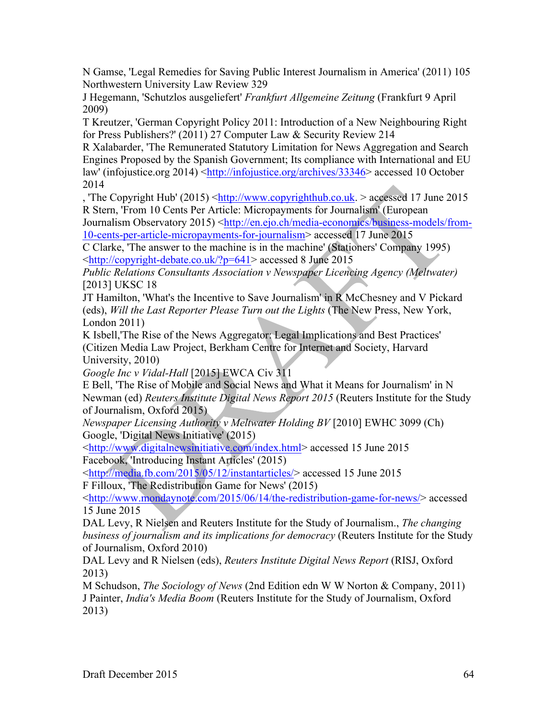N Gamse, 'Legal Remedies for Saving Public Interest Journalism in America' (2011) 105 Northwestern University Law Review 329

J Hegemann, 'Schutzlos ausgeliefert' *Frankfurt Allgemeine Zeitung* (Frankfurt 9 April 2009)

T Kreutzer, 'German Copyright Policy 2011: Introduction of a New Neighbouring Right for Press Publishers?' (2011) 27 Computer Law & Security Review 214

R Xalabarder, 'The Remunerated Statutory Limitation for News Aggregation and Search Engines Proposed by the Spanish Government; Its compliance with International and EU law' (infojustice.org 2014) <http://infojustice.org/archives/33346> accessed 10 October 2014

, 'The Copyright Hub' (2015)  $\langle$ http://www.copyrighthub.co.uk. > accessed 17 June 2015 R Stern, 'From 10 Cents Per Article: Micropayments for Journalism' (European

Journalism Observatory 2015) <http://en.ejo.ch/media-economics/business-models/from-10-cents-per-article-micropayments-for-journalism> accessed 17 June 2015

C Clarke, 'The answer to the machine is in the machine' (Stationers' Company 1995) <http://copyright-debate.co.uk/?p=641> accessed 8 June 2015

*Public Relations Consultants Association v Newspaper Licencing Agency (Meltwater)*  [2013] UKSC 18

JT Hamilton, 'What's the Incentive to Save Journalism' in R McChesney and V Pickard (eds), *Will the Last Reporter Please Turn out the Lights* (The New Press, New York, London 2011)

K Isbell,'The Rise of the News Aggregator: Legal Implications and Best Practices' (Citizen Media Law Project, Berkham Centre for Internet and Society, Harvard University, 2010)

*Google Inc v Vidal-Hall* [2015] EWCA Civ 311

E Bell, 'The Rise of Mobile and Social News and What it Means for Journalism' in N Newman (ed) *Reuters Institute Digital News Report 2015* (Reuters Institute for the Study of Journalism, Oxford 2015)

*Newspaper Licensing Authority v Meltwater Holding BV* [2010] EWHC 3099 (Ch) Google, 'Digital News Initiative' (2015)

<http://www.digitalnewsinitiative.com/index.html> accessed 15 June 2015 Facebook, 'Introducing Instant Articles' (2015)

<http://media.fb.com/2015/05/12/instantarticles/> accessed 15 June 2015 F Filloux, 'The Redistribution Game for News' (2015)

<http://www.mondaynote.com/2015/06/14/the-redistribution-game-for-news/> accessed 15 June 2015

DAL Levy, R Nielsen and Reuters Institute for the Study of Journalism., *The changing business of journalism and its implications for democracy* (Reuters Institute for the Study of Journalism, Oxford 2010)

DAL Levy and R Nielsen (eds), *Reuters Institute Digital News Report* (RISJ, Oxford 2013)

M Schudson, *The Sociology of News* (2nd Edition edn W W Norton & Company, 2011) J Painter, *India's Media Boom* (Reuters Institute for the Study of Journalism, Oxford 2013)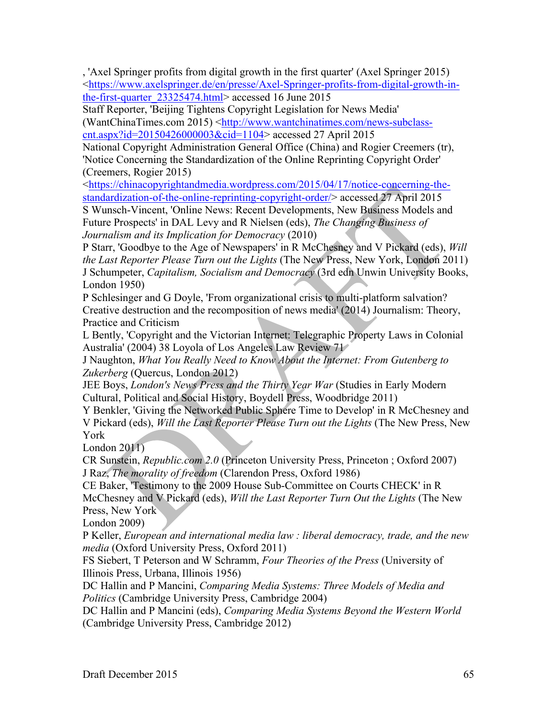, 'Axel Springer profits from digital growth in the first quarter' (Axel Springer 2015) <https://www.axelspringer.de/en/presse/Axel-Springer-profits-from-digital-growth-inthe-first-quarter 23325474.html> accessed 16 June 2015

Staff Reporter, 'Beijing Tightens Copyright Legislation for News Media' (WantChinaTimes.com 2015) <http://www.wantchinatimes.com/news-subclasscnt.aspx?id=20150426000003&cid=1104> accessed 27 April 2015

National Copyright Administration General Office (China) and Rogier Creemers (tr), 'Notice Concerning the Standardization of the Online Reprinting Copyright Order' (Creemers, Rogier 2015)

<https://chinacopyrightandmedia.wordpress.com/2015/04/17/notice-concerning-thestandardization-of-the-online-reprinting-copyright-order/> accessed 27 April 2015

S Wunsch-Vincent, 'Online News: Recent Developments, New Business Models and Future Prospects' in DAL Levy and R Nielsen (eds), *The Changing Business of Journalism and its Implication for Democracy* (2010)

P Starr, 'Goodbye to the Age of Newspapers' in R McChesney and V Pickard (eds), *Will the Last Reporter Please Turn out the Lights* (The New Press, New York, London 2011) J Schumpeter, *Capitalism, Socialism and Democracy* (3rd edn Unwin University Books, London 1950)

P Schlesinger and G Doyle, 'From organizational crisis to multi-platform salvation? Creative destruction and the recomposition of news media' (2014) Journalism: Theory, Practice and Criticism

L Bently, 'Copyright and the Victorian Internet: Telegraphic Property Laws in Colonial Australia' (2004) 38 Loyola of Los Angeles Law Review 71

J Naughton, *What You Really Need to Know About the Internet: From Gutenberg to Zukerberg* (Quercus, London 2012)

JEE Boys, *London's News Press and the Thirty Year War* (Studies in Early Modern Cultural, Political and Social History, Boydell Press, Woodbridge 2011)

Y Benkler, 'Giving the Networked Public Sphere Time to Develop' in R McChesney and V Pickard (eds), *Will the Last Reporter Please Turn out the Lights* (The New Press, New York

London 2011)

CR Sunstein, *Republic.com 2.0* (Princeton University Press, Princeton ; Oxford 2007) J Raz, *The morality of freedom* (Clarendon Press, Oxford 1986)

CE Baker, 'Testimony to the 2009 House Sub-Committee on Courts CHECK' in R McChesney and V Pickard (eds), *Will the Last Reporter Turn Out the Lights* (The New Press, New York

London 2009)

P Keller, *European and international media law : liberal democracy, trade, and the new media* (Oxford University Press, Oxford 2011)

FS Siebert, T Peterson and W Schramm, *Four Theories of the Press* (University of Illinois Press, Urbana, Illinois 1956)

DC Hallin and P Mancini, *Comparing Media Systems: Three Models of Media and Politics* (Cambridge University Press, Cambridge 2004)

DC Hallin and P Mancini (eds), *Comparing Media Systems Beyond the Western World* (Cambridge University Press, Cambridge 2012)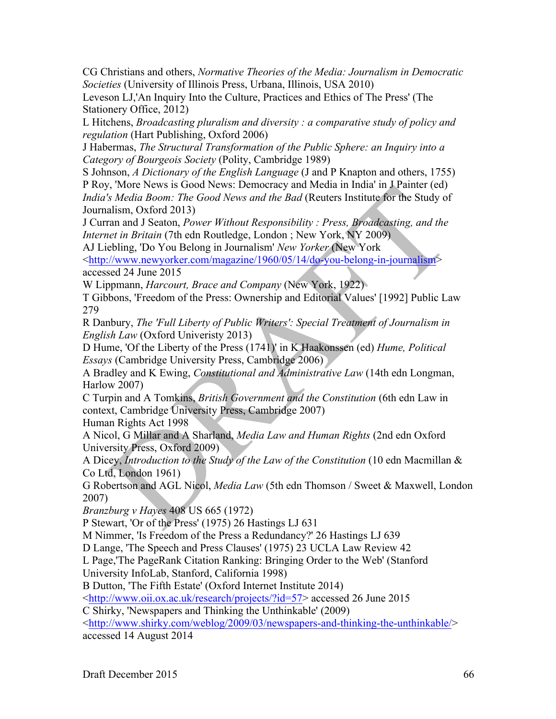CG Christians and others, *Normative Theories of the Media: Journalism in Democratic Societies* (University of Illinois Press, Urbana, Illinois, USA 2010)

Leveson LJ,'An Inquiry Into the Culture, Practices and Ethics of The Press' (The Stationery Office, 2012)

L Hitchens, *Broadcasting pluralism and diversity : a comparative study of policy and regulation* (Hart Publishing, Oxford 2006)

J Habermas, *The Structural Transformation of the Public Sphere: an Inquiry into a Category of Bourgeois Society* (Polity, Cambridge 1989)

S Johnson, *A Dictionary of the English Language* (J and P Knapton and others, 1755) P Roy, 'More News is Good News: Democracy and Media in India' in J Painter (ed) *India's Media Boom: The Good News and the Bad* (Reuters Institute for the Study of

Journalism, Oxford 2013)

J Curran and J Seaton, *Power Without Responsibility : Press, Broadcasting, and the Internet in Britain* (7th edn Routledge, London ; New York, NY 2009)

AJ Liebling, 'Do You Belong in Journalism' *New Yorker* (New York

<http://www.newyorker.com/magazine/1960/05/14/do-you-belong-in-journalism> accessed 24 June 2015

W Lippmann, *Harcourt, Brace and Company* (New York, 1922)

T Gibbons, 'Freedom of the Press: Ownership and Editorial Values' [1992] Public Law 279

R Danbury, *The 'Full Liberty of Public Writers': Special Treatment of Journalism in English Law* (Oxford Univeristy 2013)

D Hume, 'Of the Liberty of the Press (1741)' in K Haakonssen (ed) *Hume, Political Essays* (Cambridge University Press, Cambridge 2006)

A Bradley and K Ewing, *Constitutional and Administrative Law* (14th edn Longman, Harlow 2007)

C Turpin and A Tomkins, *British Government and the Constitution* (6th edn Law in context, Cambridge University Press, Cambridge 2007)

Human Rights Act 1998

A Nicol, G Millar and A Sharland, *Media Law and Human Rights* (2nd edn Oxford University Press, Oxford 2009)

A Dicey, *Introduction to the Study of the Law of the Constitution* (10 edn Macmillan & Co Ltd, London 1961)

G Robertson and AGL Nicol, *Media Law* (5th edn Thomson / Sweet & Maxwell, London 2007)

*Branzburg v Hayes* 408 US 665 (1972)

P Stewart, 'Or of the Press' (1975) 26 Hastings LJ 631

M Nimmer, 'Is Freedom of the Press a Redundancy?' 26 Hastings LJ 639

D Lange, 'The Speech and Press Clauses' (1975) 23 UCLA Law Review 42

L Page,'The PageRank Citation Ranking: Bringing Order to the Web' (Stanford

University InfoLab, Stanford, California 1998)

B Dutton, 'The Fifth Estate' (Oxford Internet Institute 2014)

<http://www.oii.ox.ac.uk/research/projects/?id=57> accessed 26 June 2015

C Shirky, 'Newspapers and Thinking the Unthinkable' (2009)

<http://www.shirky.com/weblog/2009/03/newspapers-and-thinking-the-unthinkable/> accessed 14 August 2014